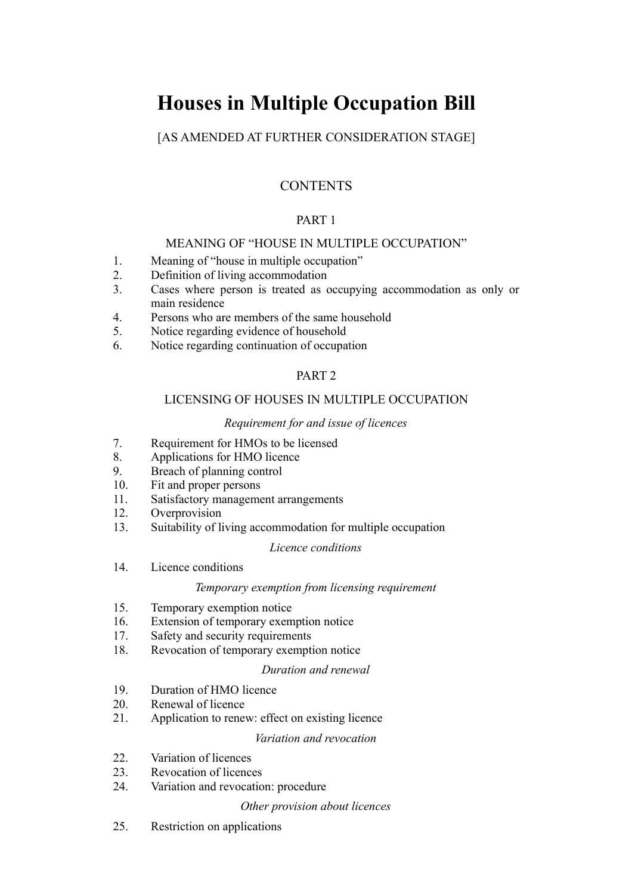[AS AMENDED AT FURTHER CONSIDERATION STAGE]

# **CONTENTS**

# PART 1

# MEANING OF "HOUSE IN MULTIPLE OCCUPATION"

- 1. Meaning of "house in multiple occupation"
- 2. Definition of living accommodation
- 3. Cases where person is treated as occupying accommodation as only or main residence
- 4. Persons who are members of the same household
- 5. Notice regarding evidence of household
- 6. Notice regarding continuation of occupation

# PART 2

# LICENSING OF HOUSES IN MULTIPLE OCCUPATION

# *Requirement for and issue of licences*

- 7. Requirement for HMOs to be licensed
- 8. Applications for HMO licence
- 9. Breach of planning control
- 10. Fit and proper persons
- 11. Satisfactory management arrangements
- 12. Overprovision
- 13. Suitability of living accommodation for multiple occupation

# *Licence conditions*

14. Licence conditions

# *Temporary exemption from licensing requirement*

- 15. Temporary exemption notice
- 16. Extension of temporary exemption notice
- 17. Safety and security requirements
- 18. Revocation of temporary exemption notice

# *Duration and renewal*

- 19. Duration of HMO licence
- 20. Renewal of licence
- 21. Application to renew: effect on existing licence

# *Variation and revocation*

- 22. Variation of licences
- 23. Revocation of licences
- 24. Variation and revocation: procedure

# *Other provision about licences*

25. Restriction on applications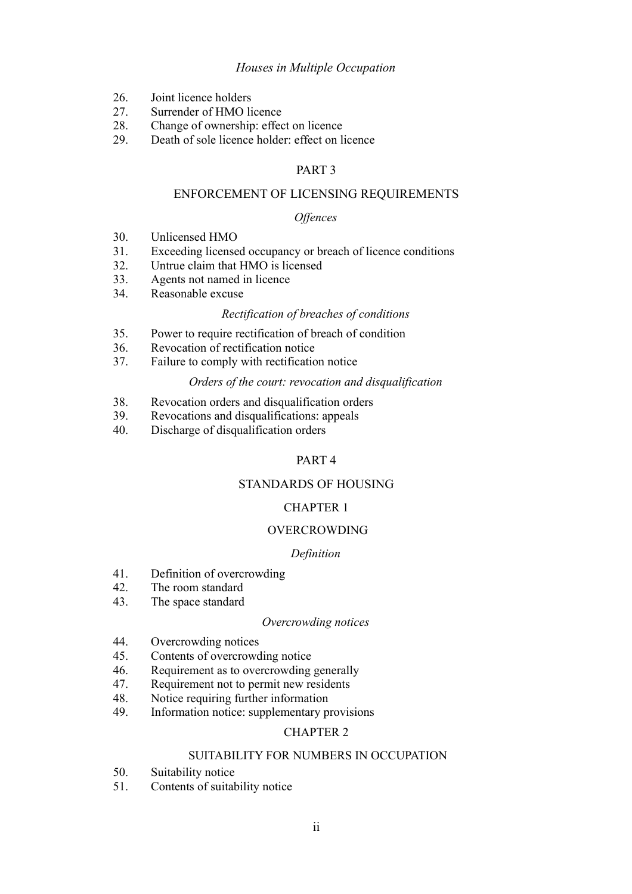- 26. Joint licence holders
- 27. Surrender of HMO licence
- 28. Change of ownership: effect on licence
- 29. Death of sole licence holder: effect on licence

# PART 3

# ENFORCEMENT OF LICENSING REQUIREMENTS

# *Offences*

- 30. Unlicensed HMO
- 31. Exceeding licensed occupancy or breach of licence conditions
- 32. Untrue claim that HMO is licensed
- 33. Agents not named in licence
- 34. Reasonable excuse

# *Rectification of breaches of conditions*

- 35. Power to require rectification of breach of condition
- 36. Revocation of rectification notice
- 37. Failure to comply with rectification notice

# *Orders of the court: revocation and disqualification*

- 38. Revocation orders and disqualification orders
- 39. Revocations and disqualifications: appeals
- 40. Discharge of disqualification orders

# PART 4

# STANDARDS OF HOUSING

# CHAPTER 1

# **OVERCROWDING**

# *Definition*

- 41. Definition of overcrowding
- 42. The room standard
- 43. The space standard

# *Overcrowding notices*

- 44. Overcrowding notices
- 45. Contents of overcrowding notice
- 46. Requirement as to overcrowding generally
- 47. Requirement not to permit new residents
- 48. Notice requiring further information
- 49. Information notice: supplementary provisions

# CHAPTER 2

## SUITABILITY FOR NUMBERS IN OCCUPATION

- 50. Suitability notice
- 51. Contents of suitability notice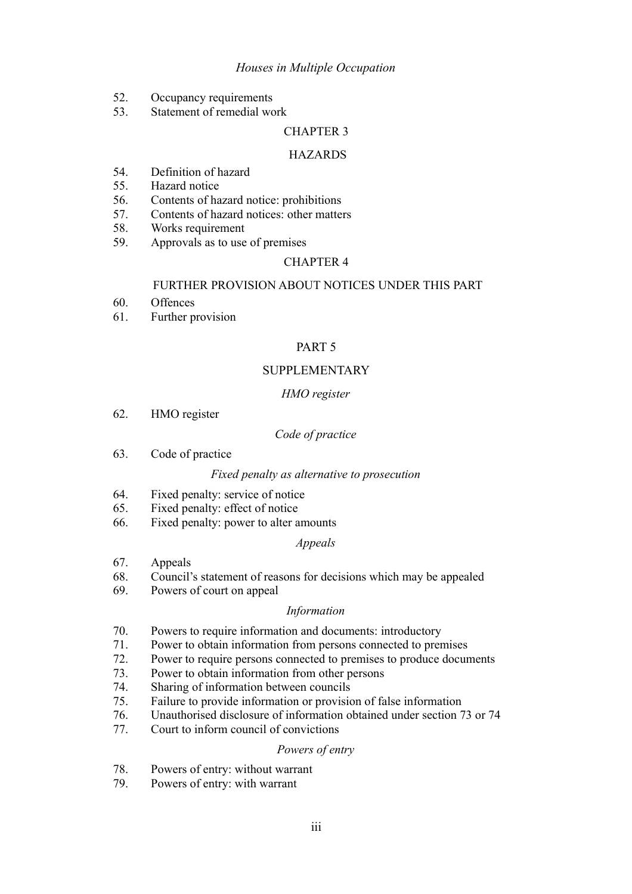- 52. Occupancy requirements
- 53. Statement of remedial work

# CHAPTER 3

# **HAZARDS**

- 54. Definition of hazard
- 55. Hazard notice
- 56. Contents of hazard notice: prohibitions
- 57. Contents of hazard notices: other matters
- 58. Works requirement
- 59. Approvals as to use of premises

# CHAPTER 4

# FURTHER PROVISION ABOUT NOTICES UNDER THIS PART

- 60. Offences
- 61. Further provision

# PART 5

# SUPPLEMENTARY

# *HMO register*

62. HMO register

# *Code of practice*

63. Code of practice

# *Fixed penalty as alternative to prosecution*

- 64. Fixed penalty: service of notice
- 65. Fixed penalty: effect of notice
- 66. Fixed penalty: power to alter amounts

# *Appeals*

- 67. Appeals
- 68. Council's statement of reasons for decisions which may be appealed
- 69. Powers of court on appeal

# *Information*

- 70. Powers to require information and documents: introductory
- 71. Power to obtain information from persons connected to premises
- 72. Power to require persons connected to premises to produce documents
- 73. Power to obtain information from other persons
- 74. Sharing of information between councils
- 75. Failure to provide information or provision of false information
- 76. Unauthorised disclosure of information obtained under section 73 or 74
- 77. Court to inform council of convictions

# *Powers of entry*

- 78. Powers of entry: without warrant
- 79. Powers of entry: with warrant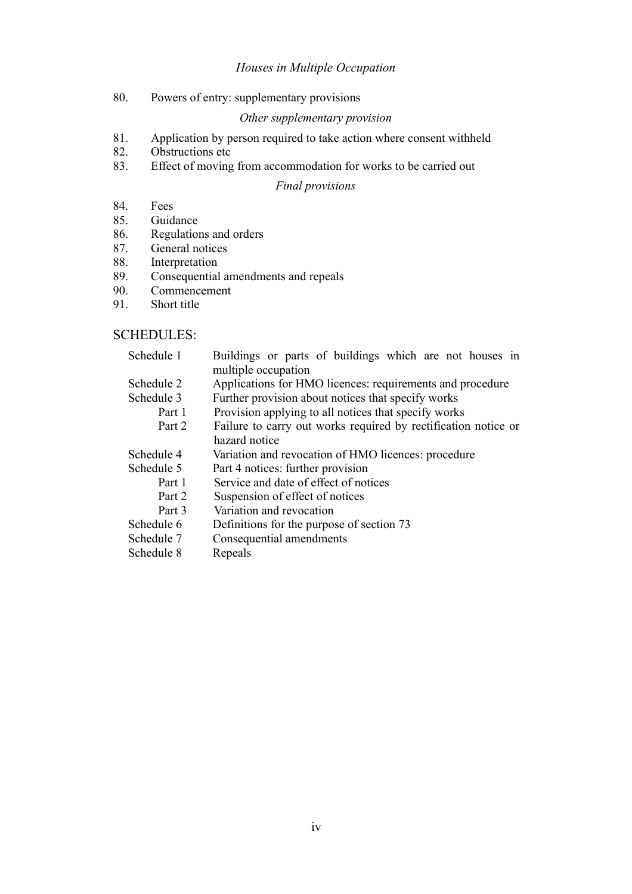80. Powers of entry: supplementary provisions

# *Other supplementary provision*

- 81. Application by person required to take action where consent withheld
- 82. Obstructions etc
- 83. Effect of moving from accommodation for works to be carried out

# *Final provisions*

- 84. Fees
- 85. Guidance
- 86. Regulations and orders
- 87. General notices
- 88. Interpretation<br>89. Consequential
- Consequential amendments and repeals
- 90. Commencement
- 91. Short title

# SCHEDULES:

| Schedule 1 | Buildings or parts of buildings which are not houses in<br>multiple occupation |  |  |
|------------|--------------------------------------------------------------------------------|--|--|
| Schedule 2 | Applications for HMO licences: requirements and procedure                      |  |  |
| Schedule 3 | Further provision about notices that specify works                             |  |  |
| Part 1     | Provision applying to all notices that specify works                           |  |  |
| Part 2     | Failure to carry out works required by rectification notice or                 |  |  |
|            | hazard notice                                                                  |  |  |
| Schedule 4 | Variation and revocation of HMO licences: procedure                            |  |  |
| Schedule 5 | Part 4 notices: further provision                                              |  |  |
| Part 1     | Service and date of effect of notices                                          |  |  |
| Part 2     | Suspension of effect of notices                                                |  |  |
| Part 3     | Variation and revocation                                                       |  |  |
| Schedule 6 | Definitions for the purpose of section 73                                      |  |  |
| Schedule 7 | Consequential amendments                                                       |  |  |
| Schedule 8 | Repeals                                                                        |  |  |
|            |                                                                                |  |  |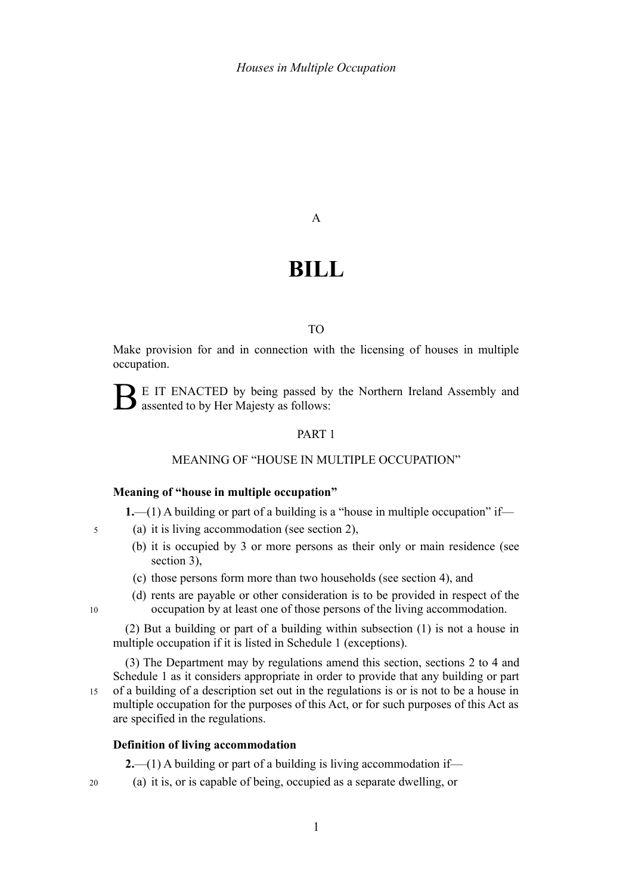# A

# **BILL**

## TO

Make provision for and in connection with the licensing of houses in multiple occupation.

E IT ENACTED by being passed by the Northern Ireland Assembly and assented to by Her Majesty as follows:

#### PART 1

# MEANING OF "HOUSE IN MULTIPLE OCCUPATION"

#### **Meaning of "house in multiple occupation"**

**1.**—(1) A building or part of a building is a "house in multiple occupation" if—

- (a) it is living accommodation (see section [2\)](#page-4-0),
	- (b) it is occupied by 3 or more persons as their only or main residence (see section [3\)](#page-5-0),
	- (c) those persons form more than two households (see section [4\)](#page-6-0), and
	- (d) rents are payable or other consideration is to be provided in respect of the occupation by at least one of those persons of the living accommodation.

(2) But a building or part of a building within subsection (1) is not a house in multiple occupation if it is listed in Schedule [1](#page-55-0) (exceptions).

(3) The Department may by regulations amend this section, sections [2](#page-4-0) to [4](#page-6-0) and Schedule [1](#page-55-0) as it considers appropriate in order to provide that any building or part of a building of a description set out in the regulations is or is not to be a house in multiple occupation for the purposes of this Act, or for such purposes of this Act as are specified in the regulations. 15

#### **Definition of living accommodation**

<span id="page-4-0"></span>**2.**—(1) A building or part of a building is living accommodation if—

(a) it is, or is capable of being, occupied as a separate dwelling, or

10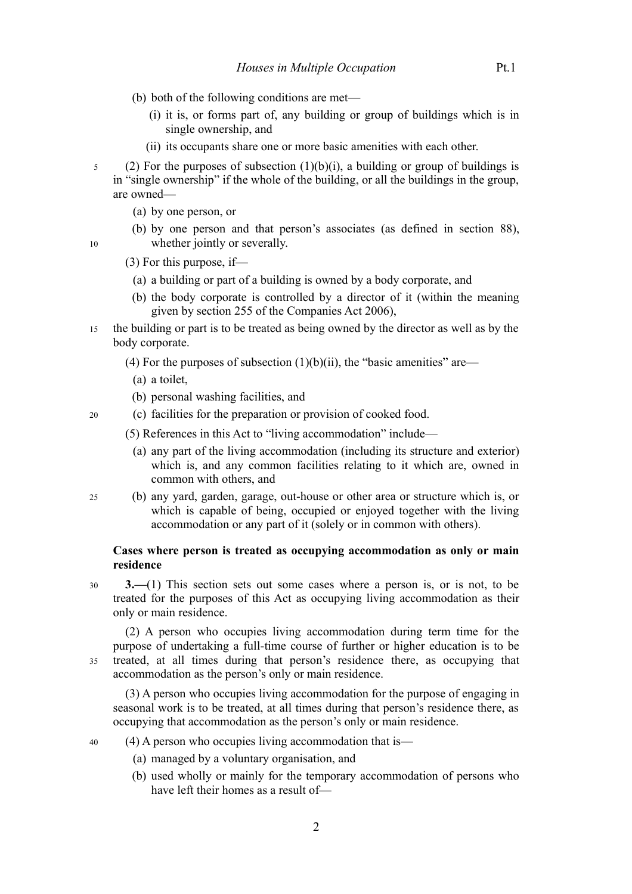- (b) both of the following conditions are met—
	- (i) it is, or forms part of, any building or group of buildings which is in single ownership, and
	- (ii) its occupants share one or more basic amenities with each other.
- (2) For the purposes of subsection  $(1)(b)(i)$ , a building or group of buildings is in "single ownership" if the whole of the building, or all the buildings in the group, are owned— 5
	- (a) by one person, or
	- (b) by one person and that person's associates (as defined in section [88\)](#page-52-0), whether jointly or severally.
- 10

20

(3) For this purpose, if—

- (a) a building or part of a building is owned by a body corporate, and
- (b) the body corporate is controlled by a director of it (within the meaning given by section 255 of the Companies Act 2006),
- the building or part is to be treated as being owned by the director as well as by the body corporate. 15
	- (4) For the purposes of subsection  $(1)(b)(ii)$ , the "basic amenities" are—
		- (a) a toilet,
		- (b) personal washing facilities, and
	- (c) facilities for the preparation or provision of cooked food.
		- (5) References in this Act to "living accommodation" include—
			- (a) any part of the living accommodation (including its structure and exterior) which is, and any common facilities relating to it which are, owned in common with others, and
- (b) any yard, garden, garage, out-house or other area or structure which is, or which is capable of being, occupied or enjoyed together with the living accommodation or any part of it (solely or in common with others). 25

# <span id="page-5-0"></span>**Cases where person is treated as occupying accommodation as only or main residence**

**3.—**(1) This section sets out some cases where a person is, or is not, to be treated for the purposes of this Act as occupying living accommodation as their only or main residence. 30

(2) A person who occupies living accommodation during term time for the purpose of undertaking a full-time course of further or higher education is to be treated, at all times during that person's residence there, as occupying that accommodation as the person's only or main residence. 35

(3) A person who occupies living accommodation for the purpose of engaging in seasonal work is to be treated, at all times during that person's residence there, as occupying that accommodation as the person's only or main residence.

- (4) A person who occupies living accommodation that is— 40
	- (a) managed by a voluntary organisation, and
	- (b) used wholly or mainly for the temporary accommodation of persons who have left their homes as a result of—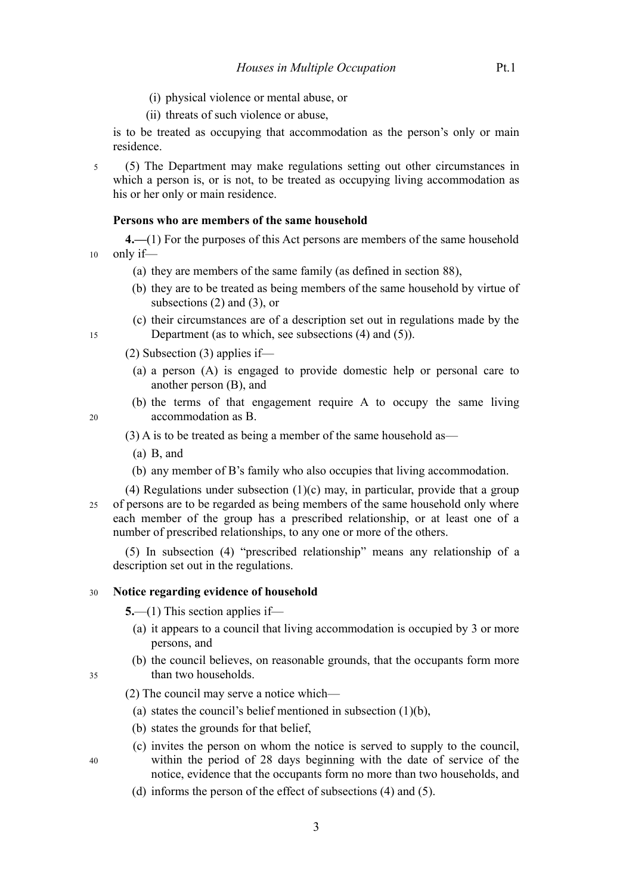- (i) physical violence or mental abuse, or
- (ii) threats of such violence or abuse,

is to be treated as occupying that accommodation as the person's only or main residence.

(5) The Department may make regulations setting out other circumstances in which a person is, or is not, to be treated as occupying living accommodation as his or her only or main residence. 5

#### <span id="page-6-0"></span>**Persons who are members of the same household**

**4.—**(1) For the purposes of this Act persons are members of the same household only if— 10

- (a) they are members of the same family (as defined in section [88\)](#page-52-0),
- (b) they are to be treated as being members of the same household by virtue of subsections (2) and (3), or
- (c) their circumstances are of a description set out in regulations made by the Department (as to which, see subsections (4) and (5)).
- (2) Subsection (3) applies if—
	- (a) a person (A) is engaged to provide domestic help or personal care to another person (B), and
	- (b) the terms of that engagement require A to occupy the same living accommodation as B.

20

35

40

15

(3) A is to be treated as being a member of the same household as—

- (a) B, and
- (b) any member of B's family who also occupies that living accommodation.
- (4) Regulations under subsection (1)(c) may, in particular, provide that a group of persons are to be regarded as being members of the same household only where each member of the group has a prescribed relationship, or at least one of a number of prescribed relationships, to any one or more of the others.  $25$

(5) In subsection (4) "prescribed relationship" means any relationship of a description set out in the regulations.

#### **Notice regarding evidence of household**  30

<span id="page-6-1"></span>**5.**—(1) This section applies if—

- (a) it appears to a council that living accommodation is occupied by 3 or more persons, and
- (b) the council believes, on reasonable grounds, that the occupants form more than two households.
- (2) The council may serve a notice which—
- (a) states the council's belief mentioned in subsection  $(1)(b)$ ,
- (b) states the grounds for that belief,
- (c) invites the person on whom the notice is served to supply to the council, within the period of 28 days beginning with the date of service of the notice, evidence that the occupants form no more than two households, and
- (d) informs the person of the effect of subsections (4) and (5).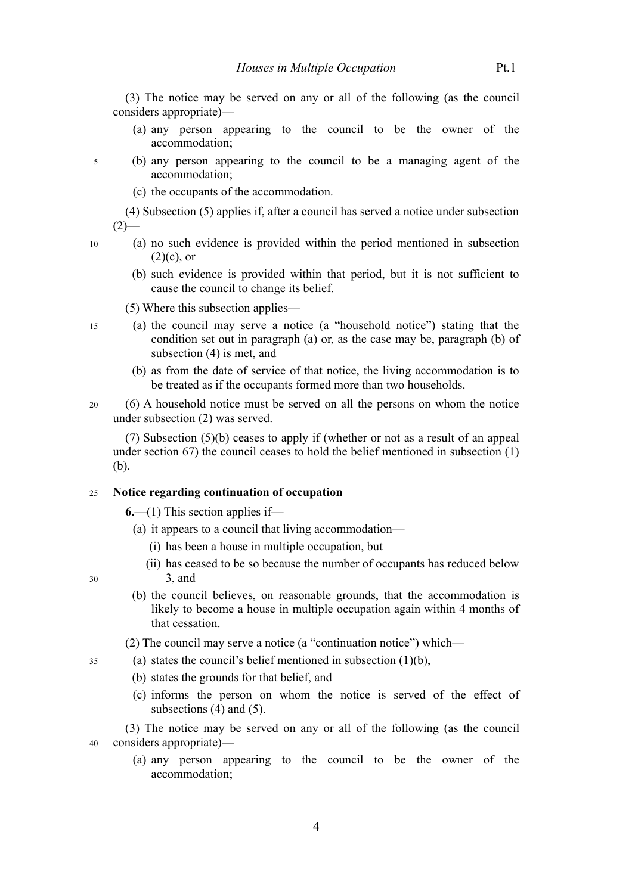(3) The notice may be served on any or all of the following (as the council considers appropriate)—

- (a) any person appearing to the council to be the owner of the accommodation;
- (b) any person appearing to the council to be a managing agent of the accommodation;
	- (c) the occupants of the accommodation.

(4) Subsection (5) applies if, after a council has served a notice under subsection  $(2)$ —

- (a) no such evidence is provided within the period mentioned in subsection  $(2)(c)$ , or
	- (b) such evidence is provided within that period, but it is not sufficient to cause the council to change its belief.

(5) Where this subsection applies—

- (a) the council may serve a notice (a "household notice") stating that the condition set out in paragraph (a) or, as the case may be, paragraph (b) of subsection (4) is met, and
	- (b) as from the date of service of that notice, the living accommodation is to be treated as if the occupants formed more than two households.
- (6) A household notice must be served on all the persons on whom the notice under subsection (2) was served. 20

(7) Subsection (5)(b) ceases to apply if (whether or not as a result of an appeal under section [67\)](#page-40-0) the council ceases to hold the belief mentioned in subsection (1) (b).

#### **Notice regarding continuation of occupation**  25

**6.**—(1) This section applies if—

- (a) it appears to a council that living accommodation—
	- (i) has been a house in multiple occupation, but
	- (ii) has ceased to be so because the number of occupants has reduced below 3, and

30

5

10

15

(b) the council believes, on reasonable grounds, that the accommodation is likely to become a house in multiple occupation again within 4 months of that cessation.

(2) The council may serve a notice (a "continuation notice") which—

- (a) states the council's belief mentioned in subsection (1)(b), 35
	- (b) states the grounds for that belief, and
	- (c) informs the person on whom the notice is served of the effect of subsections (4) and (5).

(3) The notice may be served on any or all of the following (as the council considers appropriate)— 40

> (a) any person appearing to the council to be the owner of the accommodation;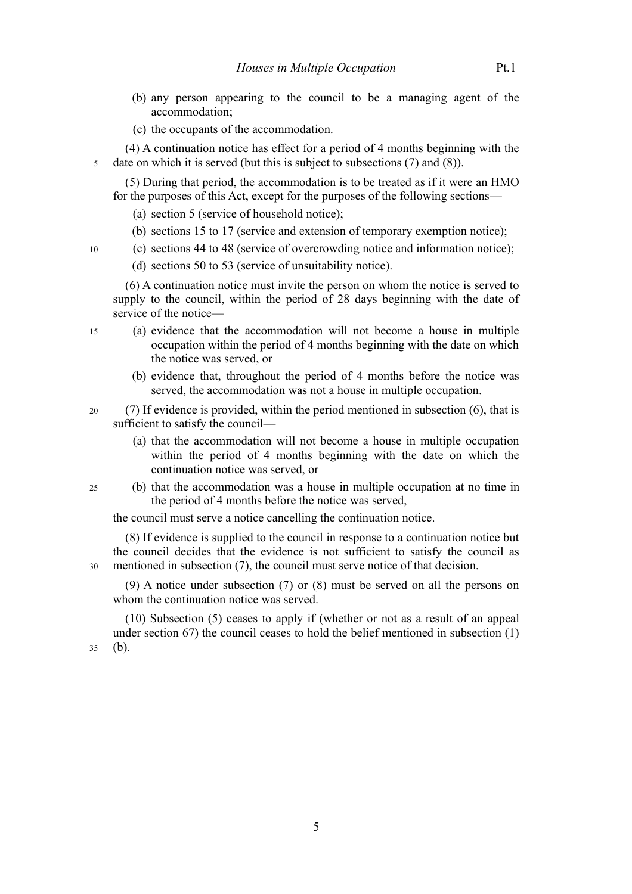- (b) any person appearing to the council to be a managing agent of the accommodation;
- (c) the occupants of the accommodation.

(4) A continuation notice has effect for a period of 4 months beginning with the date on which it is served (but this is subject to subsections (7) and (8)). 5

(5) During that period, the accommodation is to be treated as if it were an HMO for the purposes of this Act, except for the purposes of the following sections—

(a) section [5](#page-6-1) (service of household notice);

10

- (b) sections [15](#page-14-0) to [17](#page-15-0) (service and extension of temporary exemption notice);
- (c) sections [44](#page-28-0) to [48](#page-29-0) (service of overcrowding notice and information notice);
	- (d) sections [50](#page-31-0) to [53](#page-32-0) (service of unsuitability notice).

(6) A continuation notice must invite the person on whom the notice is served to supply to the council, within the period of 28 days beginning with the date of service of the notice—

- (a) evidence that the accommodation will not become a house in multiple occupation within the period of 4 months beginning with the date on which the notice was served, or 15
	- (b) evidence that, throughout the period of 4 months before the notice was served, the accommodation was not a house in multiple occupation.
- (7) If evidence is provided, within the period mentioned in subsection (6), that is sufficient to satisfy the council— 20
	- (a) that the accommodation will not become a house in multiple occupation within the period of 4 months beginning with the date on which the continuation notice was served, or
- (b) that the accommodation was a house in multiple occupation at no time in the period of 4 months before the notice was served,  $25$

the council must serve a notice cancelling the continuation notice.

(8) If evidence is supplied to the council in response to a continuation notice but the council decides that the evidence is not sufficient to satisfy the council as mentioned in subsection (7), the council must serve notice of that decision. 30

(9) A notice under subsection (7) or (8) must be served on all the persons on whom the continuation notice was served.

(10) Subsection (5) ceases to apply if (whether or not as a result of an appeal under section [67\)](#page-40-0) the council ceases to hold the belief mentioned in subsection (1) (b). 35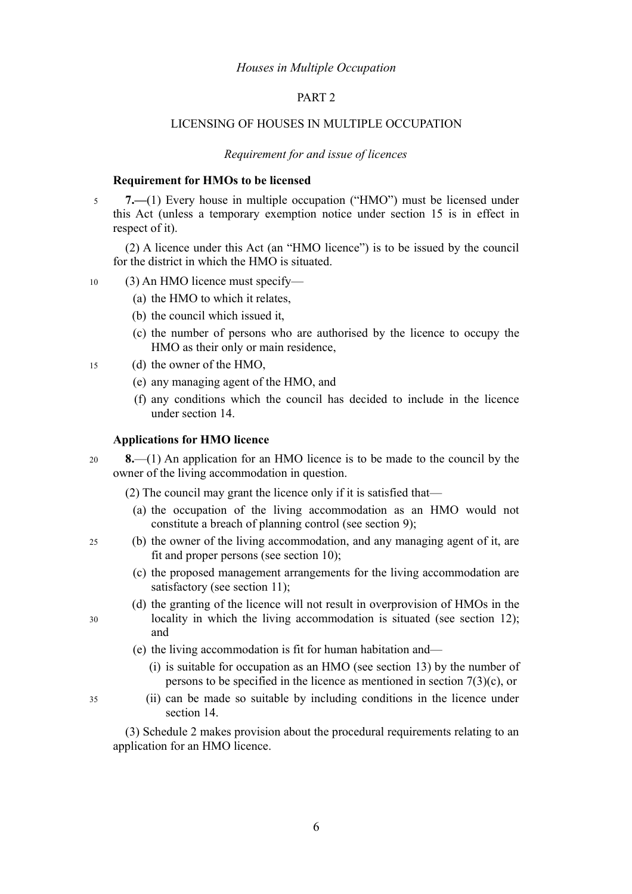# PART 2

# LICENSING OF HOUSES IN MULTIPLE OCCUPATION

#### *Requirement for and issue of licences*

# <span id="page-9-0"></span>**Requirement for HMOs to be licensed**

**7.—**(1) Every house in multiple occupation ("HMO") must be licensed under this Act (unless a temporary exemption notice under section [15](#page-14-0) is in effect in respect of it). 5

(2) A licence under this Act (an "HMO licence") is to be issued by the council for the district in which the HMO is situated.

#### (3) An HMO licence must specify— 10

- (a) the HMO to which it relates,
- (b) the council which issued it,
- (c) the number of persons who are authorised by the licence to occupy the HMO as their only or main residence,
- (d) the owner of the HMO, 15
	- (e) any managing agent of the HMO, and
	- (f) any conditions which the council has decided to include in the licence under section [14.](#page-13-0)

# <span id="page-9-1"></span>**Applications for HMO licence**

**8.**—(1) An application for an HMO licence is to be made to the council by the owner of the living accommodation in question. 20

(2) The council may grant the licence only if it is satisfied that—

- (a) the occupation of the living accommodation as an HMO would not constitute a breach of planning control (see section [9\)](#page-10-1);
- (b) the owner of the living accommodation, and any managing agent of it, are fit and proper persons (see section [10\)](#page-10-0); 25
	- (c) the proposed management arrangements for the living accommodation are satisfactory (see section [11\)](#page-11-1);
	- (d) the granting of the licence will not result in overprovision of HMOs in the locality in which the living accommodation is situated (see section [12\)](#page-11-0); and
	- (e) the living accommodation is fit for human habitation and—
		- (i) is suitable for occupation as an HMO (see section [13\)](#page-12-0) by the number of persons to be specified in the licence as mentioned in section [7\(](#page-9-0)3)(c), or
	- (ii) can be made so suitable by including conditions in the licence under section [14.](#page-13-0)

(3) Schedule [2](#page-57-0) makes provision about the procedural requirements relating to an application for an HMO licence.

30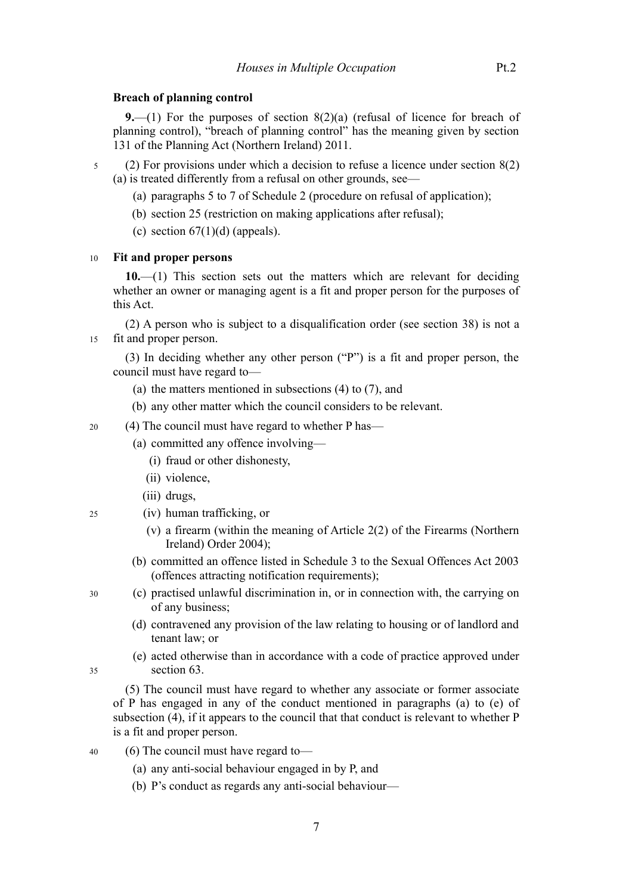# **Breach of planning control**

<span id="page-10-1"></span>**9.**—(1) For the purposes of section [8\(](#page-9-1)2)(a) (refusal of licence for breach of planning control), "breach of planning control" has the meaning given by section 131 of the Planning Act (Northern Ireland) 2011.

- (2) For provisions under which a decision to refuse a licence under section [8\(](#page-9-1)2) (a) is treated differently from a refusal on other grounds, see— 5
	- (a) paragraphs 5 to 7 of Schedule [2](#page-57-0) (procedure on refusal of application);
	- (b) section [25](#page-18-0) (restriction on making applications after refusal);
	- (c) section  $67(1)(d)$  (appeals).

#### **Fit and proper persons**  10

<span id="page-10-0"></span>**10.**—(1) This section sets out the matters which are relevant for deciding whether an owner or managing agent is a fit and proper person for the purposes of this Act.

(2) A person who is subject to a disqualification order (see section [38\)](#page-25-0) is not a fit and proper person. 15

(3) In deciding whether any other person ("P") is a fit and proper person, the council must have regard to—

- (a) the matters mentioned in subsections (4) to (7), and
- (b) any other matter which the council considers to be relevant.

(4) The council must have regard to whether P has— 20

- (a) committed any offence involving—
	- (i) fraud or other dishonesty,
	- (ii) violence,
	- (iii) drugs,
- (iv) human trafficking, or 25
	- (v) a firearm (within the meaning of Article 2(2) of the Firearms (Northern Ireland) Order 2004);
	- (b) committed an offence listed in Schedule 3 to the Sexual Offences Act 2003 (offences attracting notification requirements);
	- (c) practised unlawful discrimination in, or in connection with, the carrying on of any business;
		- (d) contravened any provision of the law relating to housing or of landlord and tenant law; or
		- (e) acted otherwise than in accordance with a code of practice approved under section [63.](#page-37-0)

(5) The council must have regard to whether any associate or former associate of P has engaged in any of the conduct mentioned in paragraphs (a) to (e) of subsection (4), if it appears to the council that that conduct is relevant to whether P is a fit and proper person.

- (6) The council must have regard to— 40
	- (a) any anti-social behaviour engaged in by P, and
	- (b) P's conduct as regards any anti-social behaviour—
- 30
-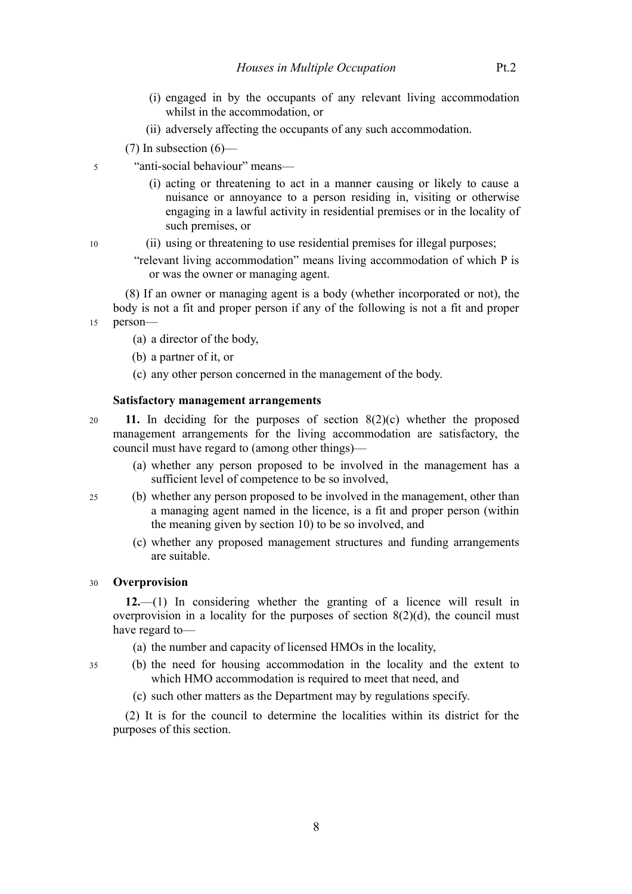- (i) engaged in by the occupants of any relevant living accommodation whilst in the accommodation, or
- (ii) adversely affecting the occupants of any such accommodation.

(7) In subsection  $(6)$ —

- "anti-social behaviour" means— 5
	- (i) acting or threatening to act in a manner causing or likely to cause a nuisance or annoyance to a person residing in, visiting or otherwise engaging in a lawful activity in residential premises or in the locality of such premises, or
- 10

15

- (ii) using or threatening to use residential premises for illegal purposes;
- "relevant living accommodation" means living accommodation of which P is or was the owner or managing agent.

(8) If an owner or managing agent is a body (whether incorporated or not), the body is not a fit and proper person if any of the following is not a fit and proper person—

- (a) a director of the body,
- (b) a partner of it, or
- (c) any other person concerned in the management of the body.

#### <span id="page-11-1"></span>**Satisfactory management arrangements**

- **11.** In deciding for the purposes of section [8\(](#page-9-1)2)(c) whether the proposed management arrangements for the living accommodation are satisfactory, the council must have regard to (among other things)— 20
	- (a) whether any person proposed to be involved in the management has a sufficient level of competence to be so involved,
- (b) whether any person proposed to be involved in the management, other than a managing agent named in the licence, is a fit and proper person (within the meaning given by section [10\)](#page-10-0) to be so involved, and 25
	- (c) whether any proposed management structures and funding arrangements are suitable.

#### **Overprovision**  30

35

<span id="page-11-0"></span>**12.**—(1) In considering whether the granting of a licence will result in overprovision in a locality for the purposes of section  $8(2)(d)$ , the council must have regard to—

- (a) the number and capacity of licensed HMOs in the locality,
- (b) the need for housing accommodation in the locality and the extent to which HMO accommodation is required to meet that need, and
	- (c) such other matters as the Department may by regulations specify.

(2) It is for the council to determine the localities within its district for the purposes of this section.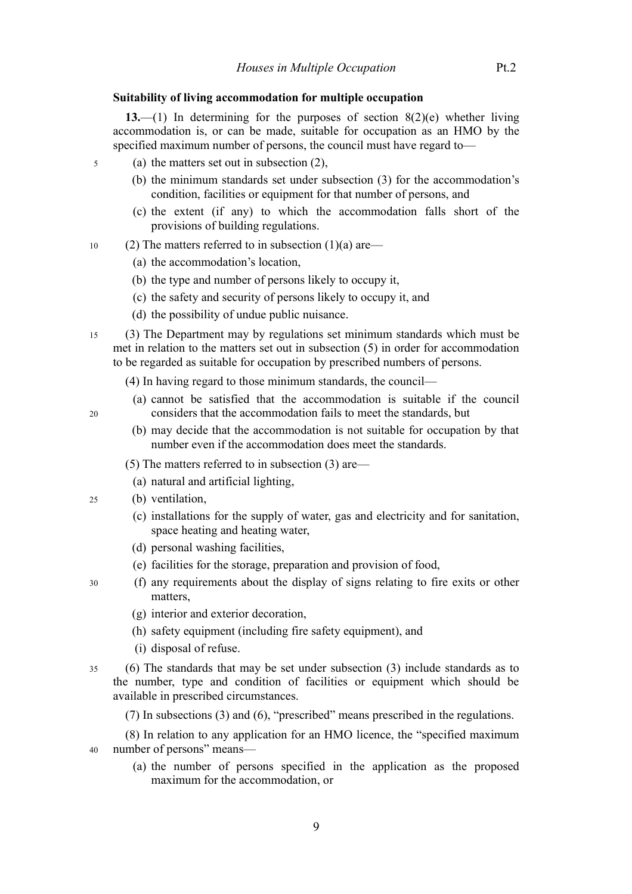# **Suitability of living accommodation for multiple occupation**

<span id="page-12-0"></span>**13.**—(1) In determining for the purposes of section [8\(](#page-9-1)2)(e) whether living accommodation is, or can be made, suitable for occupation as an HMO by the specified maximum number of persons, the council must have regard to—

- (a) the matters set out in subsection (2), 5
	- (b) the minimum standards set under subsection (3) for the accommodation's condition, facilities or equipment for that number of persons, and
	- (c) the extent (if any) to which the accommodation falls short of the provisions of building regulations.
- (2) The matters referred to in subsection  $(1)(a)$  are— 10
	- (a) the accommodation's location,
	- (b) the type and number of persons likely to occupy it,
	- (c) the safety and security of persons likely to occupy it, and
	- (d) the possibility of undue public nuisance.

(3) The Department may by regulations set minimum standards which must be met in relation to the matters set out in subsection (5) in order for accommodation to be regarded as suitable for occupation by prescribed numbers of persons. 15

- (4) In having regard to those minimum standards, the council—
	- (a) cannot be satisfied that the accommodation is suitable if the council considers that the accommodation fails to meet the standards, but
- 20
- (b) may decide that the accommodation is not suitable for occupation by that number even if the accommodation does meet the standards.
- (5) The matters referred to in subsection (3) are—
- (a) natural and artificial lighting,
- (b) ventilation, 25
	- (c) installations for the supply of water, gas and electricity and for sanitation, space heating and heating water,
	- (d) personal washing facilities,
	- (e) facilities for the storage, preparation and provision of food,
- (f) any requirements about the display of signs relating to fire exits or other matters, 30
	- (g) interior and exterior decoration,
	- (h) safety equipment (including fire safety equipment), and
	- (i) disposal of refuse.
- (6) The standards that may be set under subsection (3) include standards as to the number, type and condition of facilities or equipment which should be available in prescribed circumstances. 35

(7) In subsections (3) and (6), "prescribed" means prescribed in the regulations.

(8) In relation to any application for an HMO licence, the "specified maximum number of persons" means— 40

> (a) the number of persons specified in the application as the proposed maximum for the accommodation, or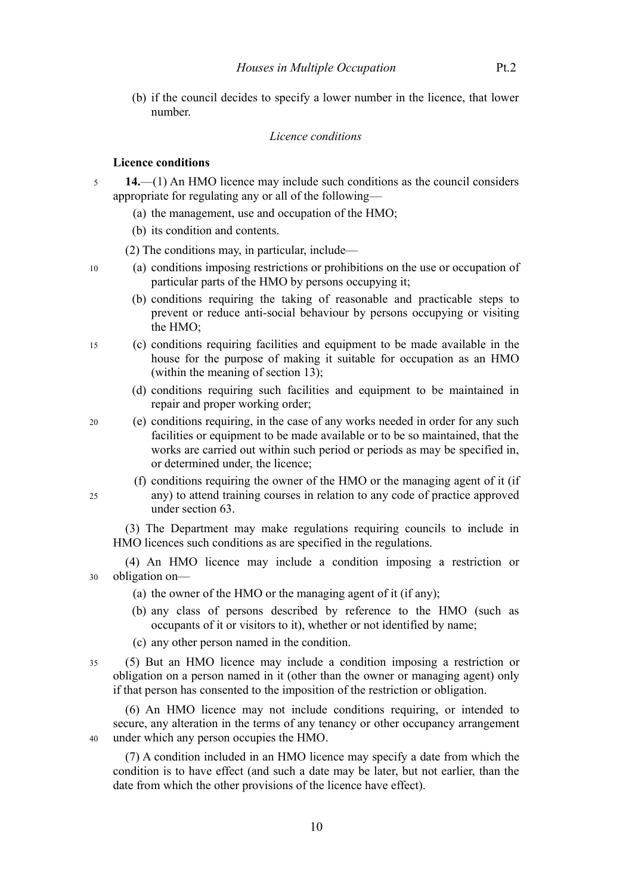(b) if the council decides to specify a lower number in the licence, that lower number.

#### *Licence conditions*

## <span id="page-13-0"></span>**Licence conditions**

- **14.**—(1) An HMO licence may include such conditions as the council considers appropriate for regulating any or all of the following— 5
	- (a) the management, use and occupation of the HMO;
	- (b) its condition and contents.

(2) The conditions may, in particular, include—

- (a) conditions imposing restrictions or prohibitions on the use or occupation of particular parts of the HMO by persons occupying it; 10
	- (b) conditions requiring the taking of reasonable and practicable steps to prevent or reduce anti-social behaviour by persons occupying or visiting the HMO;
- (c) conditions requiring facilities and equipment to be made available in the house for the purpose of making it suitable for occupation as an HMO (within the meaning of section [13\)](#page-12-0); 15
	- (d) conditions requiring such facilities and equipment to be maintained in repair and proper working order;

(e) conditions requiring, in the case of any works needed in order for any such facilities or equipment to be made available or to be so maintained, that the works are carried out within such period or periods as may be specified in, or determined under, the licence;

25

 $20$ 

(f) conditions requiring the owner of the HMO or the managing agent of it (if any) to attend training courses in relation to any code of practice approved under section [63.](#page-37-0)

(3) The Department may make regulations requiring councils to include in HMO licences such conditions as are specified in the regulations.

(4) An HMO licence may include a condition imposing a restriction or obligation on— 30

- (a) the owner of the HMO or the managing agent of it (if any);
- (b) any class of persons described by reference to the HMO (such as occupants of it or visitors to it), whether or not identified by name;
- (c) any other person named in the condition.

35

(5) But an HMO licence may include a condition imposing a restriction or obligation on a person named in it (other than the owner or managing agent) only if that person has consented to the imposition of the restriction or obligation.

(6) An HMO licence may not include conditions requiring, or intended to secure, any alteration in the terms of any tenancy or other occupancy arrangement under which any person occupies the HMO. 40

(7) A condition included in an HMO licence may specify a date from which the condition is to have effect (and such a date may be later, but not earlier, than the date from which the other provisions of the licence have effect).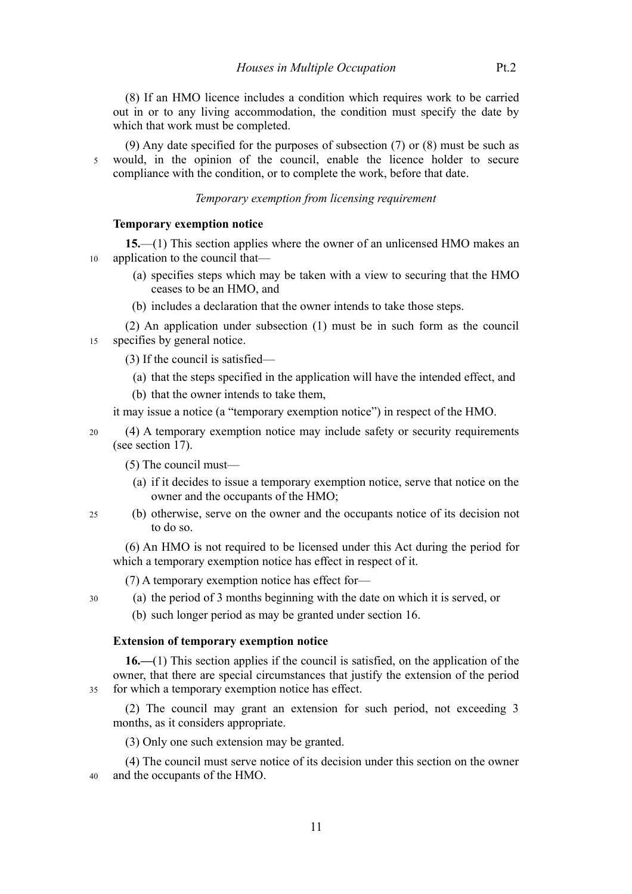(8) If an HMO licence includes a condition which requires work to be carried out in or to any living accommodation, the condition must specify the date by which that work must be completed.

(9) Any date specified for the purposes of subsection (7) or (8) must be such as would, in the opinion of the council, enable the licence holder to secure compliance with the condition, or to complete the work, before that date. 5

## *Temporary exemption from licensing requirement*

#### <span id="page-14-0"></span>**Temporary exemption notice**

**15.**—(1) This section applies where the owner of an unlicensed HMO makes an application to the council that— 10

- (a) specifies steps which may be taken with a view to securing that the HMO ceases to be an HMO, and
- (b) includes a declaration that the owner intends to take those steps.

(2) An application under subsection (1) must be in such form as the council specifies by general notice. 15

(3) If the council is satisfied—

- (a) that the steps specified in the application will have the intended effect, and
- (b) that the owner intends to take them,

it may issue a notice (a "temporary exemption notice") in respect of the HMO.

(4) A temporary exemption notice may include safety or security requirements (see section [17\)](#page-15-0). 20

(5) The council must—

- (a) if it decides to issue a temporary exemption notice, serve that notice on the owner and the occupants of the HMO;
- (b) otherwise, serve on the owner and the occupants notice of its decision not to do so. 25

(6) An HMO is not required to be licensed under this Act during the period for which a temporary exemption notice has effect in respect of it.

(7) A temporary exemption notice has effect for—

30

35

(a) the period of 3 months beginning with the date on which it is served, or

(b) such longer period as may be granted under section [16.](#page-14-1)

# <span id="page-14-1"></span>**Extension of temporary exemption notice**

**16.—**(1) This section applies if the council is satisfied, on the application of the owner, that there are special circumstances that justify the extension of the period for which a temporary exemption notice has effect.

(2) The council may grant an extension for such period, not exceeding 3 months, as it considers appropriate.

(3) Only one such extension may be granted.

(4) The council must serve notice of its decision under this section on the owner and the occupants of the HMO. 40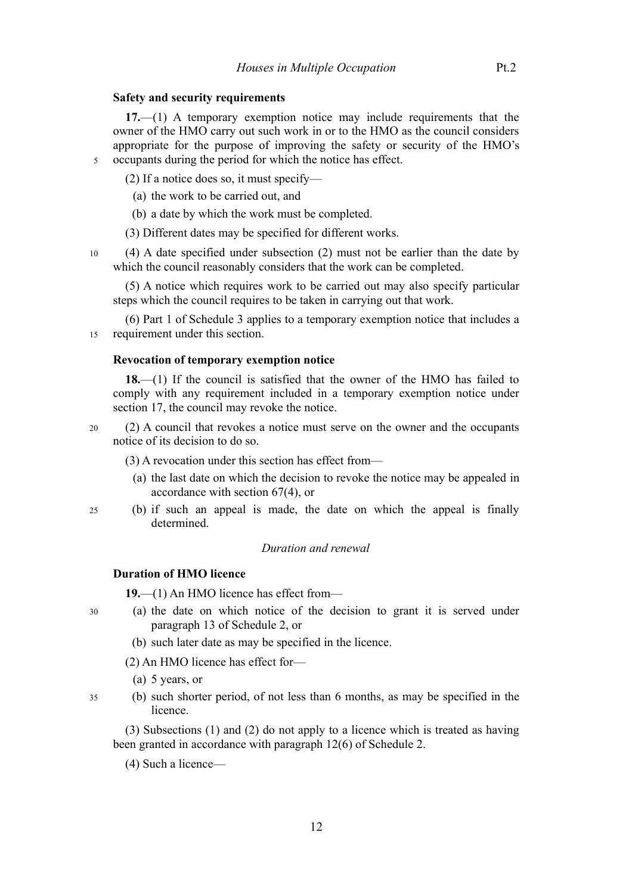# <span id="page-15-0"></span>**Safety and security requirements**

**17.**—(1) A temporary exemption notice may include requirements that the owner of the HMO carry out such work in or to the HMO as the council considers appropriate for the purpose of improving the safety or security of the HMO's occupants during the period for which the notice has effect. 5

(2) If a notice does so, it must specify—

- (a) the work to be carried out, and
- (b) a date by which the work must be completed.

(3) Different dates may be specified for different works.

10

(4) A date specified under subsection (2) must not be earlier than the date by which the council reasonably considers that the work can be completed.

(5) A notice which requires work to be carried out may also specify particular steps which the council requires to be taken in carrying out that work.

(6) Part 1 of Schedule [3](#page-62-0) applies to a temporary exemption notice that includes a requirement under this section. 15

## **Revocation of temporary exemption notice**

**18.**—(1) If the council is satisfied that the owner of the HMO has failed to comply with any requirement included in a temporary exemption notice under section [17,](#page-15-0) the council may revoke the notice.

 $20$ 

(2) A council that revokes a notice must serve on the owner and the occupants notice of its decision to do so.

(3) A revocation under this section has effect from—

(a) the last date on which the decision to revoke the notice may be appealed in accordance with section 67(4), or

(b) if such an appeal is made, the date on which the appeal is finally

25

30

# determined.

## *Duration and renewal*

# **Duration of HMO licence**

<span id="page-15-1"></span>**19.**—(1) An HMO licence has effect from—

- (a) the date on which notice of the decision to grant it is served under paragraph 13 of Schedule [2,](#page-57-0) or
	- (b) such later date as may be specified in the licence.
	- (2) An HMO licence has effect for—
		- (a) 5 years, or
- (b) such shorter period, of not less than 6 months, as may be specified in the licence. 35

(3) Subsections (1) and (2) do not apply to a licence which is treated as having been granted in accordance with paragraph 12(6) of Schedule [2.](#page-57-0)

(4) Such a licence—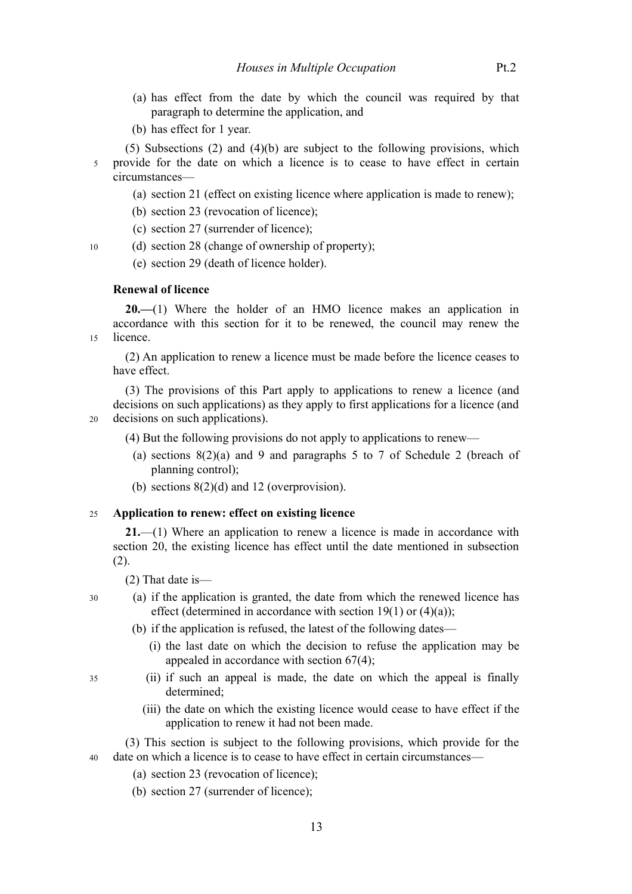- (a) has effect from the date by which the council was required by that paragraph to determine the application, and
- (b) has effect for 1 year.

(5) Subsections (2) and (4)(b) are subject to the following provisions, which provide for the date on which a licence is to cease to have effect in certain circumstances— 5

- (a) section [21](#page-16-1) (effect on existing licence where application is made to renew);
- (b) section [23](#page-17-0) (revocation of licence);
- (c) section [27](#page-19-0) (surrender of licence);
- (d) section [28](#page-19-1) (change of ownership of property); 10
	- (e) section [29](#page-20-0) (death of licence holder).

#### <span id="page-16-0"></span>**Renewal of licence**

15

30

35

**20.—**(1) Where the holder of an HMO licence makes an application in accordance with this section for it to be renewed, the council may renew the licence.

(2) An application to renew a licence must be made before the licence ceases to have effect.

(3) The provisions of this Part apply to applications to renew a licence (and decisions on such applications) as they apply to first applications for a licence (and decisions on such applications). 20

- (4) But the following provisions do not apply to applications to renew—
	- (a) sections  $8(2)(a)$  and 9 and paragraphs 5 to 7 of Schedule 2 (breach of planning control);
- (b) sections 8(2)(d) and 12 (overprovision).

#### **Application to renew: effect on existing licence**   $25$

<span id="page-16-1"></span>**21.**—(1) Where an application to renew a licence is made in accordance with section [20,](#page-16-0) the existing licence has effect until the date mentioned in subsection (2).

(2) That date is—

- (a) if the application is granted, the date from which the renewed licence has effect (determined in accordance with section [19\(](#page-15-1)1) or  $(4)(a)$ ;
	- (b) if the application is refused, the latest of the following dates—
		- (i) the last date on which the decision to refuse the application may be appealed in accordance with section 67(4);
	- (ii) if such an appeal is made, the date on which the appeal is finally determined;
		- (iii) the date on which the existing licence would cease to have effect if the application to renew it had not been made.
- (3) This section is subject to the following provisions, which provide for the date on which a licence is to cease to have effect in certain circumstances— 40
	- (a) section [23](#page-17-0) (revocation of licence);
	- (b) section [27](#page-19-0) (surrender of licence);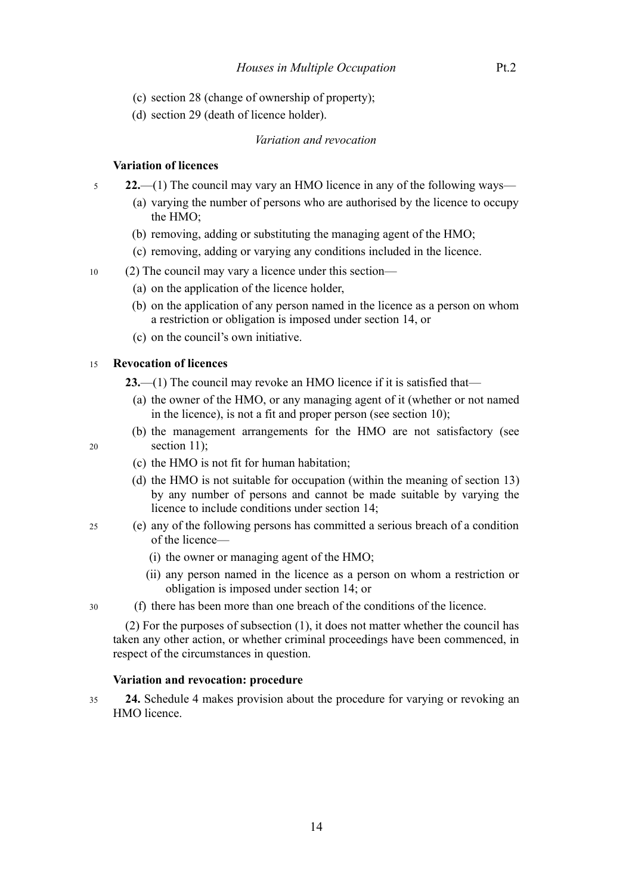- (c) section [28](#page-19-1) (change of ownership of property);
- (d) section [29](#page-20-0) (death of licence holder).

#### *Variation and revocation*

## **Variation of licences**

- **22.**—(1) The council may vary an HMO licence in any of the following ways— 5
	- (a) varying the number of persons who are authorised by the licence to occupy the HMO;
	- (b) removing, adding or substituting the managing agent of the HMO;
	- (c) removing, adding or varying any conditions included in the licence.

(2) The council may vary a licence under this section— 10

- (a) on the application of the licence holder,
- (b) on the application of any person named in the licence as a person on whom a restriction or obligation is imposed under section [14,](#page-13-0) or
- (c) on the council's own initiative.

#### **Revocation of licences**  15

- <span id="page-17-0"></span>**23.**—(1) The council may revoke an HMO licence if it is satisfied that—
	- (a) the owner of the HMO, or any managing agent of it (whether or not named in the licence), is not a fit and proper person (see section [10\)](#page-10-0);
	- (b) the management arrangements for the HMO are not satisfactory (see section [11\)](#page-11-1);

20

- (c) the HMO is not fit for human habitation;
- (d) the HMO is not suitable for occupation (within the meaning of section [13\)](#page-12-0) by any number of persons and cannot be made suitable by varying the licence to include conditions under section [14;](#page-13-0)
- (e) any of the following persons has committed a serious breach of a condition of the licence—  $25$ 
	- (i) the owner or managing agent of the HMO;
	- (ii) any person named in the licence as a person on whom a restriction or obligation is imposed under section [14;](#page-13-0) or
- (f) there has been more than one breach of the conditions of the licence. 30

(2) For the purposes of subsection (1), it does not matter whether the council has taken any other action, or whether criminal proceedings have been commenced, in respect of the circumstances in question.

# **Variation and revocation: procedure**

**24.** Schedule [4](#page-66-0) makes provision about the procedure for varying or revoking an HMO licence. 35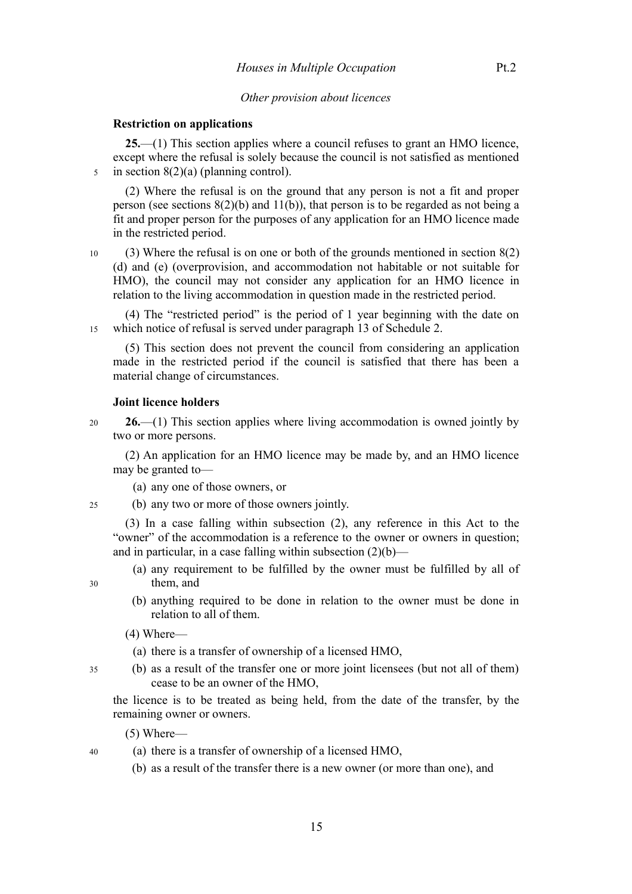#### *Other provision about licences*

#### <span id="page-18-0"></span>**Restriction on applications**

**25.**—(1) This section applies where a council refuses to grant an HMO licence, except where the refusal is solely because the council is not satisfied as mentioned  $\frac{1}{2}$  in section [8\(](#page-9-1)2)(a) (planning control).

(2) Where the refusal is on the ground that any person is not a fit and proper person (see sections  $8(2)(b)$  and  $11(b)$ ), that person is to be regarded as not being a fit and proper person for the purposes of any application for an HMO licence made in the restricted period.

(3) Where the refusal is on one or both of the grounds mentioned in section [8\(](#page-9-1)2) (d) and (e) (overprovision, and accommodation not habitable or not suitable for HMO), the council may not consider any application for an HMO licence in relation to the living accommodation in question made in the restricted period.

(4) The "restricted period" is the period of 1 year beginning with the date on which notice of refusal is served under paragraph 13 of Schedule [2.](#page-57-0) 15

(5) This section does not prevent the council from considering an application made in the restricted period if the council is satisfied that there has been a material change of circumstances.

#### **Joint licence holders**

10

30

35

40

**26.**—(1) This section applies where living accommodation is owned jointly by two or more persons. 20

(2) An application for an HMO licence may be made by, and an HMO licence may be granted to—

- (a) any one of those owners, or
- (b) any two or more of those owners jointly.  $25$

(3) In a case falling within subsection (2), any reference in this Act to the "owner" of the accommodation is a reference to the owner or owners in question; and in particular, in a case falling within subsection  $(2)(b)$ —

- (a) any requirement to be fulfilled by the owner must be fulfilled by all of them, and
- (b) anything required to be done in relation to the owner must be done in relation to all of them.
- (4) Where—
	- (a) there is a transfer of ownership of a licensed HMO,
- (b) as a result of the transfer one or more joint licensees (but not all of them) cease to be an owner of the HMO,

the licence is to be treated as being held, from the date of the transfer, by the remaining owner or owners.

(5) Where—

- (a) there is a transfer of ownership of a licensed HMO,
	- (b) as a result of the transfer there is a new owner (or more than one), and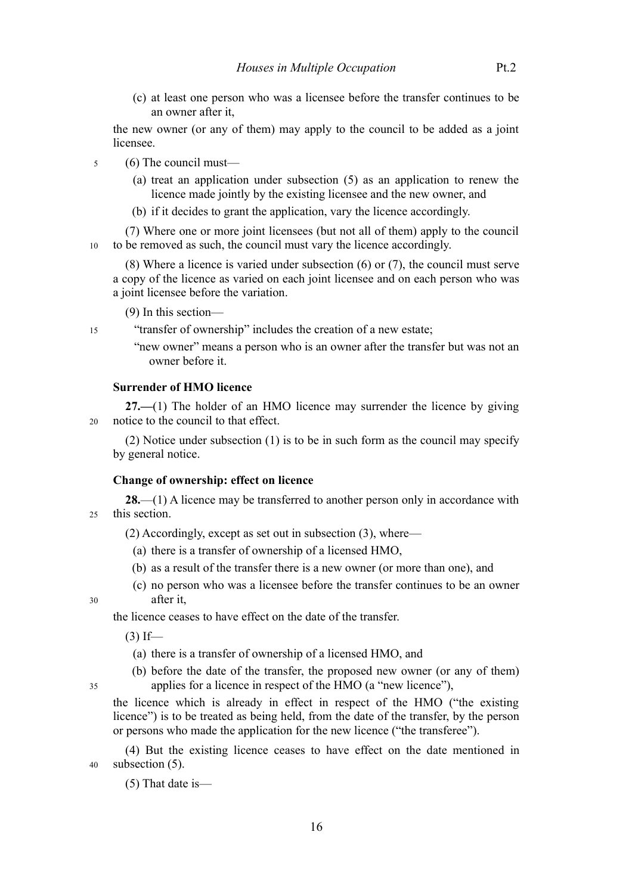(c) at least one person who was a licensee before the transfer continues to be an owner after it,

the new owner (or any of them) may apply to the council to be added as a joint licensee.

- (6) The council must— 5
	- (a) treat an application under subsection (5) as an application to renew the licence made jointly by the existing licensee and the new owner, and
	- (b) if it decides to grant the application, vary the licence accordingly.

(7) Where one or more joint licensees (but not all of them) apply to the council to be removed as such, the council must vary the licence accordingly. 10

(8) Where a licence is varied under subsection (6) or (7), the council must serve a copy of the licence as varied on each joint licensee and on each person who was a joint licensee before the variation.

(9) In this section—

15

- "transfer of ownership" includes the creation of a new estate;
- "new owner" means a person who is an owner after the transfer but was not an owner before it.

#### <span id="page-19-0"></span>**Surrender of HMO licence**

**27.—**(1) The holder of an HMO licence may surrender the licence by giving notice to the council to that effect. 20

(2) Notice under subsection (1) is to be in such form as the council may specify by general notice.

## <span id="page-19-1"></span>**Change of ownership: effect on licence**

**28.**—(1) A licence may be transferred to another person only in accordance with this section.  $25$ 

(2) Accordingly, except as set out in subsection (3), where—

- (a) there is a transfer of ownership of a licensed HMO,
- (b) as a result of the transfer there is a new owner (or more than one), and
- (c) no person who was a licensee before the transfer continues to be an owner after it,

30

35

the licence ceases to have effect on the date of the transfer.

 $(3)$  If—

- (a) there is a transfer of ownership of a licensed HMO, and
- (b) before the date of the transfer, the proposed new owner (or any of them) applies for a licence in respect of the HMO (a "new licence"),

the licence which is already in effect in respect of the HMO ("the existing licence") is to be treated as being held, from the date of the transfer, by the person or persons who made the application for the new licence ("the transferee").

(4) But the existing licence ceases to have effect on the date mentioned in subsection  $(5)$ . 40

(5) That date is—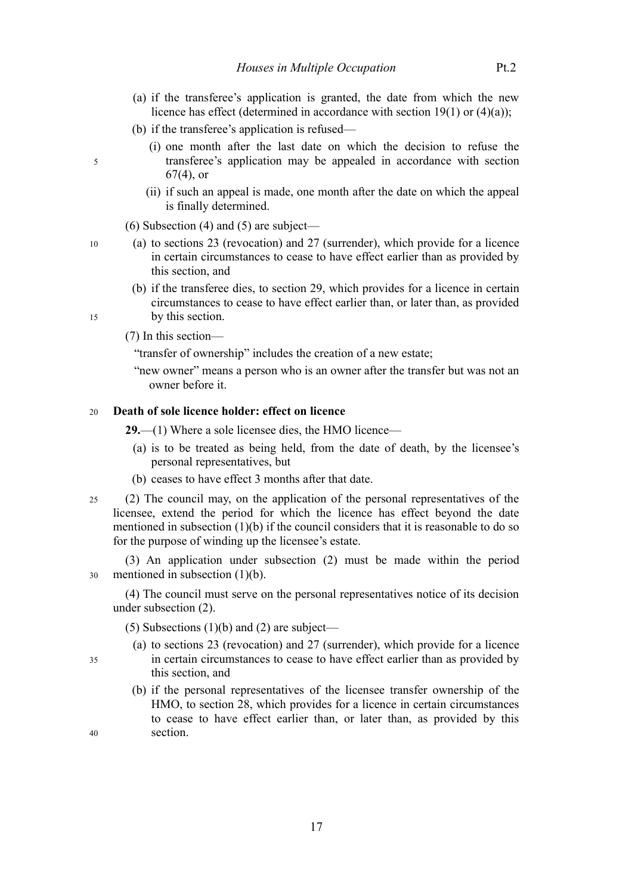- (a) if the transferee's application is granted, the date from which the new licence has effect (determined in accordance with section 19(1) or (4)(a));
- (b) if the transferee's application is refused—
	- (i) one month after the last date on which the decision to refuse the transferee's application may be appealed in accordance with section 67(4), or
	- (ii) if such an appeal is made, one month after the date on which the appeal is finally determined.

(6) Subsection (4) and (5) are subject—

- (a) to sections 23 (revocation) and 27 (surrender), which provide for a licence in certain circumstances to cease to have effect earlier than as provided by this section, and
	- (b) if the transferee dies, to section 29, which provides for a licence in certain circumstances to cease to have effect earlier than, or later than, as provided by this section.
	- (7) In this section—

"transfer of ownership" includes the creation of a new estate;

"new owner" means a person who is an owner after the transfer but was not an owner before it.

#### **Death of sole licence holder: effect on licence**  20

<span id="page-20-0"></span>**29.**—(1) Where a sole licensee dies, the HMO licence—

- (a) is to be treated as being held, from the date of death, by the licensee's personal representatives, but
- (b) ceases to have effect 3 months after that date.
- (2) The council may, on the application of the personal representatives of the licensee, extend the period for which the licence has effect beyond the date mentioned in subsection (1)(b) if the council considers that it is reasonable to do so for the purpose of winding up the licensee's estate.  $25$

(3) An application under subsection (2) must be made within the period mentioned in subsection (1)(b). 30

(4) The council must serve on the personal representatives notice of its decision under subsection (2).

(5) Subsections  $(1)(b)$  and  $(2)$  are subject—

- (a) to sections 23 (revocation) and 27 (surrender), which provide for a licence in certain circumstances to cease to have effect earlier than as provided by this section, and
	- (b) if the personal representatives of the licensee transfer ownership of the HMO, to section 28, which provides for a licence in certain circumstances to cease to have effect earlier than, or later than, as provided by this section.

5

15

10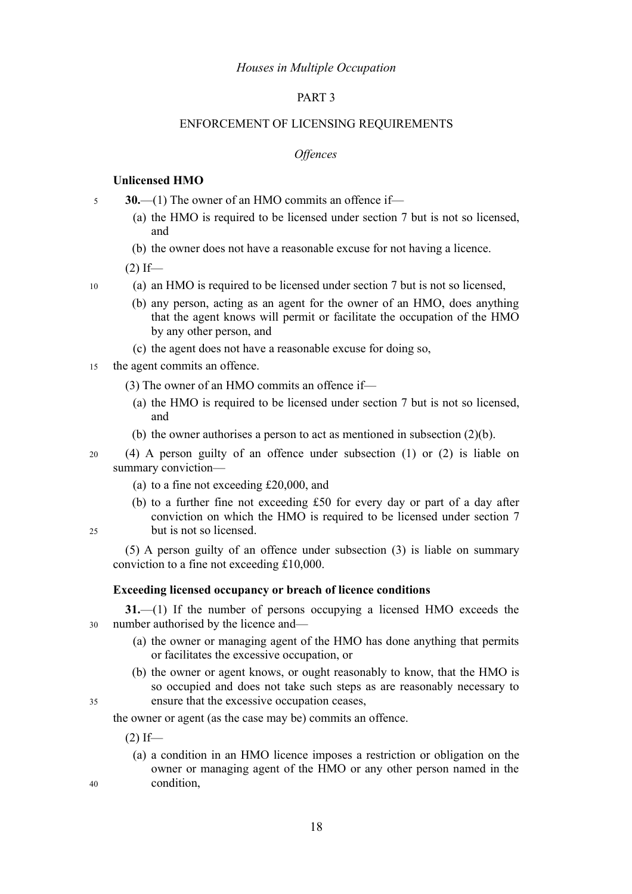# PART 3

# ENFORCEMENT OF LICENSING REQUIREMENTS

#### *Offences*

# **Unlicensed HMO**

**30.**—(1) The owner of an HMO commits an offence if— 5

- <span id="page-21-1"></span>(a) the HMO is required to be licensed under section [7](#page-9-0) but is not so licensed, and
- (b) the owner does not have a reasonable excuse for not having a licence.

 $(2)$  If—

10

 $25$ 

- (a) an HMO is required to be licensed under section [7](#page-9-0) but is not so licensed,
	- (b) any person, acting as an agent for the owner of an HMO, does anything that the agent knows will permit or facilitate the occupation of the HMO by any other person, and
	- (c) the agent does not have a reasonable excuse for doing so,
- the agent commits an offence. 15
	- (3) The owner of an HMO commits an offence if—
		- (a) the HMO is required to be licensed under section [7](#page-9-0) but is not so licensed, and
		- (b) the owner authorises a person to act as mentioned in subsection (2)(b).
- (4) A person guilty of an offence under subsection (1) or (2) is liable on summary conviction— 20
	- (a) to a fine not exceeding £20,000, and
	- (b) to a further fine not exceeding £50 for every day or part of a day after conviction on which the HMO is required to be licensed under section [7](#page-9-0) but is not so licensed.

(5) A person guilty of an offence under subsection (3) is liable on summary conviction to a fine not exceeding £10,000.

#### <span id="page-21-0"></span>**Exceeding licensed occupancy or breach of licence conditions**

**31.**—(1) If the number of persons occupying a licensed HMO exceeds the number authorised by the licence and— 30

- (a) the owner or managing agent of the HMO has done anything that permits or facilitates the excessive occupation, or
- (b) the owner or agent knows, or ought reasonably to know, that the HMO is so occupied and does not take such steps as are reasonably necessary to ensure that the excessive occupation ceases,

the owner or agent (as the case may be) commits an offence.

 $(2)$  If—

(a) a condition in an HMO licence imposes a restriction or obligation on the owner or managing agent of the HMO or any other person named in the condition,

40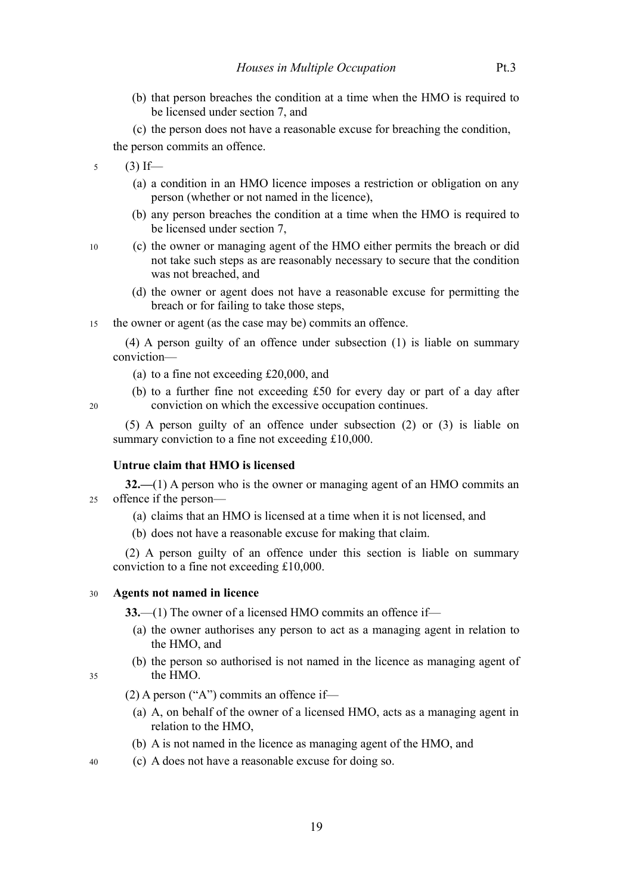- (b) that person breaches the condition at a time when the HMO is required to be licensed under section [7,](#page-9-0) and
- (c) the person does not have a reasonable excuse for breaching the condition,

the person commits an offence.

- $(3)$  If— 5
	- (a) a condition in an HMO licence imposes a restriction or obligation on any person (whether or not named in the licence),
	- (b) any person breaches the condition at a time when the HMO is required to be licensed under section [7,](#page-9-0)
	- (c) the owner or managing agent of the HMO either permits the breach or did not take such steps as are reasonably necessary to secure that the condition was not breached, and
		- (d) the owner or agent does not have a reasonable excuse for permitting the breach or for failing to take those steps,
- the owner or agent (as the case may be) commits an offence. 15

(4) A person guilty of an offence under subsection (1) is liable on summary conviction—

- (a) to a fine not exceeding £20,000, and
- (b) to a further fine not exceeding £50 for every day or part of a day after conviction on which the excessive occupation continues.

20

10

(5) A person guilty of an offence under subsection (2) or (3) is liable on summary conviction to a fine not exceeding £10,000.

#### <span id="page-22-1"></span>**Untrue claim that HMO is licensed**

**32.—**(1) A person who is the owner or managing agent of an HMO commits an offence if the person—  $25$ 

- (a) claims that an HMO is licensed at a time when it is not licensed, and
- (b) does not have a reasonable excuse for making that claim.

(2) A person guilty of an offence under this section is liable on summary conviction to a fine not exceeding £10,000.

#### **Agents not named in licence**  30

<span id="page-22-0"></span>**33.**—(1) The owner of a licensed HMO commits an offence if—

- (a) the owner authorises any person to act as a managing agent in relation to the HMO, and
- (b) the person so authorised is not named in the licence as managing agent of the HMO.
- (2) A person ("A") commits an offence if—
	- (a) A, on behalf of the owner of a licensed HMO, acts as a managing agent in relation to the HMO,
	- (b) A is not named in the licence as managing agent of the HMO, and
- (c) A does not have a reasonable excuse for doing so. 40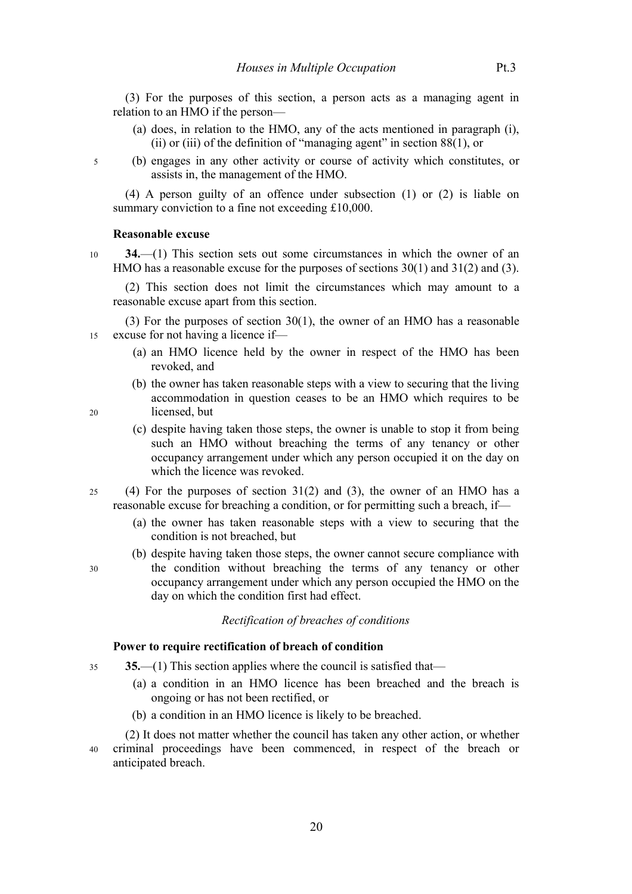(3) For the purposes of this section, a person acts as a managing agent in relation to an HMO if the person—

- (a) does, in relation to the HMO, any of the acts mentioned in paragraph (i), (ii) or (iii) of the definition of "managing agent" in section  $88(1)$ , or
- (b) engages in any other activity or course of activity which constitutes, or assists in, the management of the HMO. 5

(4) A person guilty of an offence under subsection (1) or (2) is liable on summary conviction to a fine not exceeding £10,000.

#### **Reasonable excuse**

**34.**—(1) This section sets out some circumstances in which the owner of an HMO has a reasonable excuse for the purposes of sections [30\(](#page-21-1)1) and [31\(](#page-21-0)2) and (3). 10

(2) This section does not limit the circumstances which may amount to a reasonable excuse apart from this section.

(3) For the purposes of section [30\(](#page-21-1)1), the owner of an HMO has a reasonable excuse for not having a licence if— 15

- (a) an HMO licence held by the owner in respect of the HMO has been revoked, and
- (b) the owner has taken reasonable steps with a view to securing that the living accommodation in question ceases to be an HMO which requires to be licensed, but
- $20$

30

- (c) despite having taken those steps, the owner is unable to stop it from being such an HMO without breaching the terms of any tenancy or other occupancy arrangement under which any person occupied it on the day on which the licence was revoked.
- (4) For the purposes of section [31\(](#page-21-0)2) and (3), the owner of an HMO has a reasonable excuse for breaching a condition, or for permitting such a breach, if— 25
	- (a) the owner has taken reasonable steps with a view to securing that the condition is not breached, but
	- (b) despite having taken those steps, the owner cannot secure compliance with the condition without breaching the terms of any tenancy or other occupancy arrangement under which any person occupied the HMO on the day on which the condition first had effect.

# *Rectification of breaches of conditions*

#### **Power to require rectification of breach of condition**

**35.**—(1) This section applies where the council is satisfied that— 35

- (a) a condition in an HMO licence has been breached and the breach is ongoing or has not been rectified, or
- (b) a condition in an HMO licence is likely to be breached.

(2) It does not matter whether the council has taken any other action, or whether criminal proceedings have been commenced, in respect of the breach or anticipated breach. 40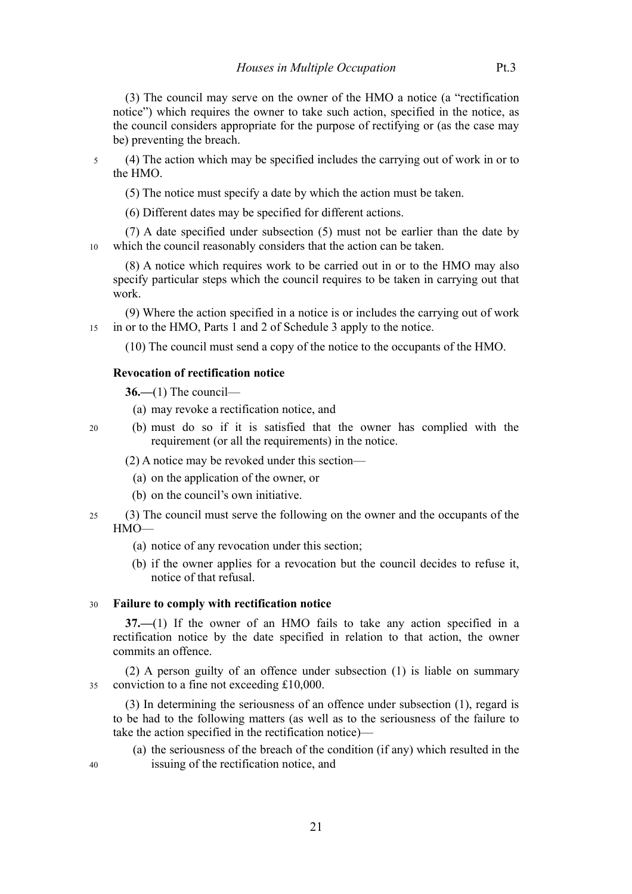(3) The council may serve on the owner of the HMO a notice (a "rectification notice") which requires the owner to take such action, specified in the notice, as the council considers appropriate for the purpose of rectifying or (as the case may be) preventing the breach.

(4) The action which may be specified includes the carrying out of work in or to the HMO. 5

(5) The notice must specify a date by which the action must be taken.

(6) Different dates may be specified for different actions.

(7) A date specified under subsection (5) must not be earlier than the date by which the council reasonably considers that the action can be taken. 10

(8) A notice which requires work to be carried out in or to the HMO may also specify particular steps which the council requires to be taken in carrying out that work.

(9) Where the action specified in a notice is or includes the carrying out of work in or to the HMO, Parts 1 and 2 of Schedule [3](#page-62-0) apply to the notice. 15

(10) The council must send a copy of the notice to the occupants of the HMO.

#### **Revocation of rectification notice**

**36.—**(1) The council—

- (a) may revoke a rectification notice, and
- (b) must do so if it is satisfied that the owner has complied with the requirement (or all the requirements) in the notice.  $20$ 
	- (2) A notice may be revoked under this section—
		- (a) on the application of the owner, or
		- (b) on the council's own initiative.
- (3) The council must serve the following on the owner and the occupants of the HMO— 25
	- (a) notice of any revocation under this section;
	- (b) if the owner applies for a revocation but the council decides to refuse it, notice of that refusal.

#### **Failure to comply with rectification notice**  30

<span id="page-24-0"></span>**37.—**(1) If the owner of an HMO fails to take any action specified in a rectification notice by the date specified in relation to that action, the owner commits an offence.

(2) A person guilty of an offence under subsection (1) is liable on summary conviction to a fine not exceeding £10,000. 35

(3) In determining the seriousness of an offence under subsection (1), regard is to be had to the following matters (as well as to the seriousness of the failure to take the action specified in the rectification notice)—

(a) the seriousness of the breach of the condition (if any) which resulted in the issuing of the rectification notice, and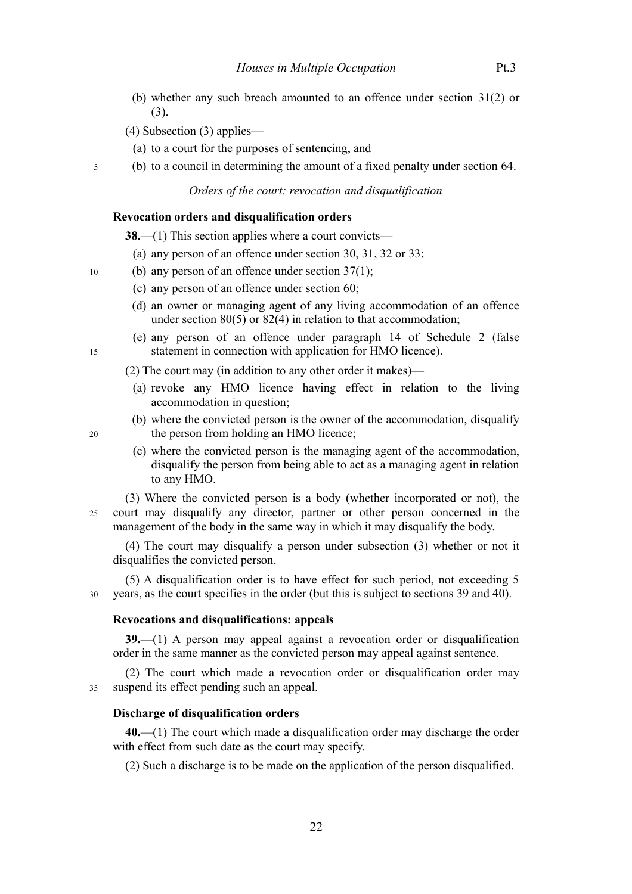- (b) whether any such breach amounted to an offence under section [31\(](#page-21-0)2) or (3).
- (4) Subsection (3) applies—
	- (a) to a court for the purposes of sentencing, and
- (b) to a council in determining the amount of a fixed penalty under section [64.](#page-38-0) 5

*Orders of the court: revocation and disqualification*

## **Revocation orders and disqualification orders**

<span id="page-25-0"></span>**38.—(1)** This section applies where a court convicts—

- (a) any person of an offence under section [30,](#page-21-1) [31,](#page-21-0) [32](#page-22-1) or [33;](#page-22-0)
- (b) any person of an offence under section [37\(](#page-24-0)1); 10
	- (c) any person of an offence under section [60;](#page-35-0)
	- (d) an owner or managing agent of any living accommodation of an offence under section  $80(5)$  or  $82(4)$  in relation to that accommodation;
	- (e) any person of an offence under paragraph 14 of Schedule [2](#page-57-0) (false statement in connection with application for HMO licence).

(2) The court may (in addition to any other order it makes)—

- (a) revoke any HMO licence having effect in relation to the living accommodation in question;
- (b) where the convicted person is the owner of the accommodation, disqualify the person from holding an HMO licence;
- (c) where the convicted person is the managing agent of the accommodation, disqualify the person from being able to act as a managing agent in relation to any HMO.

(3) Where the convicted person is a body (whether incorporated or not), the court may disqualify any director, partner or other person concerned in the management of the body in the same way in which it may disqualify the body. 25

(4) The court may disqualify a person under subsection (3) whether or not it disqualifies the convicted person.

(5) A disqualification order is to have effect for such period, not exceeding 5 years, as the court specifies in the order (but this is subject to sections [39](#page-25-2) and [40\)](#page-25-1). 30

## **Revocations and disqualifications: appeals**

<span id="page-25-2"></span>**39.**—(1) A person may appeal against a revocation order or disqualification order in the same manner as the convicted person may appeal against sentence.

(2) The court which made a revocation order or disqualification order may suspend its effect pending such an appeal. 35

# **Discharge of disqualification orders**

<span id="page-25-1"></span>**40.**—(1) The court which made a disqualification order may discharge the order with effect from such date as the court may specify.

(2) Such a discharge is to be made on the application of the person disqualified.

15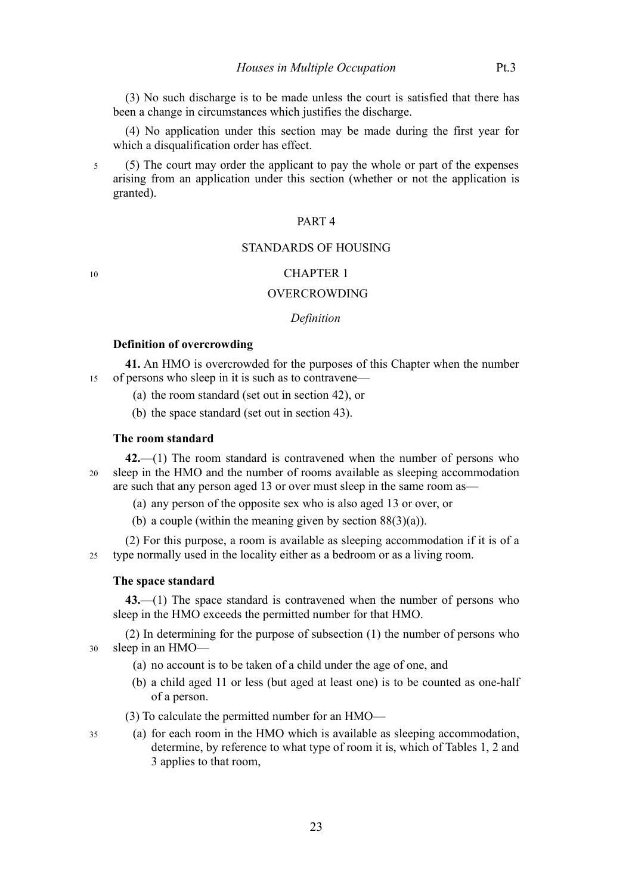(3) No such discharge is to be made unless the court is satisfied that there has been a change in circumstances which justifies the discharge.

(4) No application under this section may be made during the first year for which a disqualification order has effect.

(5) The court may order the applicant to pay the whole or part of the expenses arising from an application under this section (whether or not the application is granted). 5

## PART 4

#### STANDARDS OF HOUSING

# CHAPTER 1

#### OVERCROWDING

#### *Definition*

#### **Definition of overcrowding**

**41.** An HMO is overcrowded for the purposes of this Chapter when the number of persons who sleep in it is such as to contravene— 15

- (a) the room standard (set out in section [42\)](#page-26-1), or
- (b) the space standard (set out in section [43\)](#page-26-0).

#### <span id="page-26-1"></span>**The room standard**

10

35

**42.**—(1) The room standard is contravened when the number of persons who sleep in the HMO and the number of rooms available as sleeping accommodation are such that any person aged 13 or over must sleep in the same room as— 20

- (a) any person of the opposite sex who is also aged 13 or over, or
- (b) a couple (within the meaning given by section  $88(3)(a)$ ).

(2) For this purpose, a room is available as sleeping accommodation if it is of a type normally used in the locality either as a bedroom or as a living room.  $25$ 

#### **The space standard**

<span id="page-26-0"></span>**43.**—(1) The space standard is contravened when the number of persons who sleep in the HMO exceeds the permitted number for that HMO.

(2) In determining for the purpose of subsection (1) the number of persons who sleep in an HMO— 30

- (a) no account is to be taken of a child under the age of one, and
- (b) a child aged 11 or less (but aged at least one) is to be counted as one-half of a person.

(3) To calculate the permitted number for an HMO—

(a) for each room in the HMO which is available as sleeping accommodation, determine, by reference to what type of room it is, which of Tables 1, 2 and 3 applies to that room,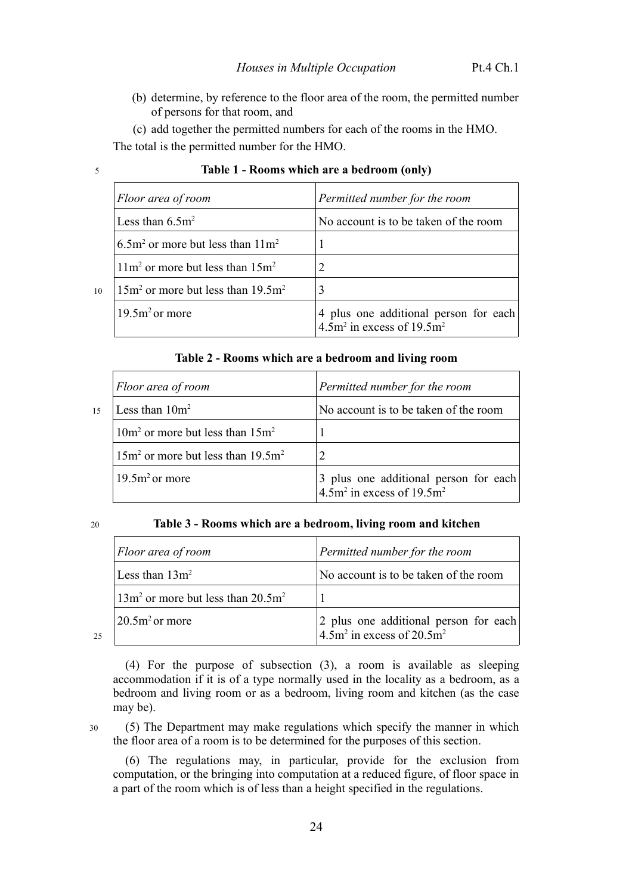(b) determine, by reference to the floor area of the room, the permitted number of persons for that room, and

(c) add together the permitted numbers for each of the rooms in the HMO. The total is the permitted number for the HMO.

| ۰,<br>I |  |
|---------|--|
| ×<br>٧  |  |

10

| Floor area of room                              | Permitted number for the room                                                    |
|-------------------------------------------------|----------------------------------------------------------------------------------|
| Less than $6.5m^2$                              | No account is to be taken of the room                                            |
| $6.5m2$ or more but less than $11m2$            |                                                                                  |
| $11m2$ or more but less than $15m2$             | 2                                                                                |
| $15m2$ or more but less than 19.5m <sup>2</sup> | 3                                                                                |
| $19.5m2$ or more                                | 4 plus one additional person for each<br>$4.5m2$ in excess of 19.5m <sup>2</sup> |

# **Table 1 - Rooms which are a bedroom (only)**

#### **Table 2 - Rooms which are a bedroom and living room**

|    | Floor area of room                    | Permitted number for the room                                                     |
|----|---------------------------------------|-----------------------------------------------------------------------------------|
| 15 | Less than $10m^2$                     | No account is to be taken of the room                                             |
|    | $10m2$ or more but less than $15m2$   |                                                                                   |
|    | $15m2$ or more but less than $19.5m2$ |                                                                                   |
|    | 19.5 $m^2$ or more                    | 3 plus one additional person for each<br>4.5m <sup>2</sup> in excess of $19.5m^2$ |

20

#### **Table 3 - Rooms which are a bedroom, living room and kitchen**

| Floor area of room                    | Permitted number for the room                                                                               |
|---------------------------------------|-------------------------------------------------------------------------------------------------------------|
| Less than $13m^2$                     | No account is to be taken of the room                                                                       |
| $13m2$ or more but less than $20.5m2$ |                                                                                                             |
| $20.5m2$ or more                      | 2 plus one additional person for each $\left  4.5 \text{m}^2 \text{ in excess of } 20.5 \text{m}^2 \right $ |

25

30

(4) For the purpose of subsection (3), a room is available as sleeping accommodation if it is of a type normally used in the locality as a bedroom, as a bedroom and living room or as a bedroom, living room and kitchen (as the case may be).

(5) The Department may make regulations which specify the manner in which the floor area of a room is to be determined for the purposes of this section.

(6) The regulations may, in particular, provide for the exclusion from computation, or the bringing into computation at a reduced figure, of floor space in a part of the room which is of less than a height specified in the regulations.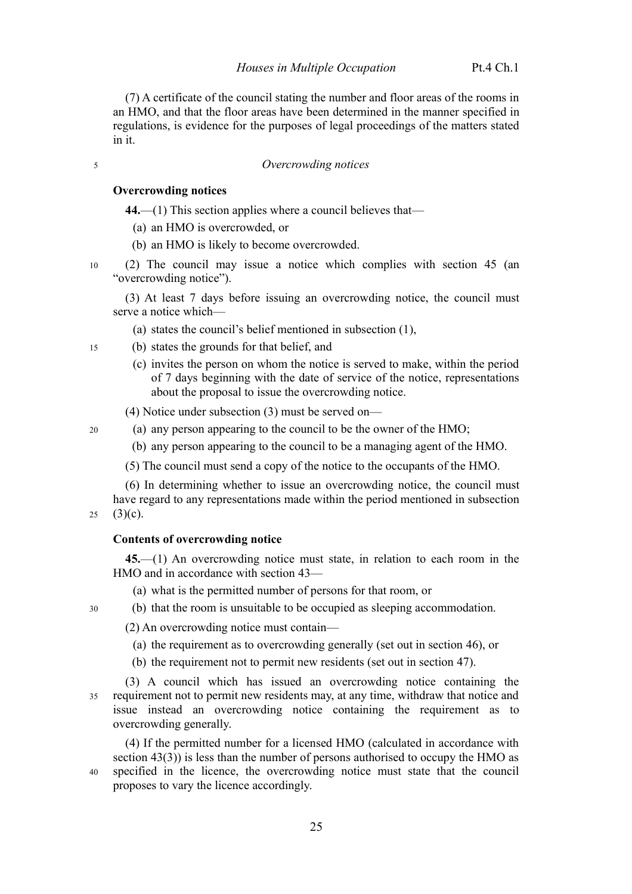(7) A certificate of the council stating the number and floor areas of the rooms in an HMO, and that the floor areas have been determined in the manner specified in regulations, is evidence for the purposes of legal proceedings of the matters stated in it.

#### *Overcrowding notices*

#### **Overcrowding notices**

5

15

20

30

- <span id="page-28-0"></span>**44.**—(1) This section applies where a council believes that—
	- (a) an HMO is overcrowded, or
	- (b) an HMO is likely to become overcrowded.
- (2) The council may issue a notice which complies with section [45](#page-28-1) (an "overcrowding notice"). 10

(3) At least 7 days before issuing an overcrowding notice, the council must serve a notice which—

- (a) states the council's belief mentioned in subsection (1),
- (b) states the grounds for that belief, and
	- (c) invites the person on whom the notice is served to make, within the period of 7 days beginning with the date of service of the notice, representations about the proposal to issue the overcrowding notice.

(4) Notice under subsection (3) must be served on—

- (a) any person appearing to the council to be the owner of the HMO;
	- (b) any person appearing to the council to be a managing agent of the HMO.
	- (5) The council must send a copy of the notice to the occupants of the HMO.

(6) In determining whether to issue an overcrowding notice, the council must have regard to any representations made within the period mentioned in subsection  $(3)(c)$ . 25

## **Contents of overcrowding notice**

<span id="page-28-1"></span>**45.**—(1) An overcrowding notice must state, in relation to each room in the HMO and in accordance with section [43—](#page-26-0)

- (a) what is the permitted number of persons for that room, or
- (b) that the room is unsuitable to be occupied as sleeping accommodation.

(2) An overcrowding notice must contain—

- (a) the requirement as to overcrowding generally (set out in section [46\)](#page-29-2), or
- (b) the requirement not to permit new residents (set out in section [47\)](#page-29-1).

(3) A council which has issued an overcrowding notice containing the requirement not to permit new residents may, at any time, withdraw that notice and issue instead an overcrowding notice containing the requirement as to overcrowding generally. 35

(4) If the permitted number for a licensed HMO (calculated in accordance with section [43\(](#page-26-0)3)) is less than the number of persons authorised to occupy the HMO as specified in the licence, the overcrowding notice must state that the council proposes to vary the licence accordingly. 40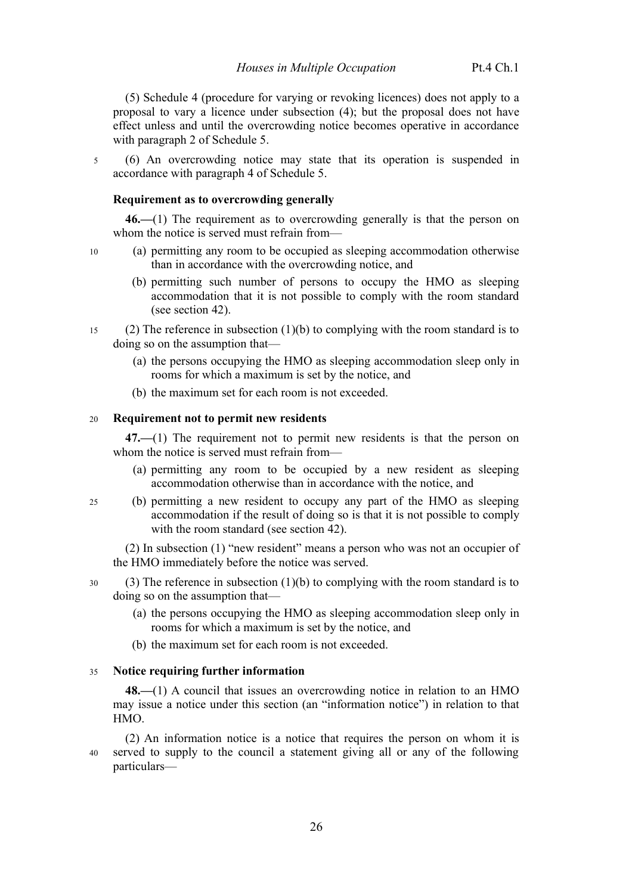(5) Schedule [4](#page-66-0) (procedure for varying or revoking licences) does not apply to a proposal to vary a licence under subsection (4); but the proposal does not have effect unless and until the overcrowding notice becomes operative in accordance with paragraph 2 of Schedule [5.](#page-69-0)

(6) An overcrowding notice may state that its operation is suspended in accordance with paragraph 4 of Schedule [5.](#page-69-0) 5

#### **Requirement as to overcrowding generally**

10

<span id="page-29-2"></span>**46.—**(1) The requirement as to overcrowding generally is that the person on whom the notice is served must refrain from—

- (a) permitting any room to be occupied as sleeping accommodation otherwise than in accordance with the overcrowding notice, and
	- (b) permitting such number of persons to occupy the HMO as sleeping accommodation that it is not possible to comply with the room standard (see section [42\)](#page-26-1).
- (2) The reference in subsection (1)(b) to complying with the room standard is to doing so on the assumption that— 15
	- (a) the persons occupying the HMO as sleeping accommodation sleep only in rooms for which a maximum is set by the notice, and
	- (b) the maximum set for each room is not exceeded.

#### **Requirement not to permit new residents**  20

<span id="page-29-1"></span>**47.—**(1) The requirement not to permit new residents is that the person on whom the notice is served must refrain from—

- (a) permitting any room to be occupied by a new resident as sleeping accommodation otherwise than in accordance with the notice, and
- (b) permitting a new resident to occupy any part of the HMO as sleeping accommodation if the result of doing so is that it is not possible to comply with the room standard (see section [42\)](#page-26-1).  $25$

(2) In subsection (1) "new resident" means a person who was not an occupier of the HMO immediately before the notice was served.

- (3) The reference in subsection  $(1)(b)$  to complying with the room standard is to doing so on the assumption that— 30
	- (a) the persons occupying the HMO as sleeping accommodation sleep only in rooms for which a maximum is set by the notice, and
	- (b) the maximum set for each room is not exceeded.

#### **Notice requiring further information**  35

<span id="page-29-0"></span>**48.—**(1) A council that issues an overcrowding notice in relation to an HMO may issue a notice under this section (an "information notice") in relation to that HMO.

(2) An information notice is a notice that requires the person on whom it is served to supply to the council a statement giving all or any of the following particulars— 40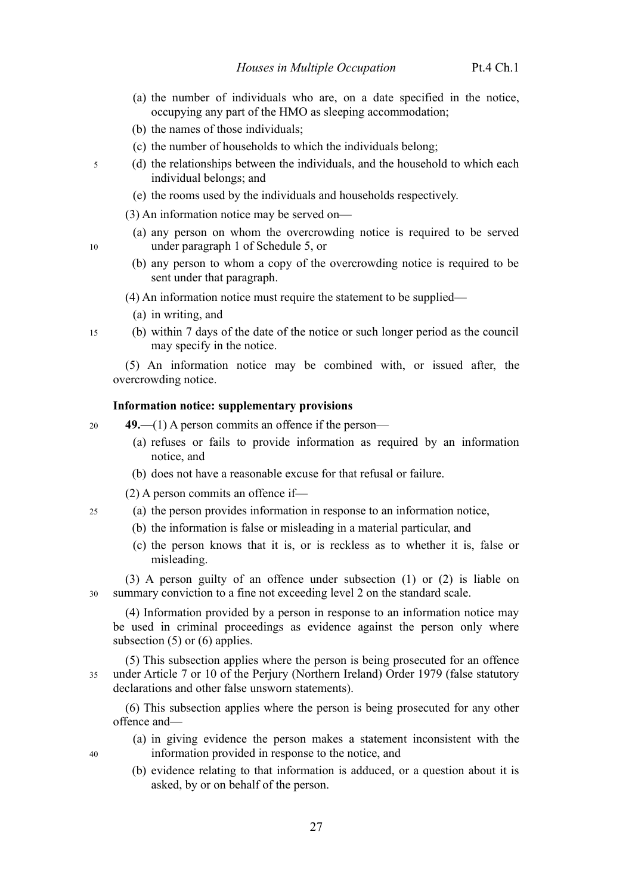- (a) the number of individuals who are, on a date specified in the notice, occupying any part of the HMO as sleeping accommodation;
- (b) the names of those individuals;
- (c) the number of households to which the individuals belong;
- (d) the relationships between the individuals, and the household to which each individual belongs; and
	- (e) the rooms used by the individuals and households respectively.
	- (3) An information notice may be served on—
	- (a) any person on whom the overcrowding notice is required to be served under paragraph 1 of Schedule [5,](#page-69-0) or
	- (b) any person to whom a copy of the overcrowding notice is required to be sent under that paragraph.
	- (4) An information notice must require the statement to be supplied—
		- (a) in writing, and

(b) within 7 days of the date of the notice or such longer period as the council 15

may specify in the notice. (5) An information notice may be combined with, or issued after, the

overcrowding notice.

## **Information notice: supplementary provisions**

**49.—**(1) A person commits an offence if the person— 20

- (a) refuses or fails to provide information as required by an information notice, and
- (b) does not have a reasonable excuse for that refusal or failure.

(2) A person commits an offence if—

- (a) the person provides information in response to an information notice, 25
	- (b) the information is false or misleading in a material particular, and
	- (c) the person knows that it is, or is reckless as to whether it is, false or misleading.

(3) A person guilty of an offence under subsection (1) or (2) is liable on summary conviction to a fine not exceeding level 2 on the standard scale. 30

(4) Information provided by a person in response to an information notice may be used in criminal proceedings as evidence against the person only where subsection (5) or (6) applies.

(5) This subsection applies where the person is being prosecuted for an offence under Article 7 or 10 of the Perjury (Northern Ireland) Order 1979 (false statutory declarations and other false unsworn statements). 35

(6) This subsection applies where the person is being prosecuted for any other offence and—

- (a) in giving evidence the person makes a statement inconsistent with the information provided in response to the notice, and
- (b) evidence relating to that information is adduced, or a question about it is asked, by or on behalf of the person.

10

40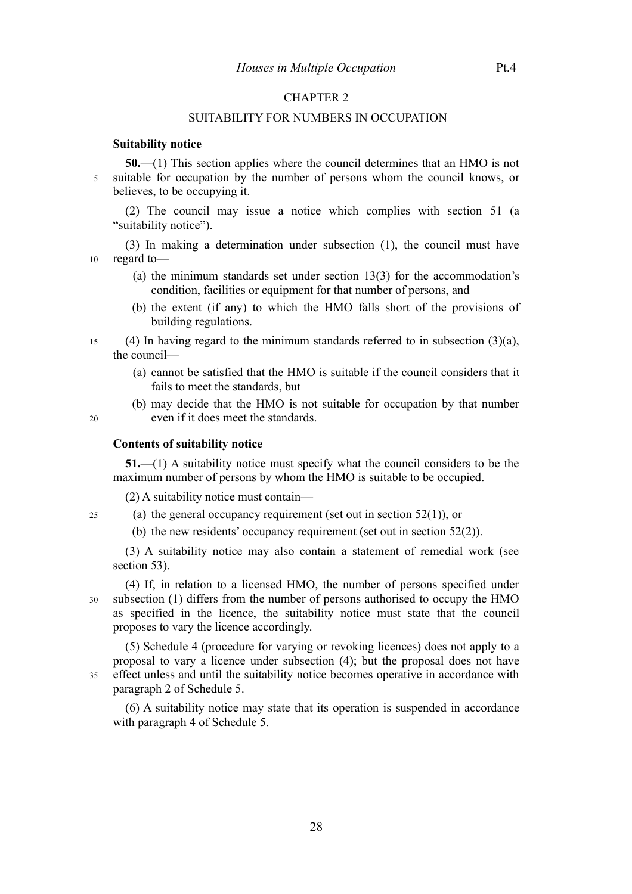# CHAPTER 2

# SUITABILITY FOR NUMBERS IN OCCUPATION

#### <span id="page-31-0"></span>**Suitability notice**

**50.**—(1) This section applies where the council determines that an HMO is not suitable for occupation by the number of persons whom the council knows, or believes, to be occupying it. 5

(2) The council may issue a notice which complies with section [51](#page-31-1) (a "suitability notice").

(3) In making a determination under subsection (1), the council must have regard to— 10

- (a) the minimum standards set under section [13\(](#page-12-0)3) for the accommodation's condition, facilities or equipment for that number of persons, and
- (b) the extent (if any) to which the HMO falls short of the provisions of building regulations.
- (4) In having regard to the minimum standards referred to in subsection (3)(a), the council— 15
	- (a) cannot be satisfied that the HMO is suitable if the council considers that it fails to meet the standards, but
	- (b) may decide that the HMO is not suitable for occupation by that number even if it does meet the standards.

#### **Contents of suitability notice**

<span id="page-31-1"></span>**51.**—(1) A suitability notice must specify what the council considers to be the maximum number of persons by whom the HMO is suitable to be occupied.

(2) A suitability notice must contain—

- (a) the general occupancy requirement (set out in section  $52(1)$ ), or 25
	- (b) the new residents' occupancy requirement (set out in section [52\(](#page-32-1)2)).

(3) A suitability notice may also contain a statement of remedial work (see section [53\)](#page-32-0).

(4) If, in relation to a licensed HMO, the number of persons specified under subsection (1) differs from the number of persons authorised to occupy the HMO as specified in the licence, the suitability notice must state that the council proposes to vary the licence accordingly. 30

(5) Schedule [4](#page-66-0) (procedure for varying or revoking licences) does not apply to a proposal to vary a licence under subsection (4); but the proposal does not have effect unless and until the suitability notice becomes operative in accordance with paragraph 2 of Schedule [5.](#page-69-0) 35

(6) A suitability notice may state that its operation is suspended in accordance with paragraph 4 of Schedule [5.](#page-69-0)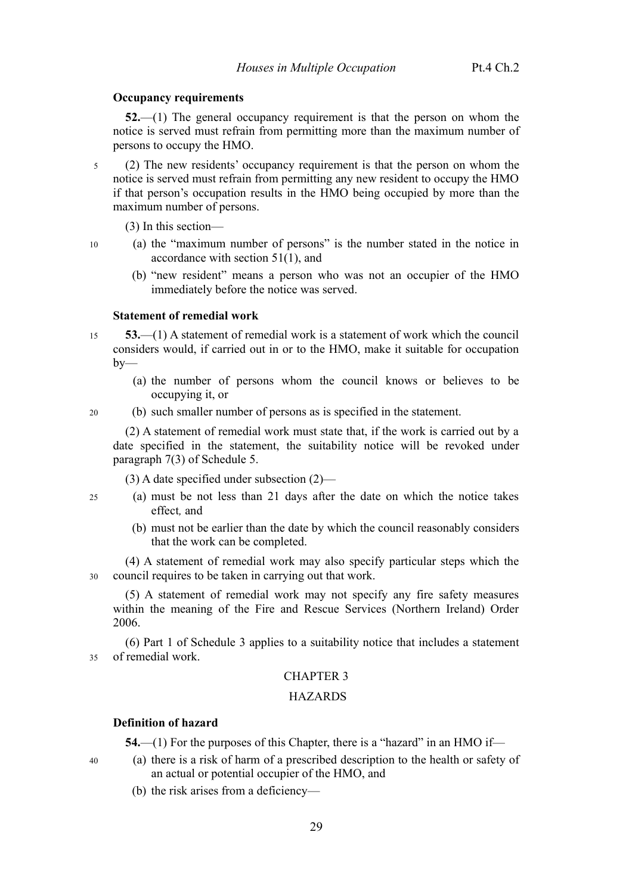## **Occupancy requirements**

<span id="page-32-1"></span>**52.**—(1) The general occupancy requirement is that the person on whom the notice is served must refrain from permitting more than the maximum number of persons to occupy the HMO.

- (2) The new residents' occupancy requirement is that the person on whom the notice is served must refrain from permitting any new resident to occupy the HMO if that person's occupation results in the HMO being occupied by more than the maximum number of persons. 5
	- (3) In this section—
	- (a) the "maximum number of persons" is the number stated in the notice in accordance with section [51\(](#page-31-1)1), and
		- (b) "new resident" means a person who was not an occupier of the HMO immediately before the notice was served.

#### <span id="page-32-0"></span>**Statement of remedial work**

**53.**—(1) A statement of remedial work is a statement of work which the council 15

10

 $20$ 

 $25$ 

40

- considers would, if carried out in or to the HMO, make it suitable for occupation  $b$ v— (a) the number of persons whom the council knows or believes to be
	- occupying it, or
- (b) such smaller number of persons as is specified in the statement.

(2) A statement of remedial work must state that, if the work is carried out by a date specified in the statement, the suitability notice will be revoked under paragraph 7(3) of Schedule [5.](#page-69-0)

(3) A date specified under subsection (2)—

- (a) must be not less than 21 days after the date on which the notice takes effect*,* and
	- (b) must not be earlier than the date by which the council reasonably considers that the work can be completed.

(4) A statement of remedial work may also specify particular steps which the council requires to be taken in carrying out that work. 30

(5) A statement of remedial work may not specify any fire safety measures within the meaning of the Fire and Rescue Services (Northern Ireland) Order 2006.

(6) Part 1 of Schedule [3](#page-62-0) applies to a suitability notice that includes a statement of remedial work. 35

## CHAPTER 3

#### HAZARDS

#### **Definition of hazard**

**54.**—(1) For the purposes of this Chapter, there is a "hazard" in an HMO if—

- (a) there is a risk of harm of a prescribed description to the health or safety of an actual or potential occupier of the HMO, and
- (b) the risk arises from a deficiency—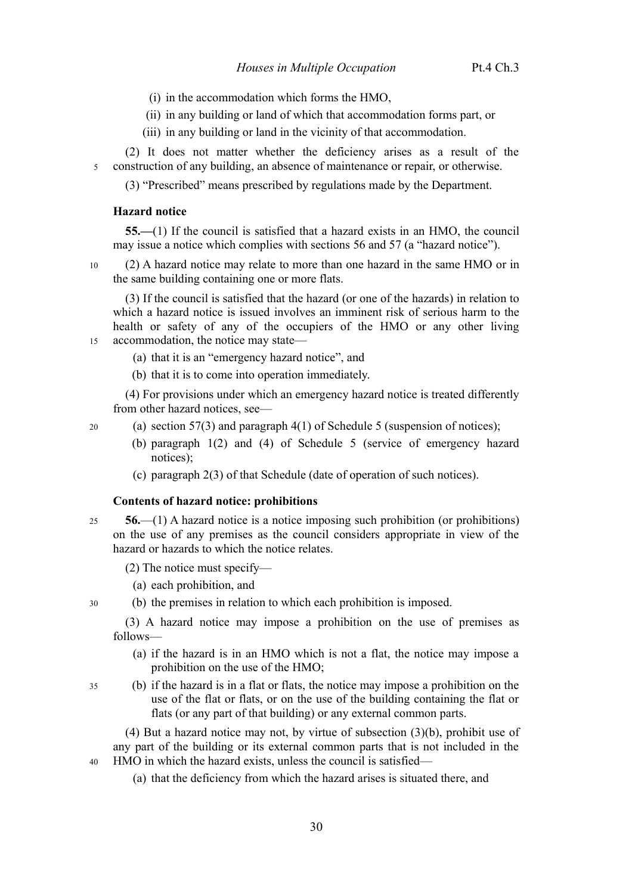- (i) in the accommodation which forms the HMO,
- (ii) in any building or land of which that accommodation forms part, or
- (iii) in any building or land in the vicinity of that accommodation.

(2) It does not matter whether the deficiency arises as a result of the construction of any building, an absence of maintenance or repair, or otherwise. 5

(3) "Prescribed" means prescribed by regulations made by the Department.

## **Hazard notice**

**55.—**(1) If the council is satisfied that a hazard exists in an HMO, the council may issue a notice which complies with sections [56](#page-33-0) and [57](#page-34-0) (a "hazard notice").

(2) A hazard notice may relate to more than one hazard in the same HMO or in the same building containing one or more flats. 10

(3) If the council is satisfied that the hazard (or one of the hazards) in relation to which a hazard notice is issued involves an imminent risk of serious harm to the health or safety of any of the occupiers of the HMO or any other living accommodation, the notice may state—

- (a) that it is an "emergency hazard notice", and
- (b) that it is to come into operation immediately.

(4) For provisions under which an emergency hazard notice is treated differently from other hazard notices, see—

20

15

- (a) section [57\(](#page-34-0)3) and paragraph 4(1) of Schedule [5](#page-69-0) (suspension of notices);
	- (b) paragraph 1(2) and (4) of Schedule [5](#page-69-0) (service of emergency hazard notices);
	- (c) paragraph 2(3) of that Schedule (date of operation of such notices).

#### <span id="page-33-0"></span>**Contents of hazard notice: prohibitions**

- **56.**—(1) A hazard notice is a notice imposing such prohibition (or prohibitions) on the use of any premises as the council considers appropriate in view of the hazard or hazards to which the notice relates. 25
	- (2) The notice must specify—
	- (a) each prohibition, and
- 30

(b) the premises in relation to which each prohibition is imposed.

(3) A hazard notice may impose a prohibition on the use of premises as follows—

- (a) if the hazard is in an HMO which is not a flat, the notice may impose a prohibition on the use of the HMO;
- (b) if the hazard is in a flat or flats, the notice may impose a prohibition on the use of the flat or flats, or on the use of the building containing the flat or flats (or any part of that building) or any external common parts. 35

(4) But a hazard notice may not, by virtue of subsection (3)(b), prohibit use of any part of the building or its external common parts that is not included in the HMO in which the hazard exists, unless the council is satisfied— 40

(a) that the deficiency from which the hazard arises is situated there, and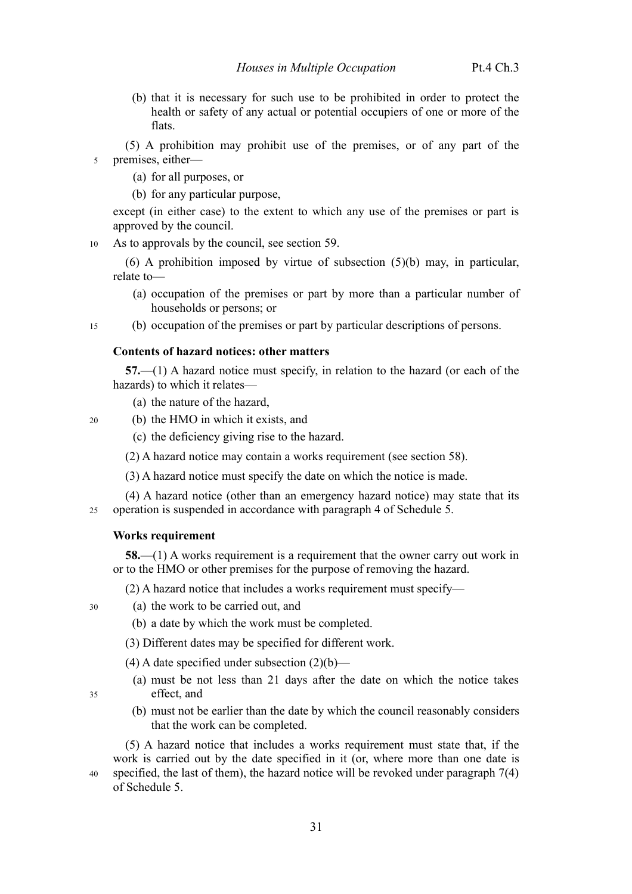(b) that it is necessary for such use to be prohibited in order to protect the health or safety of any actual or potential occupiers of one or more of the flats.

(5) A prohibition may prohibit use of the premises, or of any part of the premises, either— 5

- (a) for all purposes, or
- (b) for any particular purpose,

except (in either case) to the extent to which any use of the premises or part is approved by the council.

As to approvals by the council, see section [59.](#page-35-1) 10

(6) A prohibition imposed by virtue of subsection (5)(b) may, in particular, relate to—

- (a) occupation of the premises or part by more than a particular number of households or persons; or
- (b) occupation of the premises or part by particular descriptions of persons. 15

#### **Contents of hazard notices: other matters**

<span id="page-34-0"></span>**57.**—(1) A hazard notice must specify, in relation to the hazard (or each of the hazards) to which it relates—

- (a) the nature of the hazard,
- (b) the HMO in which it exists, and
	- (c) the deficiency giving rise to the hazard.
	- (2) A hazard notice may contain a works requirement (see section [58\)](#page-34-1).
	- (3) A hazard notice must specify the date on which the notice is made.

(4) A hazard notice (other than an emergency hazard notice) may state that its operation is suspended in accordance with paragraph 4 of Schedule [5.](#page-69-0)  $25$ 

#### **Works requirement**

20

30

35

<span id="page-34-1"></span>**58.**—(1) A works requirement is a requirement that the owner carry out work in or to the HMO or other premises for the purpose of removing the hazard.

(2) A hazard notice that includes a works requirement must specify—

- (a) the work to be carried out, and
	- (b) a date by which the work must be completed.
	- (3) Different dates may be specified for different work.
	- (4) A date specified under subsection  $(2)(b)$ 
		- (a) must be not less than 21 days after the date on which the notice takes effect, and
		- (b) must not be earlier than the date by which the council reasonably considers that the work can be completed.

(5) A hazard notice that includes a works requirement must state that, if the work is carried out by the date specified in it (or, where more than one date is specified, the last of them), the hazard notice will be revoked under paragraph 7(4) of Schedule [5.](#page-69-0) 40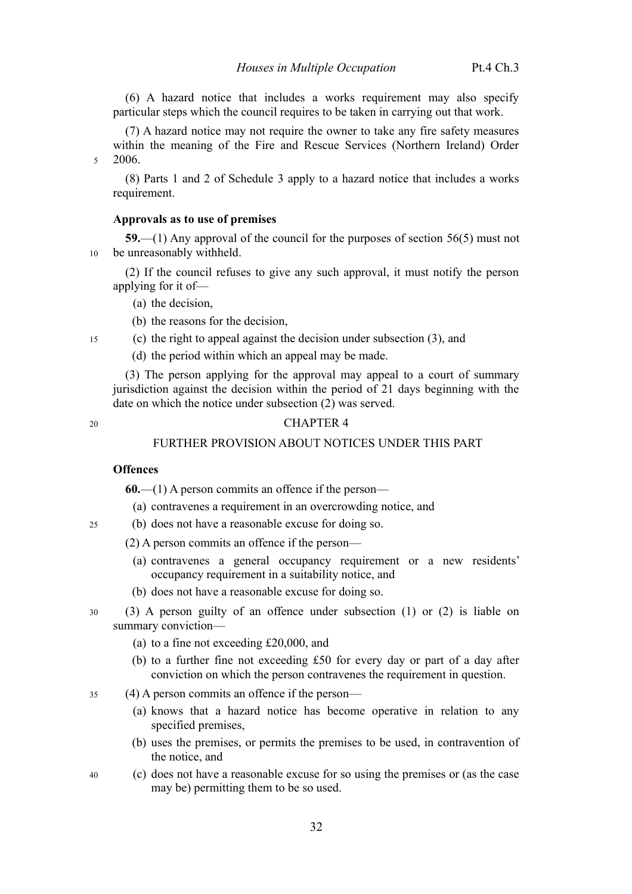(6) A hazard notice that includes a works requirement may also specify particular steps which the council requires to be taken in carrying out that work.

(7) A hazard notice may not require the owner to take any fire safety measures within the meaning of the Fire and Rescue Services (Northern Ireland) Order 2006. 5

(8) Parts 1 and 2 of Schedule [3](#page-62-0) apply to a hazard notice that includes a works requirement.

## <span id="page-35-1"></span>**Approvals as to use of premises**

**59.**—(1) Any approval of the council for the purposes of section [56\(](#page-33-0)5) must not be unreasonably withheld. 10

(2) If the council refuses to give any such approval, it must notify the person applying for it of—

- (a) the decision,
- (b) the reasons for the decision,
- (c) the right to appeal against the decision under subsection (3), and

(d) the period within which an appeal may be made.

(3) The person applying for the approval may appeal to a court of summary jurisdiction against the decision within the period of 21 days beginning with the date on which the notice under subsection (2) was served.

20

15

#### CHAPTER 4

#### FURTHER PROVISION ABOUT NOTICES UNDER THIS PART

#### **Offences**

<span id="page-35-0"></span>**60.**—(1) A person commits an offence if the person—

- (a) contravenes a requirement in an overcrowding notice, and
- (b) does not have a reasonable excuse for doing so. 25

(2) A person commits an offence if the person—

- (a) contravenes a general occupancy requirement or a new residents' occupancy requirement in a suitability notice, and
- (b) does not have a reasonable excuse for doing so.
- (3) A person guilty of an offence under subsection (1) or (2) is liable on summary conviction— 30
	- (a) to a fine not exceeding £20,000, and
	- (b) to a further fine not exceeding £50 for every day or part of a day after conviction on which the person contravenes the requirement in question.
- (4) A person commits an offence if the person— 35
	- (a) knows that a hazard notice has become operative in relation to any specified premises,
	- (b) uses the premises, or permits the premises to be used, in contravention of the notice, and
- (c) does not have a reasonable excuse for so using the premises or (as the case may be) permitting them to be so used. 40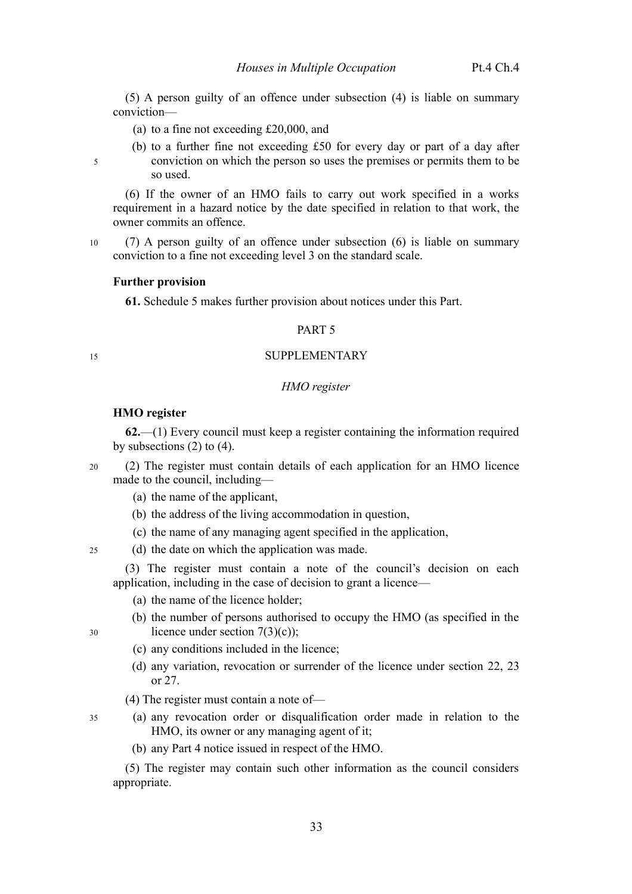(5) A person guilty of an offence under subsection (4) is liable on summary conviction—

- (a) to a fine not exceeding £20,000, and
- (b) to a further fine not exceeding £50 for every day or part of a day after conviction on which the person so uses the premises or permits them to be so used.

(6) If the owner of an HMO fails to carry out work specified in a works requirement in a hazard notice by the date specified in relation to that work, the owner commits an offence.

(7) A person guilty of an offence under subsection (6) is liable on summary conviction to a fine not exceeding level 3 on the standard scale. 10

# **Further provision**

5

15

<span id="page-36-1"></span>**61.** Schedule [5](#page-69-0) makes further provision about notices under this Part.

### PART 5

## SUPPLEMENTARY

## *HMO register*

# **HMO register**

<span id="page-36-0"></span>**62.**—(1) Every council must keep a register containing the information required by subsections (2) to (4).

- (2) The register must contain details of each application for an HMO licence made to the council, including— 20
	- (a) the name of the applicant,
	- (b) the address of the living accommodation in question,
	- (c) the name of any managing agent specified in the application,

(d) the date on which the application was made.  $25$ 

(3) The register must contain a note of the council's decision on each application, including in the case of decision to grant a licence—

- (a) the name of the licence holder;
- (b) the number of persons authorised to occupy the HMO (as specified in the licence under section  $7(3)(c)$ ;

30

35

- (c) any conditions included in the licence;
- (d) any variation, revocation or surrender of the licence under section [22,](#page-17-1) [23](#page-17-0) or [27.](#page-19-0)
- (4) The register must contain a note of—

(a) any revocation order or disqualification order made in relation to the HMO, its owner or any managing agent of it;

(b) any Part 4 notice issued in respect of the HMO.

(5) The register may contain such other information as the council considers appropriate.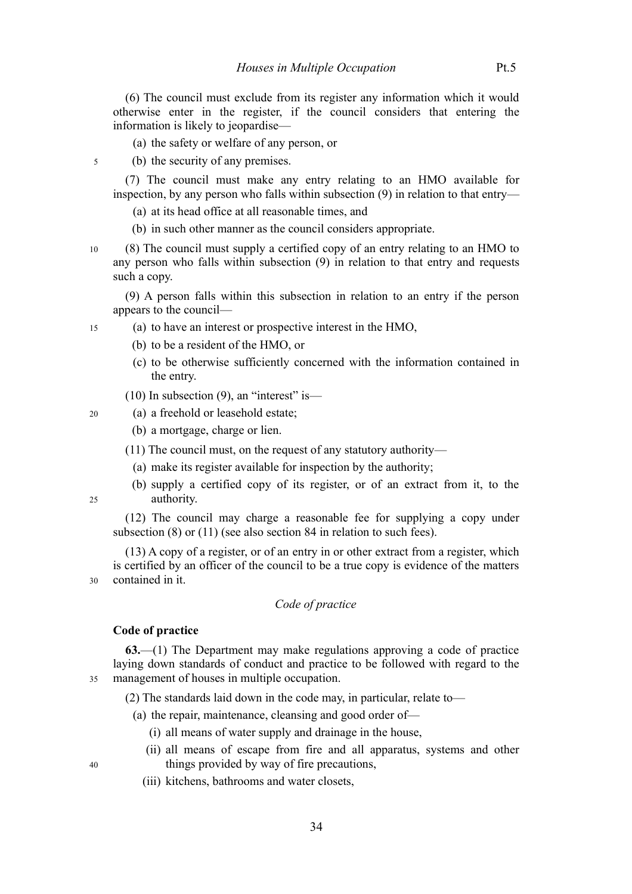(6) The council must exclude from its register any information which it would otherwise enter in the register, if the council considers that entering the information is likely to jeopardise—

- (a) the safety or welfare of any person, or
- (b) the security of any premises.

(7) The council must make any entry relating to an HMO available for inspection, by any person who falls within subsection (9) in relation to that entry—

- (a) at its head office at all reasonable times, and
- (b) in such other manner as the council considers appropriate.
- (8) The council must supply a certified copy of an entry relating to an HMO to any person who falls within subsection (9) in relation to that entry and requests such a copy. 10

(9) A person falls within this subsection in relation to an entry if the person appears to the council—

- (a) to have an interest or prospective interest in the HMO, 15
	- (b) to be a resident of the HMO, or
	- (c) to be otherwise sufficiently concerned with the information contained in the entry.
	- $(10)$  In subsection  $(9)$ , an "interest" is—
- (a) a freehold or leasehold estate; 20
	- (b) a mortgage, charge or lien.
	- (11) The council must, on the request of any statutory authority—
		- (a) make its register available for inspection by the authority;
	- (b) supply a certified copy of its register, or of an extract from it, to the authority.

 $25$ 

5

(12) The council may charge a reasonable fee for supplying a copy under subsection (8) or (11) (see also section [84](#page-50-0) in relation to such fees).

(13) A copy of a register, or of an entry in or other extract from a register, which is certified by an officer of the council to be a true copy is evidence of the matters contained in it. 30

## *Code of practice*

## <span id="page-37-0"></span>**Code of practice**

**63.**—(1) The Department may make regulations approving a code of practice laying down standards of conduct and practice to be followed with regard to the management of houses in multiple occupation. 35

(2) The standards laid down in the code may, in particular, relate to—

- (a) the repair, maintenance, cleansing and good order of—
	- (i) all means of water supply and drainage in the house,
	- (ii) all means of escape from fire and all apparatus, systems and other things provided by way of fire precautions,
	- (iii) kitchens, bathrooms and water closets,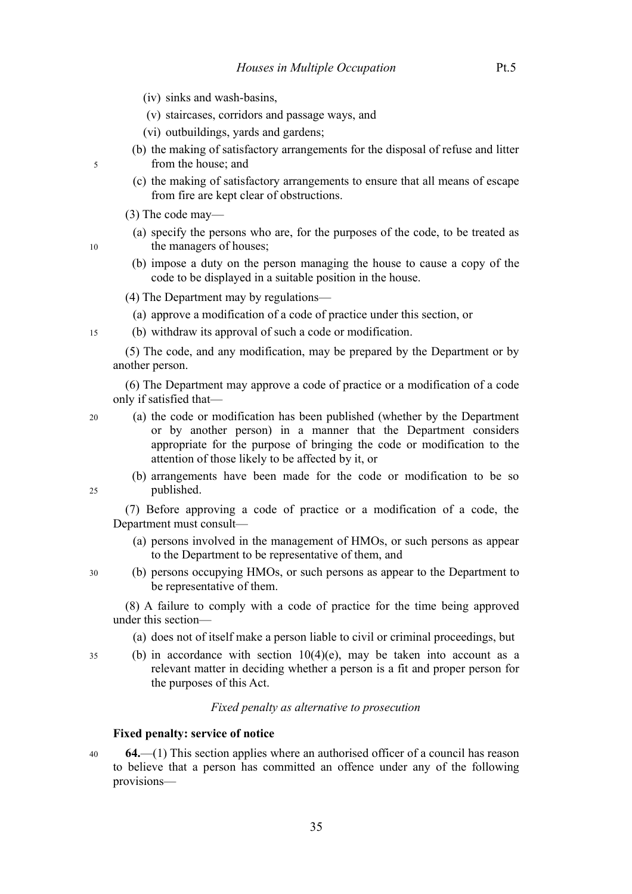- (iv) sinks and wash-basins,
- (v) staircases, corridors and passage ways, and
- (vi) outbuildings, yards and gardens;
- (b) the making of satisfactory arrangements for the disposal of refuse and litter from the house; and
- (c) the making of satisfactory arrangements to ensure that all means of escape from fire are kept clear of obstructions.
- (3) The code may—
- (a) specify the persons who are, for the purposes of the code, to be treated as the managers of houses;
- (b) impose a duty on the person managing the house to cause a copy of the code to be displayed in a suitable position in the house.
- (4) The Department may by regulations—
	- (a) approve a modification of a code of practice under this section, or
- (b) withdraw its approval of such a code or modification.

(5) The code, and any modification, may be prepared by the Department or by another person.

(6) The Department may approve a code of practice or a modification of a code only if satisfied that—

20

25

5

10

15

(a) the code or modification has been published (whether by the Department or by another person) in a manner that the Department considers appropriate for the purpose of bringing the code or modification to the attention of those likely to be affected by it, or

(b) arrangements have been made for the code or modification to be so published.

(7) Before approving a code of practice or a modification of a code, the Department must consult—

- (a) persons involved in the management of HMOs, or such persons as appear to the Department to be representative of them, and
- (b) persons occupying HMOs, or such persons as appear to the Department to be representative of them. 30

(8) A failure to comply with a code of practice for the time being approved under this section—

- (a) does not of itself make a person liable to civil or criminal proceedings, but
- (b) in accordance with section  $10(4)$ (e), may be taken into account as a relevant matter in deciding whether a person is a fit and proper person for the purposes of this Act. 35

*Fixed penalty as alternative to prosecution*

## <span id="page-38-0"></span>**Fixed penalty: service of notice**

**64.**—(1) This section applies where an authorised officer of a council has reason to believe that a person has committed an offence under any of the following provisions— 40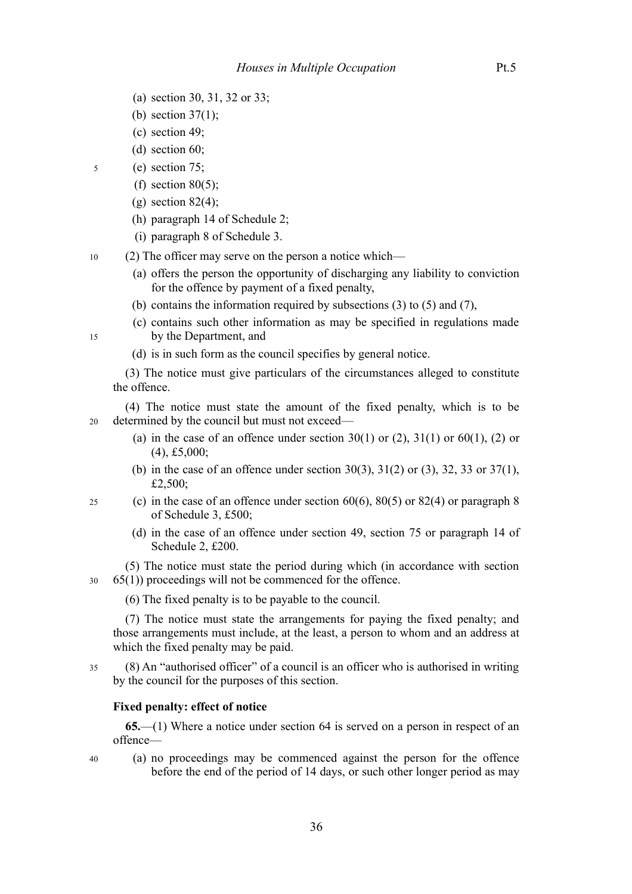- (a) section [30,](#page-21-1) [31,](#page-21-0) [32](#page-22-1) or [33;](#page-22-0)
- (b) section [37\(](#page-24-0)1);
- (c) section [49;](#page-30-0)
- (d) section [60;](#page-35-0)
- (e) section [75;](#page-46-0)
	- (f) section  $80(5)$ ;
	- $(g)$  section [82\(](#page-49-0)4);
	- (h) paragraph 14 of Schedule [2;](#page-57-0)
	- (i) paragraph 8 of Schedule [3.](#page-62-0)
- (2) The officer may serve on the person a notice which— 10
	- (a) offers the person the opportunity of discharging any liability to conviction for the offence by payment of a fixed penalty,
	- (b) contains the information required by subsections (3) to (5) and (7),
	- (c) contains such other information as may be specified in regulations made by the Department, and

15

5

(d) is in such form as the council specifies by general notice.

(3) The notice must give particulars of the circumstances alleged to constitute the offence.

(4) The notice must state the amount of the fixed penalty, which is to be determined by the council but must not exceed— 20

- (a) in the case of an offence under section  $30(1)$  or  $(2)$ ,  $31(1)$  or  $60(1)$ ,  $(2)$  or  $(4)$ , £5,000;
- (b) in the case of an offence under section [30\(](#page-21-1)3), [31\(](#page-21-0)2) or (3), [32,](#page-22-1) [33](#page-22-0) or [37\(](#page-24-0)1), £2,500;
- (c) in the case of an offence under section  $60(6)$ ,  $80(5)$  or  $82(4)$  or paragraph 8 of Schedule [3,](#page-62-0) £500;  $25$ 
	- (d) in the case of an offence under section [49,](#page-30-0) section [75](#page-46-0) or paragraph 14 of Schedule [2,](#page-57-0) £200.

(5) The notice must state the period during which (in accordance with section [65\(](#page-39-0)1)) proceedings will not be commenced for the offence. 30

(6) The fixed penalty is to be payable to the council.

(7) The notice must state the arrangements for paying the fixed penalty; and those arrangements must include, at the least, a person to whom and an address at which the fixed penalty may be paid.

(8) An "authorised officer" of a council is an officer who is authorised in writing by the council for the purposes of this section. 35

# **Fixed penalty: effect of notice**

<span id="page-39-0"></span>**65.**—(1) Where a notice under section [64](#page-38-0) is served on a person in respect of an offence—

(a) no proceedings may be commenced against the person for the offence before the end of the period of 14 days, or such other longer period as may 40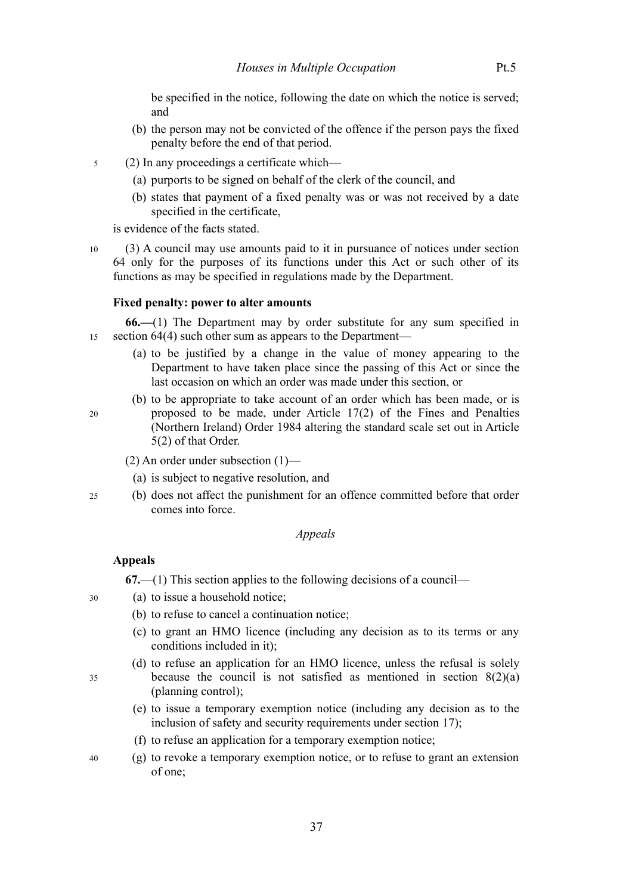be specified in the notice, following the date on which the notice is served; and

- (b) the person may not be convicted of the offence if the person pays the fixed penalty before the end of that period.
- (2) In any proceedings a certificate which— 5
	- (a) purports to be signed on behalf of the clerk of the council, and
	- (b) states that payment of a fixed penalty was or was not received by a date specified in the certificate,

is evidence of the facts stated.

(3) A council may use amounts paid to it in pursuance of notices under section [64](#page-38-0) only for the purposes of its functions under this Act or such other of its functions as may be specified in regulations made by the Department. 10

## **Fixed penalty: power to alter amounts**

**66.—**(1) The Department may by order substitute for any sum specified in section [64\(](#page-38-0)4) such other sum as appears to the Department— 15

- (a) to be justified by a change in the value of money appearing to the Department to have taken place since the passing of this Act or since the last occasion on which an order was made under this section, or
- (b) to be appropriate to take account of an order which has been made, or is proposed to be made, under Article 17(2) of the Fines and Penalties (Northern Ireland) Order 1984 altering the standard scale set out in Article 5(2) of that Order.
- $(2)$  An order under subsection  $(1)$ —
- (a) is subject to negative resolution, and
- (b) does not affect the punishment for an offence committed before that order comes into force.  $25$

*Appeals*

# **Appeals**

<span id="page-40-0"></span>**67.**—(1) This section applies to the following decisions of a council—

- (a) to issue a household notice; 30
	- (b) to refuse to cancel a continuation notice;
	- (c) to grant an HMO licence (including any decision as to its terms or any conditions included in it);
	- (d) to refuse an application for an HMO licence, unless the refusal is solely because the council is not satisfied as mentioned in section  $8(2)(a)$ (planning control);
		- (e) to issue a temporary exemption notice (including any decision as to the inclusion of safety and security requirements under section [17\)](#page-15-0);
		- (f) to refuse an application for a temporary exemption notice;
- (g) to revoke a temporary exemption notice, or to refuse to grant an extension of one; 40

37

- 
- 20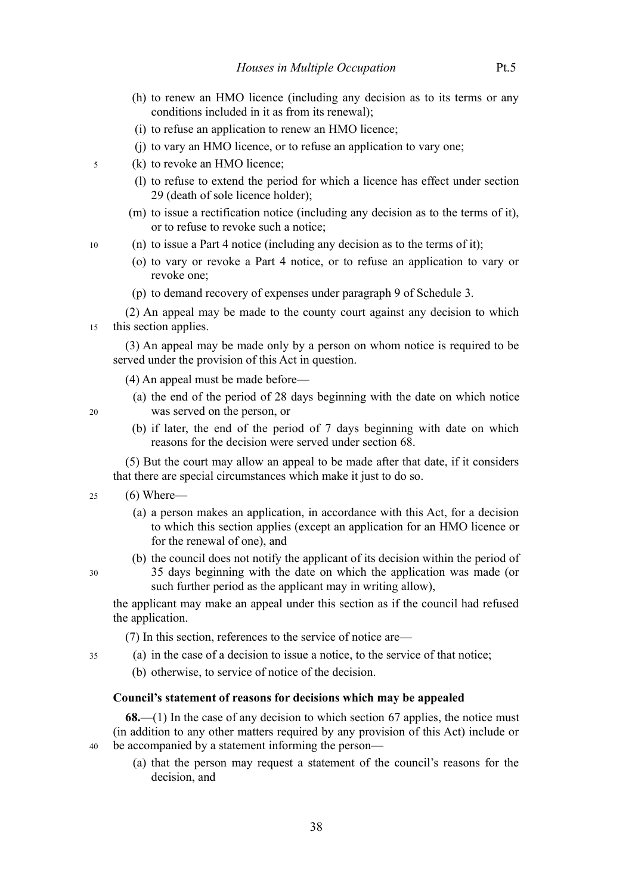- (h) to renew an HMO licence (including any decision as to its terms or any conditions included in it as from its renewal);
- (i) to refuse an application to renew an HMO licence;
- (j) to vary an HMO licence, or to refuse an application to vary one;
- (k) to revoke an HMO licence; 5
	- (l) to refuse to extend the period for which a licence has effect under section [29](#page-20-0) (death of sole licence holder);
	- (m) to issue a rectification notice (including any decision as to the terms of it), or to refuse to revoke such a notice;
	- (n) to issue a Part 4 notice (including any decision as to the terms of it);
		- (o) to vary or revoke a Part 4 notice, or to refuse an application to vary or revoke one;
		- (p) to demand recovery of expenses under paragraph 9 of Schedule [3.](#page-62-0)
- (2) An appeal may be made to the county court against any decision to which this section applies. 15

(3) An appeal may be made only by a person on whom notice is required to be served under the provision of this Act in question.

(4) An appeal must be made before—

(a) the end of the period of 28 days beginning with the date on which notice was served on the person, or

20

30

35

40

10

(b) if later, the end of the period of 7 days beginning with date on which reasons for the decision were served under section [68.](#page-41-0)

(5) But the court may allow an appeal to be made after that date, if it considers that there are special circumstances which make it just to do so.

- (6) Where—  $25$ 
	- (a) a person makes an application, in accordance with this Act, for a decision to which this section applies (except an application for an HMO licence or for the renewal of one), and
	- (b) the council does not notify the applicant of its decision within the period of 35 days beginning with the date on which the application was made (or such further period as the applicant may in writing allow),

the applicant may make an appeal under this section as if the council had refused the application.

(7) In this section, references to the service of notice are—

(a) in the case of a decision to issue a notice, to the service of that notice;

(b) otherwise, to service of notice of the decision.

## <span id="page-41-0"></span>**Council's statement of reasons for decisions which may be appealed**

**68.**—(1) In the case of any decision to which section [67](#page-40-0) applies, the notice must (in addition to any other matters required by any provision of this Act) include or be accompanied by a statement informing the person—

(a) that the person may request a statement of the council's reasons for the decision, and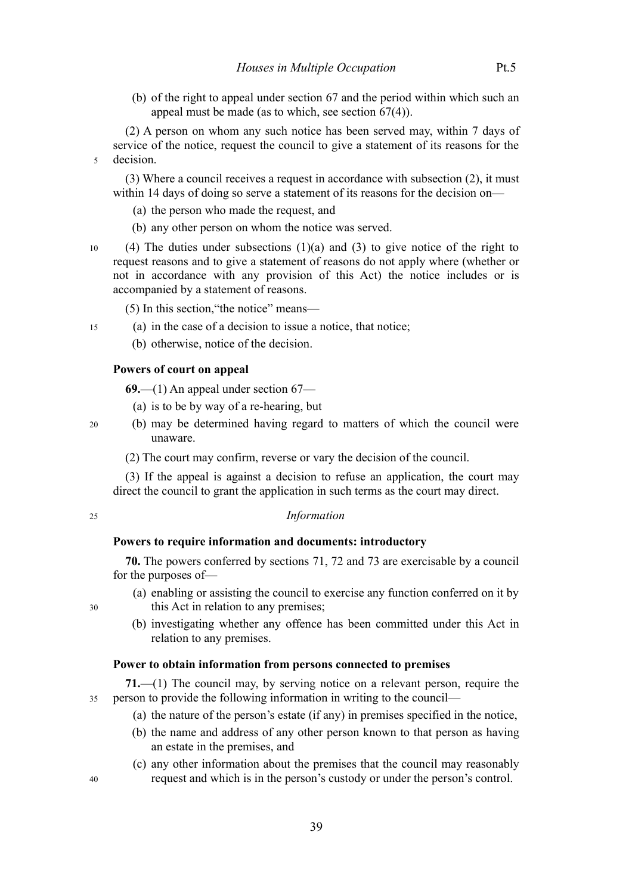(b) of the right to appeal under section [67](#page-40-0) and the period within which such an appeal must be made (as to which, see section [67\(](#page-40-0)4)).

(2) A person on whom any such notice has been served may, within 7 days of service of the notice, request the council to give a statement of its reasons for the decision. 5

(3) Where a council receives a request in accordance with subsection (2), it must within 14 days of doing so serve a statement of its reasons for the decision on—

- (a) the person who made the request, and
- (b) any other person on whom the notice was served.

(4) The duties under subsections (1)(a) and (3) to give notice of the right to request reasons and to give a statement of reasons do not apply where (whether or not in accordance with any provision of this Act) the notice includes or is accompanied by a statement of reasons. 10

(5) In this section,"the notice" means—

- (a) in the case of a decision to issue a notice, that notice; 15
	- (b) otherwise, notice of the decision.

## **Powers of court on appeal**

**69.**—(1) An appeal under section [67—](#page-40-0)

- (a) is to be by way of a re-hearing, but
- (b) may be determined having regard to matters of which the council were unaware.
	- (2) The court may confirm, reverse or vary the decision of the council.

(3) If the appeal is against a decision to refuse an application, the court may direct the council to grant the application in such terms as the court may direct.

### 25

 $20$ 

## *Information*

# **Powers to require information and documents: introductory**

**70.** The powers conferred by sections [71,](#page-42-0) [72](#page-43-0) and [73](#page-44-0) are exercisable by a council for the purposes of—

30

(a) enabling or assisting the council to exercise any function conferred on it by this Act in relation to any premises;

(b) investigating whether any offence has been committed under this Act in relation to any premises.

### <span id="page-42-0"></span>**Power to obtain information from persons connected to premises**

**71.**—(1) The council may, by serving notice on a relevant person, require the person to provide the following information in writing to the council— 35

- (a) the nature of the person's estate (if any) in premises specified in the notice,
- (b) the name and address of any other person known to that person as having an estate in the premises, and
- (c) any other information about the premises that the council may reasonably request and which is in the person's custody or under the person's control.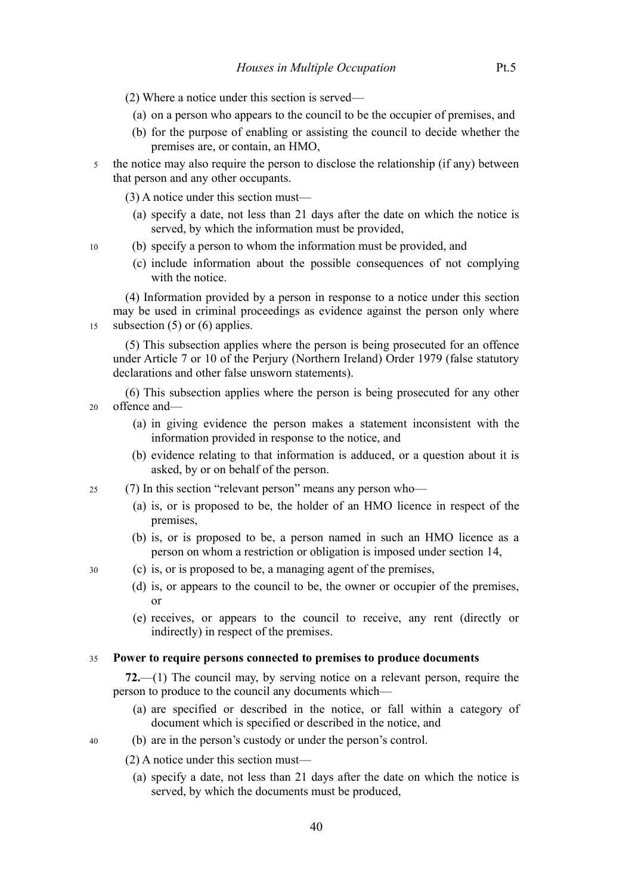(2) Where a notice under this section is served—

- (a) on a person who appears to the council to be the occupier of premises, and
- (b) for the purpose of enabling or assisting the council to decide whether the premises are, or contain, an HMO,
- the notice may also require the person to disclose the relationship (if any) between that person and any other occupants. 5

(3) A notice under this section must—

10

30

40

- (a) specify a date, not less than 21 days after the date on which the notice is served, by which the information must be provided,
- (b) specify a person to whom the information must be provided, and
	- (c) include information about the possible consequences of not complying with the notice.

(4) Information provided by a person in response to a notice under this section may be used in criminal proceedings as evidence against the person only where subsection (5) or (6) applies. 15

(5) This subsection applies where the person is being prosecuted for an offence under Article 7 or 10 of the Perjury (Northern Ireland) Order 1979 (false statutory declarations and other false unsworn statements).

(6) This subsection applies where the person is being prosecuted for any other offence and—  $20$ 

- (a) in giving evidence the person makes a statement inconsistent with the information provided in response to the notice, and
- (b) evidence relating to that information is adduced, or a question about it is asked, by or on behalf of the person.
- (7) In this section "relevant person" means any person who— 25
	- (a) is, or is proposed to be, the holder of an HMO licence in respect of the premises,
	- (b) is, or is proposed to be, a person named in such an HMO licence as a person on whom a restriction or obligation is imposed under section [14,](#page-13-0)
	- (c) is, or is proposed to be, a managing agent of the premises,
		- (d) is, or appears to the council to be, the owner or occupier of the premises, or
		- (e) receives, or appears to the council to receive, any rent (directly or indirectly) in respect of the premises.

#### **Power to require persons connected to premises to produce documents**  35

<span id="page-43-0"></span>**72.**—(1) The council may, by serving notice on a relevant person, require the person to produce to the council any documents which—

- (a) are specified or described in the notice, or fall within a category of document which is specified or described in the notice, and
- (b) are in the person's custody or under the person's control.
	- (2) A notice under this section must—
		- (a) specify a date, not less than 21 days after the date on which the notice is served, by which the documents must be produced,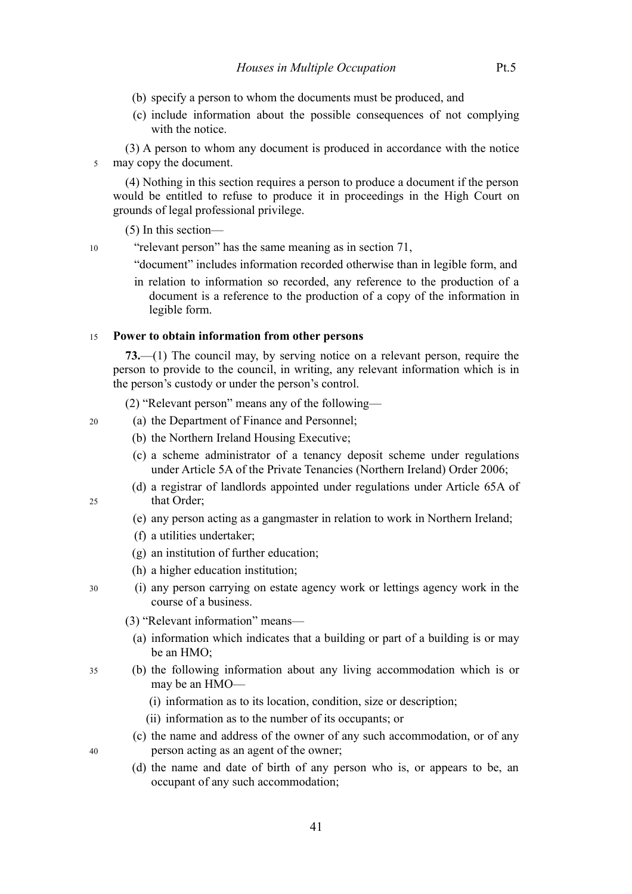- (b) specify a person to whom the documents must be produced, and
- (c) include information about the possible consequences of not complying with the notice.

(3) A person to whom any document is produced in accordance with the notice may copy the document. 5

(4) Nothing in this section requires a person to produce a document if the person would be entitled to refuse to produce it in proceedings in the High Court on grounds of legal professional privilege.

(5) In this section—

10

25

30

"relevant person" has the same meaning as in section [71,](#page-42-0)

- "document" includes information recorded otherwise than in legible form, and
- in relation to information so recorded, any reference to the production of a document is a reference to the production of a copy of the information in legible form.

#### **Power to obtain information from other persons**  15

<span id="page-44-0"></span>**73.**—(1) The council may, by serving notice on a relevant person, require the person to provide to the council, in writing, any relevant information which is in the person's custody or under the person's control.

- (2) "Relevant person" means any of the following—
- (a) the Department of Finance and Personnel; 20
	- (b) the Northern Ireland Housing Executive;
	- (c) a scheme administrator of a tenancy deposit scheme under regulations under Article 5A of the Private Tenancies (Northern Ireland) Order 2006;
	- (d) a registrar of landlords appointed under regulations under Article 65A of that Order;
	- (e) any person acting as a gangmaster in relation to work in Northern Ireland;
	- (f) a utilities undertaker;
	- (g) an institution of further education;
	- (h) a higher education institution;
	- (i) any person carrying on estate agency work or lettings agency work in the course of a business.
		- (3) "Relevant information" means—
			- (a) information which indicates that a building or part of a building is or may be an HMO;
- (b) the following information about any living accommodation which is or may be an HMO— 35
	- (i) information as to its location, condition, size or description;
	- (ii) information as to the number of its occupants; or
	- (c) the name and address of the owner of any such accommodation, or of any person acting as an agent of the owner;
	- (d) the name and date of birth of any person who is, or appears to be, an occupant of any such accommodation;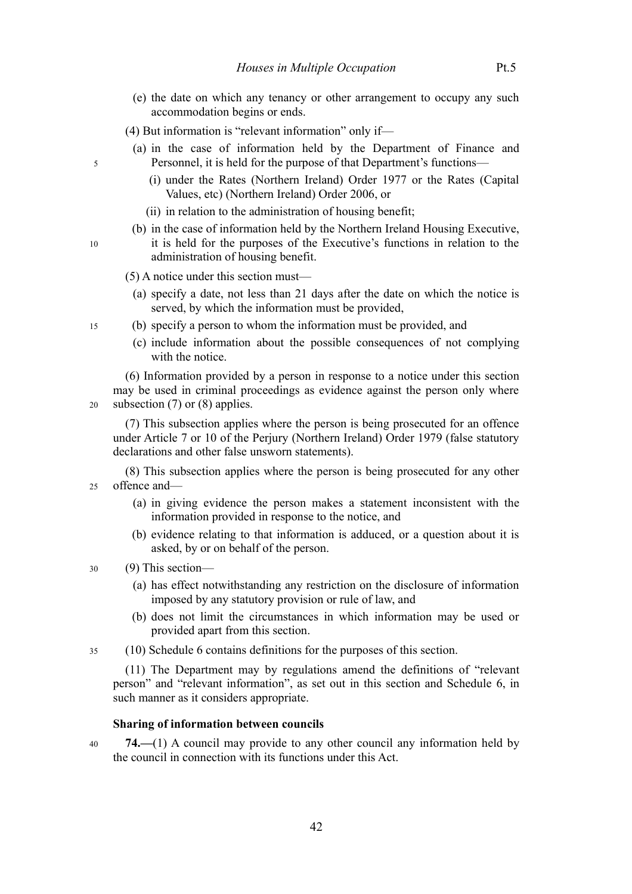- (e) the date on which any tenancy or other arrangement to occupy any such accommodation begins or ends.
- (4) But information is "relevant information" only if—
- (a) in the case of information held by the Department of Finance and Personnel, it is held for the purpose of that Department's functions—
	- (i) under the Rates (Northern Ireland) Order 1977 or the Rates (Capital Values, etc) (Northern Ireland) Order 2006, or
	- (ii) in relation to the administration of housing benefit;
- (b) in the case of information held by the Northern Ireland Housing Executive, it is held for the purposes of the Executive's functions in relation to the administration of housing benefit.
	- (5) A notice under this section must—
		- (a) specify a date, not less than 21 days after the date on which the notice is served, by which the information must be provided,
- (b) specify a person to whom the information must be provided, and 15
	- (c) include information about the possible consequences of not complying with the notice.

(6) Information provided by a person in response to a notice under this section may be used in criminal proceedings as evidence against the person only where subsection (7) or (8) applies. 20

(7) This subsection applies where the person is being prosecuted for an offence under Article 7 or 10 of the Perjury (Northern Ireland) Order 1979 (false statutory declarations and other false unsworn statements).

(8) This subsection applies where the person is being prosecuted for any other offence and— 25

- (a) in giving evidence the person makes a statement inconsistent with the information provided in response to the notice, and
- (b) evidence relating to that information is adduced, or a question about it is asked, by or on behalf of the person.
- (9) This section— 30
	- (a) has effect notwithstanding any restriction on the disclosure of information imposed by any statutory provision or rule of law, and
	- (b) does not limit the circumstances in which information may be used or provided apart from this section.
- (10) Schedule [6](#page-72-0) contains definitions for the purposes of this section. 35

(11) The Department may by regulations amend the definitions of "relevant person" and "relevant information", as set out in this section and Schedule [6,](#page-72-0) in such manner as it considers appropriate.

## **Sharing of information between councils**

**74.—**(1) A council may provide to any other council any information held by the council in connection with its functions under this Act. 40

10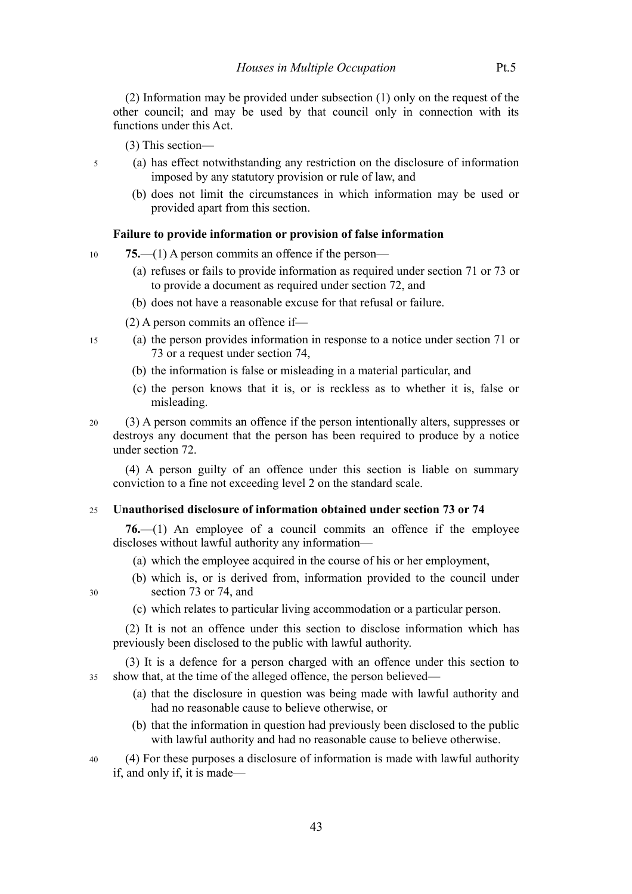(2) Information may be provided under subsection (1) only on the request of the other council; and may be used by that council only in connection with its functions under this Act.

(3) This section—

5

15

- (a) has effect notwithstanding any restriction on the disclosure of information imposed by any statutory provision or rule of law, and
	- (b) does not limit the circumstances in which information may be used or provided apart from this section.

# <span id="page-46-0"></span>**Failure to provide information or provision of false information**

**75.**—(1) A person commits an offence if the person— 10

- (a) refuses or fails to provide information as required under section [71](#page-42-0) or [73](#page-44-0) or to provide a document as required under section [72,](#page-43-0) and
- (b) does not have a reasonable excuse for that refusal or failure.
- (2) A person commits an offence if—
- (a) the person provides information in response to a notice under section [71](#page-42-0) or [73](#page-44-0) or a request under section 74,
	- (b) the information is false or misleading in a material particular, and
	- (c) the person knows that it is, or is reckless as to whether it is, false or misleading.
- (3) A person commits an offence if the person intentionally alters, suppresses or destroys any document that the person has been required to produce by a notice under section [72.](#page-43-0) 20

(4) A person guilty of an offence under this section is liable on summary conviction to a fine not exceeding level 2 on the standard scale.

#### **Unauthorised disclosure of information obtained under section [73](#page-44-0) or 74**  25

<span id="page-46-1"></span>**76.**—(1) An employee of a council commits an offence if the employee discloses without lawful authority any information—

- (a) which the employee acquired in the course of his or her employment,
- (b) which is, or is derived from, information provided to the council under section [73](#page-44-0) or 74, and
- 30
- (c) which relates to particular living accommodation or a particular person.

(2) It is not an offence under this section to disclose information which has previously been disclosed to the public with lawful authority.

(3) It is a defence for a person charged with an offence under this section to show that, at the time of the alleged offence, the person believed— 35

- (a) that the disclosure in question was being made with lawful authority and had no reasonable cause to believe otherwise, or
- (b) that the information in question had previously been disclosed to the public with lawful authority and had no reasonable cause to believe otherwise.
- (4) For these purposes a disclosure of information is made with lawful authority if, and only if, it is made— 40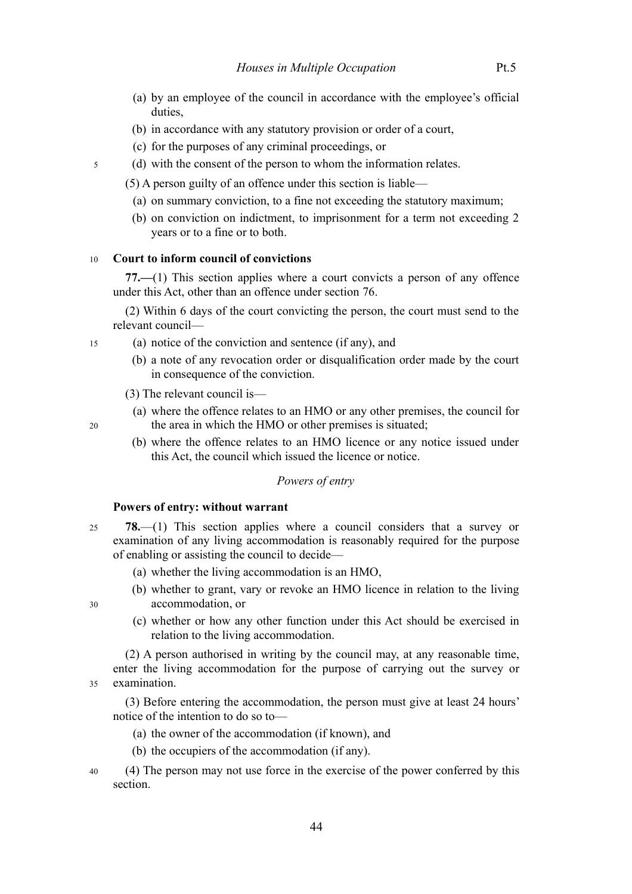- (a) by an employee of the council in accordance with the employee's official duties,
- (b) in accordance with any statutory provision or order of a court,
- (c) for the purposes of any criminal proceedings, or
- (d) with the consent of the person to whom the information relates.
	- (5) A person guilty of an offence under this section is liable—
		- (a) on summary conviction, to a fine not exceeding the statutory maximum;
		- (b) on conviction on indictment, to imprisonment for a term not exceeding 2 years or to a fine or to both.

#### **Court to inform council of convictions**  10

**77.—**(1) This section applies where a court convicts a person of any offence under this Act, other than an offence under section [76.](#page-46-1)

(2) Within 6 days of the court convicting the person, the court must send to the relevant council—

- (a) notice of the conviction and sentence (if any), and
	- (b) a note of any revocation order or disqualification order made by the court in consequence of the conviction.
	- (3) The relevant council is—
		- (a) where the offence relates to an HMO or any other premises, the council for the area in which the HMO or other premises is situated;

20

30

35

15

5

(b) where the offence relates to an HMO licence or any notice issued under this Act, the council which issued the licence or notice.

# *Powers of entry*

# <span id="page-47-0"></span>**Powers of entry: without warrant**

- **78.**—(1) This section applies where a council considers that a survey or examination of any living accommodation is reasonably required for the purpose of enabling or assisting the council to decide— 25
	- (a) whether the living accommodation is an HMO,
	- (b) whether to grant, vary or revoke an HMO licence in relation to the living accommodation, or
	- (c) whether or how any other function under this Act should be exercised in relation to the living accommodation.

(2) A person authorised in writing by the council may, at any reasonable time, enter the living accommodation for the purpose of carrying out the survey or examination.

(3) Before entering the accommodation, the person must give at least 24 hours' notice of the intention to do so to—

- (a) the owner of the accommodation (if known), and
- (b) the occupiers of the accommodation (if any).
- (4) The person may not use force in the exercise of the power conferred by this section. 40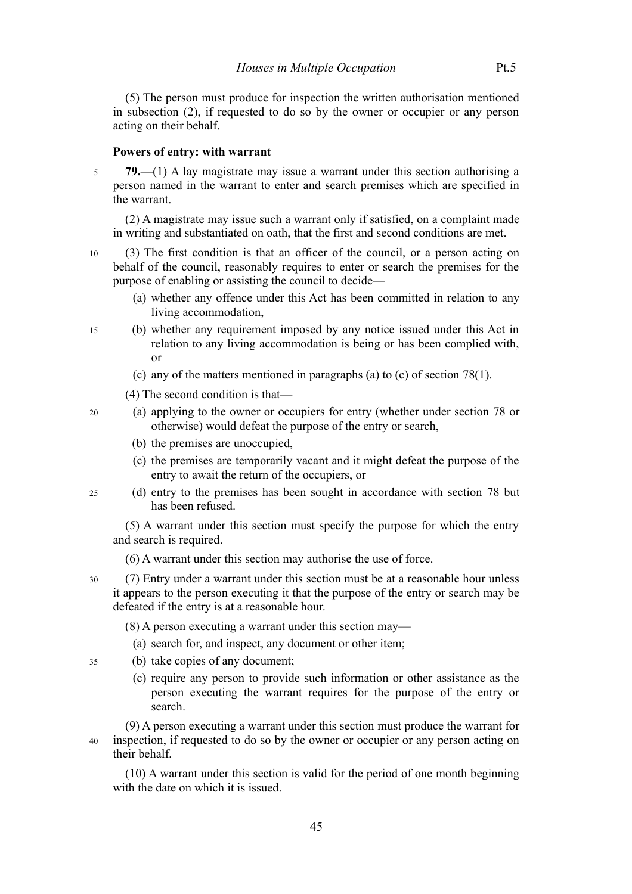(5) The person must produce for inspection the written authorisation mentioned in subsection (2), if requested to do so by the owner or occupier or any person acting on their behalf.

### <span id="page-48-0"></span>**Powers of entry: with warrant**

**79.**—(1) A lay magistrate may issue a warrant under this section authorising a person named in the warrant to enter and search premises which are specified in the warrant. 5

(2) A magistrate may issue such a warrant only if satisfied, on a complaint made in writing and substantiated on oath, that the first and second conditions are met.

- (3) The first condition is that an officer of the council, or a person acting on behalf of the council, reasonably requires to enter or search the premises for the purpose of enabling or assisting the council to decide— 10
	- (a) whether any offence under this Act has been committed in relation to any living accommodation,
- (b) whether any requirement imposed by any notice issued under this Act in relation to any living accommodation is being or has been complied with, or 15
	- (c) any of the matters mentioned in paragraphs (a) to (c) of section [78\(](#page-47-0)1).
	- (4) The second condition is that—
- (a) applying to the owner or occupiers for entry (whether under section [78](#page-47-0) or otherwise) would defeat the purpose of the entry or search,  $20$ 
	- (b) the premises are unoccupied,
	- (c) the premises are temporarily vacant and it might defeat the purpose of the entry to await the return of the occupiers, or
- (d) entry to the premises has been sought in accordance with section [78](#page-47-0) but has been refused. 25

(5) A warrant under this section must specify the purpose for which the entry and search is required.

(6) A warrant under this section may authorise the use of force.

- (7) Entry under a warrant under this section must be at a reasonable hour unless it appears to the person executing it that the purpose of the entry or search may be defeated if the entry is at a reasonable hour. 30
	- (8) A person executing a warrant under this section may—
	- (a) search for, and inspect, any document or other item;
- (b) take copies of any document; 35
	- (c) require any person to provide such information or other assistance as the person executing the warrant requires for the purpose of the entry or search.

(9) A person executing a warrant under this section must produce the warrant for inspection, if requested to do so by the owner or occupier or any person acting on their behalf. 40

(10) A warrant under this section is valid for the period of one month beginning with the date on which it is issued.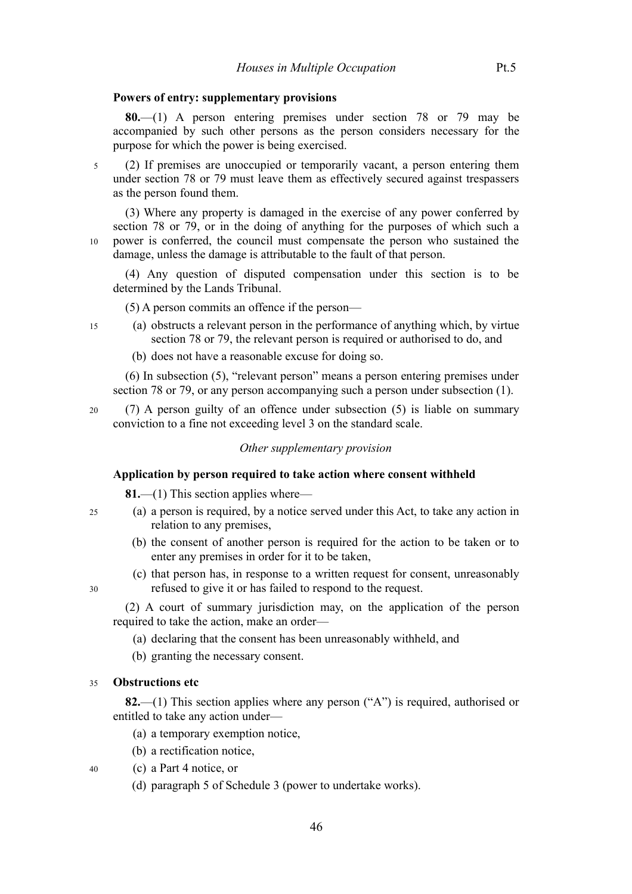# **Powers of entry: supplementary provisions**

<span id="page-49-1"></span>**80.**—(1) A person entering premises under section [78](#page-47-0) or [79](#page-48-0) may be accompanied by such other persons as the person considers necessary for the purpose for which the power is being exercised.

5

10

(2) If premises are unoccupied or temporarily vacant, a person entering them under section [78](#page-47-0) or [79](#page-48-0) must leave them as effectively secured against trespassers as the person found them.

(3) Where any property is damaged in the exercise of any power conferred by section [78](#page-47-0) or [79,](#page-48-0) or in the doing of anything for the purposes of which such a power is conferred, the council must compensate the person who sustained the damage, unless the damage is attributable to the fault of that person.

(4) Any question of disputed compensation under this section is to be determined by the Lands Tribunal.

(5) A person commits an offence if the person—

- (a) obstructs a relevant person in the performance of anything which, by virtue section [78](#page-47-0) or [79,](#page-48-0) the relevant person is required or authorised to do, and
	- (b) does not have a reasonable excuse for doing so.

(6) In subsection (5), "relevant person" means a person entering premises under section [78](#page-47-0) or [79,](#page-48-0) or any person accompanying such a person under subsection (1).

(7) A person guilty of an offence under subsection (5) is liable on summary conviction to a fine not exceeding level 3 on the standard scale. 20

# *Other supplementary provision*

# **Application by person required to take action where consent withheld**

**81.**—(1) This section applies where—

- (a) a person is required, by a notice served under this Act, to take any action in relation to any premises, 25
	- (b) the consent of another person is required for the action to be taken or to enter any premises in order for it to be taken,
	- (c) that person has, in response to a written request for consent, unreasonably refused to give it or has failed to respond to the request.

(2) A court of summary jurisdiction may, on the application of the person required to take the action, make an order—

(a) declaring that the consent has been unreasonably withheld, and

(b) granting the necessary consent.

#### **Obstructions etc**   $25$

<span id="page-49-0"></span>**82.**—(1) This section applies where any person ("A") is required, authorised or entitled to take any action under—

- (a) a temporary exemption notice,
- (b) a rectification notice,

(c) a Part 4 notice, or 40

(d) paragraph 5 of Schedule [3](#page-62-0) (power to undertake works).

15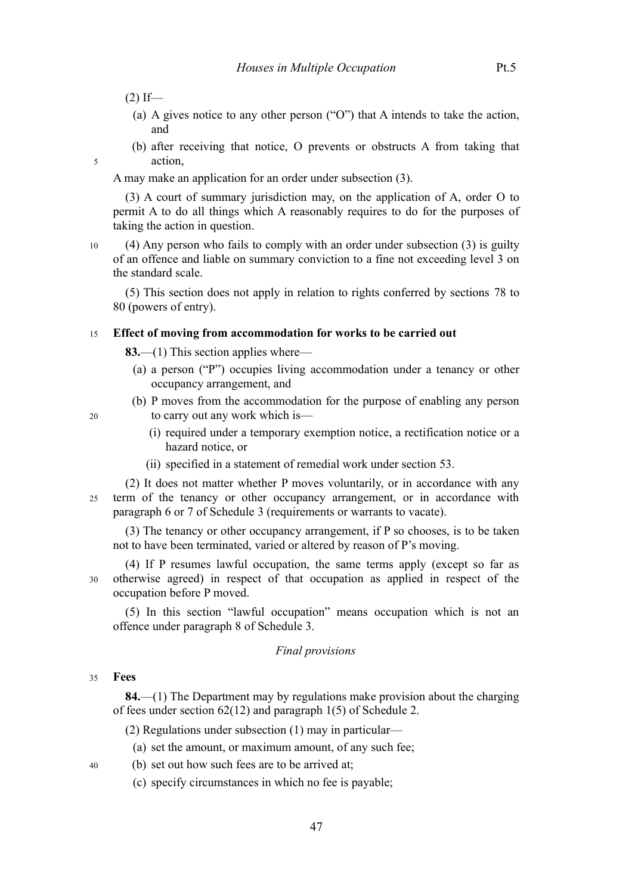$(2)$  If—

- (a) A gives notice to any other person ("O") that A intends to take the action, and
- (b) after receiving that notice, O prevents or obstructs A from taking that action,

A may make an application for an order under subsection (3).

(3) A court of summary jurisdiction may, on the application of A, order O to permit A to do all things which A reasonably requires to do for the purposes of taking the action in question.

10

5

(4) Any person who fails to comply with an order under subsection (3) is guilty of an offence and liable on summary conviction to a fine not exceeding level 3 on the standard scale.

(5) This section does not apply in relation to rights conferred by sections [78](#page-47-0) to [80](#page-49-1) (powers of entry).

#### **Effect of moving from accommodation for works to be carried out**  15

**83.**—(1) This section applies where—

- (a) a person ("P") occupies living accommodation under a tenancy or other occupancy arrangement, and
- (b) P moves from the accommodation for the purpose of enabling any person to carry out any work which is—

20

- (i) required under a temporary exemption notice, a rectification notice or a
- hazard notice, or
- (ii) specified in a statement of remedial work under section [53.](#page-32-0)

(2) It does not matter whether P moves voluntarily, or in accordance with any term of the tenancy or other occupancy arrangement, or in accordance with paragraph 6 or 7 of Schedule [3](#page-62-0) (requirements or warrants to vacate). 25

(3) The tenancy or other occupancy arrangement, if P so chooses, is to be taken not to have been terminated, varied or altered by reason of P's moving.

(4) If P resumes lawful occupation, the same terms apply (except so far as otherwise agreed) in respect of that occupation as applied in respect of the occupation before P moved. 30

(5) In this section "lawful occupation" means occupation which is not an offence under paragraph 8 of Schedule [3.](#page-62-0)

## *Final provisions*

#### **Fees**  35

40

<span id="page-50-0"></span>**84.**—(1) The Department may by regulations make provision about the charging of fees under section [62\(](#page-36-0)12) and paragraph 1(5) of Schedule [2.](#page-57-0)

(2) Regulations under subsection (1) may in particular—

(a) set the amount, or maximum amount, of any such fee;

(b) set out how such fees are to be arrived at;

(c) specify circumstances in which no fee is payable;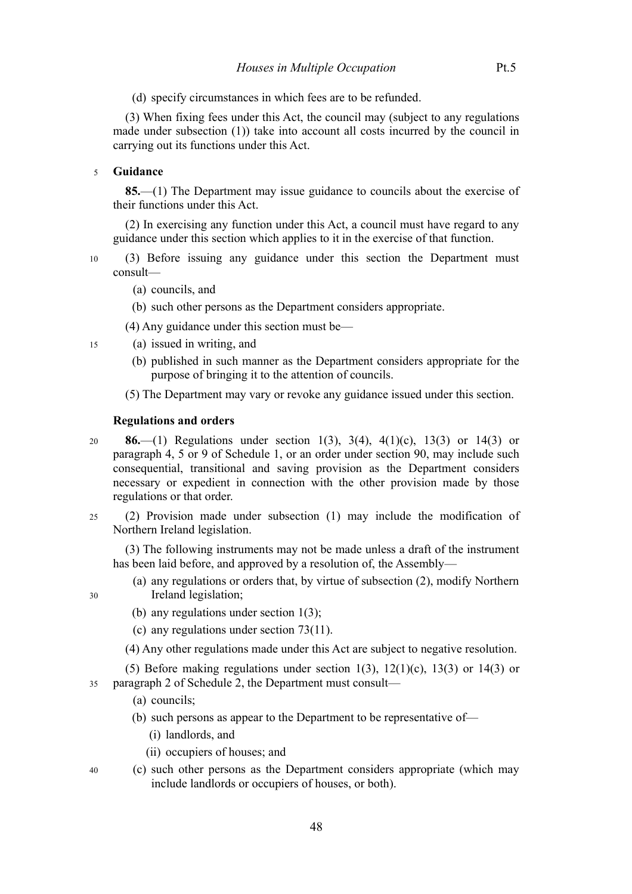(d) specify circumstances in which fees are to be refunded.

(3) When fixing fees under this Act, the council may (subject to any regulations made under subsection (1)) take into account all costs incurred by the council in carrying out its functions under this Act.

## **Guidance**  5

**85.**—(1) The Department may issue guidance to councils about the exercise of their functions under this Act.

(2) In exercising any function under this Act, a council must have regard to any guidance under this section which applies to it in the exercise of that function.

- (3) Before issuing any guidance under this section the Department must consult— 10
	- (a) councils, and
	- (b) such other persons as the Department considers appropriate.

(4) Any guidance under this section must be—

- (a) issued in writing, and 15
	- (b) published in such manner as the Department considers appropriate for the purpose of bringing it to the attention of councils.
	- (5) The Department may vary or revoke any guidance issued under this section.

### <span id="page-51-0"></span>**Regulations and orders**

- **86.**—(1) Regulations under section [1\(](#page-4-0)3), [3\(](#page-5-0)4), [4\(](#page-6-0)1)(c), [13\(](#page-12-0)3) or [14\(](#page-13-0)3) or paragraph 4, 5 or 9 of Schedule [1,](#page-55-0) or an order under section [90,](#page-54-0) may include such consequential, transitional and saving provision as the Department considers necessary or expedient in connection with the other provision made by those regulations or that order. 20
- (2) Provision made under subsection (1) may include the modification of Northern Ireland legislation.  $25$

(3) The following instruments may not be made unless a draft of the instrument has been laid before, and approved by a resolution of, the Assembly—

(a) any regulations or orders that, by virtue of subsection (2), modify Northern Ireland legislation;

30

40

- (b) any regulations under section [1\(](#page-4-0)3);
- (c) any regulations under section [73\(](#page-44-0)11).
- (4) Any other regulations made under this Act are subject to negative resolution.

(5) Before making regulations under section [1\(](#page-4-0)3),  $12(1)(c)$ ,  $13(3)$  or  $14(3)$  or paragraph 2 of Schedule 2, the Department must consult— 35

- - (a) councils;
	- (b) such persons as appear to the Department to be representative of—
		- (i) landlords, and
		- (ii) occupiers of houses; and
- (c) such other persons as the Department considers appropriate (which may include landlords or occupiers of houses, or both).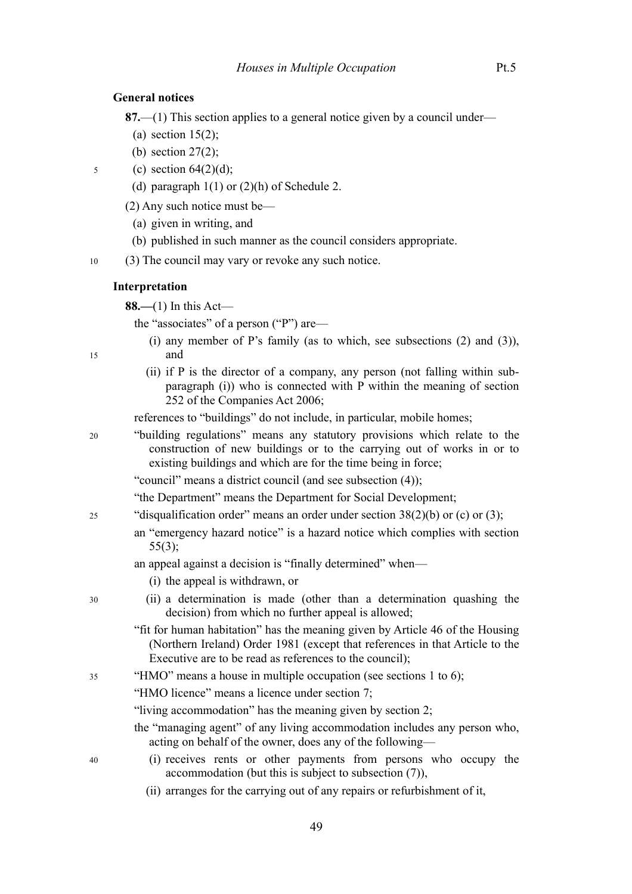# **General notices**

**87.**—(1) This section applies to a general notice given by a council under—

- (a) section  $15(2)$ ;
- (b) section [27\(](#page-19-0)2);
- (c) section  $64(2)(d)$ ; 5
	- (d) paragraph  $1(1)$  or  $(2)(h)$  of Schedule [2.](#page-57-0)

(2) Any such notice must be—

- (a) given in writing, and
- (b) published in such manner as the council considers appropriate.
- (3) The council may vary or revoke any such notice. 10

# **Interpretation**

15

20

25

30

40

**88.—**(1) In this Act—

the "associates" of a person ("P") are—

- (i) any member of P's family (as to which, see subsections (2) and (3)), and
- (ii) if P is the director of a company, any person (not falling within subparagraph (i)) who is connected with P within the meaning of section 252 of the Companies Act 2006;

references to "buildings" do not include, in particular, mobile homes;

"building regulations" means any statutory provisions which relate to the construction of new buildings or to the carrying out of works in or to existing buildings and which are for the time being in force;

"council" means a district council (and see subsection (4));

"the Department" means the Department for Social Development;

- "disqualification order" means an order under section  $38(2)(b)$  or (c) or (3);
	- an "emergency hazard notice" is a hazard notice which complies with section [55\(](#page-33-0)3);
	- an appeal against a decision is "finally determined" when—
		- (i) the appeal is withdrawn, or
	- (ii) a determination is made (other than a determination quashing the decision) from which no further appeal is allowed;
	- "fit for human habitation" has the meaning given by Article 46 of the Housing (Northern Ireland) Order 1981 (except that references in that Article to the Executive are to be read as references to the council);
- "HMO" means a house in multiple occupation (see sections [1](#page-4-0) to [6\)](#page-7-0); 35
	- "HMO licence" means a licence under section [7;](#page-9-0)

"living accommodation" has the meaning given by section [2;](#page-4-1)

- the "managing agent" of any living accommodation includes any person who, acting on behalf of the owner, does any of the following—
	- (i) receives rents or other payments from persons who occupy the accommodation (but this is subject to subsection (7)),
	- (ii) arranges for the carrying out of any repairs or refurbishment of it,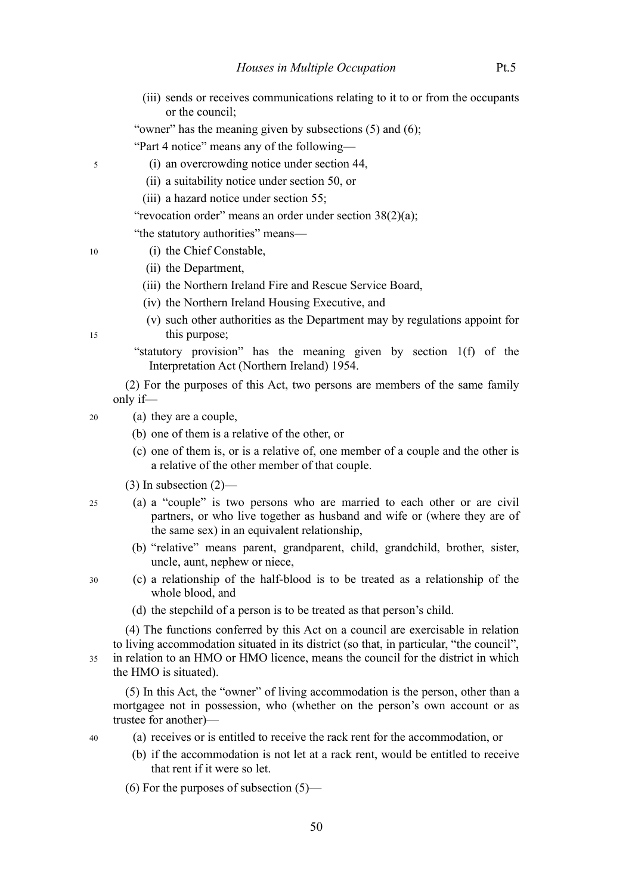- (iii) sends or receives communications relating to it to or from the occupants or the council;
- "owner" has the meaning given by subsections (5) and (6);
- "Part 4 notice" means any of the following—
	- (i) an overcrowding notice under section [44,](#page-28-0)
	- (ii) a suitability notice under section [50,](#page-31-0) or
	- (iii) a hazard notice under section [55;](#page-33-0)
- "revocation order" means an order under section [38\(](#page-25-0)2)(a);

"the statutory authorities" means—

- (i) the Chief Constable,
- (ii) the Department,
- (iii) the Northern Ireland Fire and Rescue Service Board,
- (iv) the Northern Ireland Housing Executive, and
- (v) such other authorities as the Department may by regulations appoint for this purpose;
- 15

30

40

10

5

"statutory provision" has the meaning given by section 1(f) of the Interpretation Act (Northern Ireland) 1954.

(2) For the purposes of this Act, two persons are members of the same family only if—

- (a) they are a couple, 20
	- (b) one of them is a relative of the other, or
	- (c) one of them is, or is a relative of, one member of a couple and the other is a relative of the other member of that couple.
	- (3) In subsection (2)—
- (a) a "couple" is two persons who are married to each other or are civil partners, or who live together as husband and wife or (where they are of the same sex) in an equivalent relationship, 25
	- (b) "relative" means parent, grandparent, child, grandchild, brother, sister, uncle, aunt, nephew or niece,
	- (c) a relationship of the half-blood is to be treated as a relationship of the whole blood, and
		- (d) the stepchild of a person is to be treated as that person's child.

(4) The functions conferred by this Act on a council are exercisable in relation to living accommodation situated in its district (so that, in particular, "the council", in relation to an HMO or HMO licence, means the council for the district in which 35

the HMO is situated).

(5) In this Act, the "owner" of living accommodation is the person, other than a mortgagee not in possession, who (whether on the person's own account or as trustee for another)—

- (a) receives or is entitled to receive the rack rent for the accommodation, or
	- (b) if the accommodation is not let at a rack rent, would be entitled to receive that rent if it were so let.
	- (6) For the purposes of subsection (5)—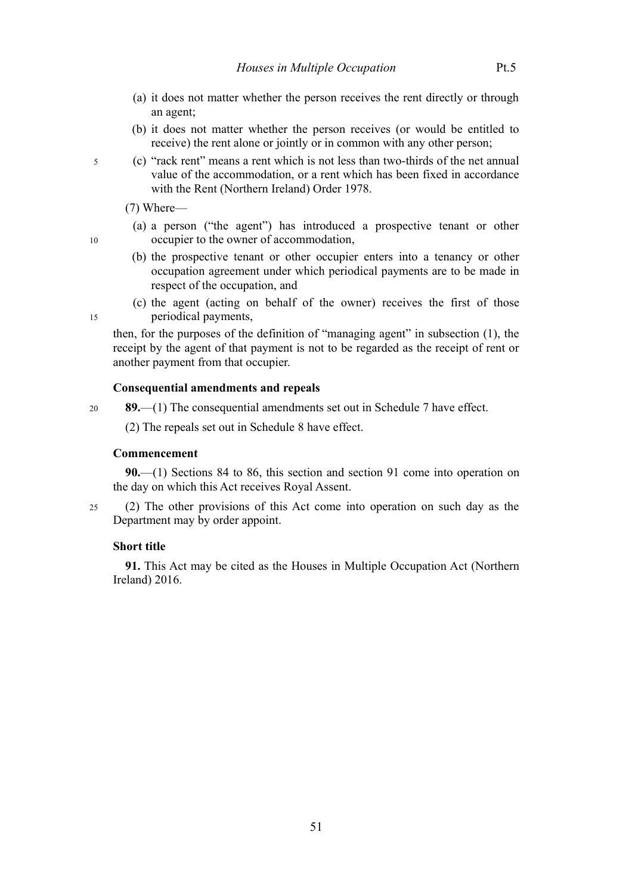- (a) it does not matter whether the person receives the rent directly or through an agent;
- (b) it does not matter whether the person receives (or would be entitled to receive) the rent alone or jointly or in common with any other person;
- (c) "rack rent" means a rent which is not less than two-thirds of the net annual value of the accommodation, or a rent which has been fixed in accordance with the Rent (Northern Ireland) Order 1978.
	- (7) Where—
		- (a) a person ("the agent") has introduced a prospective tenant or other occupier to the owner of accommodation,
		- (b) the prospective tenant or other occupier enters into a tenancy or other occupation agreement under which periodical payments are to be made in respect of the occupation, and
		- (c) the agent (acting on behalf of the owner) receives the first of those periodical payments,

then, for the purposes of the definition of "managing agent" in subsection (1), the receipt by the agent of that payment is not to be regarded as the receipt of rent or another payment from that occupier.

# **Consequential amendments and repeals**

**89.**—(1) The consequential amendments set out in Schedule [7](#page-73-0) have effect.

(2) The repeals set out in Schedule [8](#page-76-0) have effect.

## **Commencement**

<span id="page-54-0"></span>**90.**—(1) Sections [84](#page-50-0) to [86,](#page-51-0) this section and section [91](#page-54-1) come into operation on the day on which this Act receives Royal Assent.

25

# (2) The other provisions of this Act come into operation on such day as the Department may by order appoint.

## **Short title**

<span id="page-54-1"></span>**91.** This Act may be cited as the Houses in Multiple Occupation Act (Northern Ireland) 2016.

10

15

20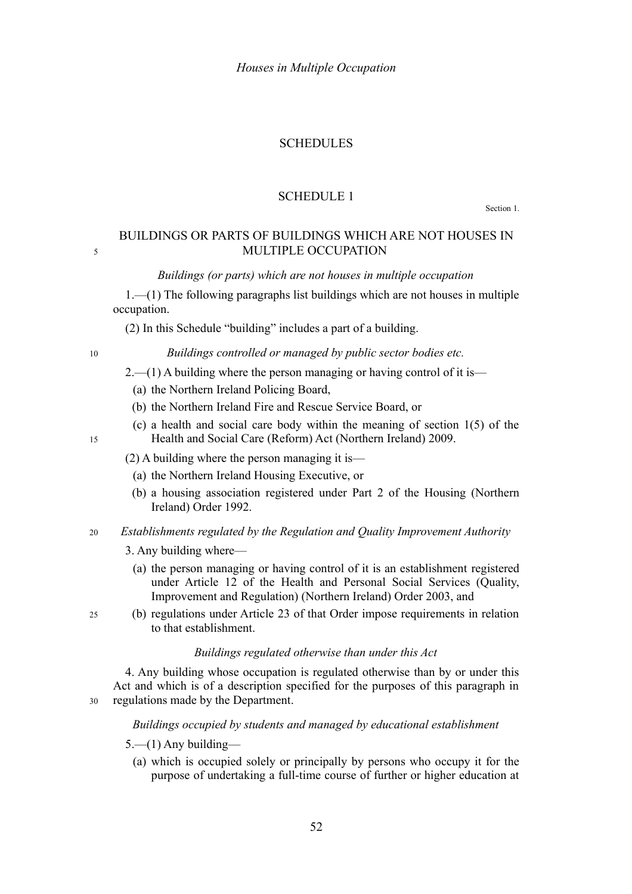# SCHEDULES

# <span id="page-55-0"></span>SCHEDULE 1

Section [1.](#page-4-0)

# BUILDINGS OR PARTS OF BUILDINGS WHICH ARE NOT HOUSES IN MULTIPLE OCCUPATION

# *Buildings (or parts) which are not houses in multiple occupation*

1.—(1) The following paragraphs list buildings which are not houses in multiple occupation.

(2) In this Schedule "building" includes a part of a building.

10

15

5

*Buildings controlled or managed by public sector bodies etc.*

 $2-1$ ) A building where the person managing or having control of it is—

- (a) the Northern Ireland Policing Board,
- (b) the Northern Ireland Fire and Rescue Service Board, or
- (c) a health and social care body within the meaning of section 1(5) of the Health and Social Care (Reform) Act (Northern Ireland) 2009.
- (2) A building where the person managing it is—
- (a) the Northern Ireland Housing Executive, or
- (b) a housing association registered under Part 2 of the Housing (Northern Ireland) Order 1992.
- *Establishments regulated by the Regulation and Quality Improvement Authority* 20
	- 3. Any building where—
		- (a) the person managing or having control of it is an establishment registered under Article 12 of the Health and Personal Social Services (Quality, Improvement and Regulation) (Northern Ireland) Order 2003, and
- (b) regulations under Article 23 of that Order impose requirements in relation to that establishment. 25

## *Buildings regulated otherwise than under this Act*

4. Any building whose occupation is regulated otherwise than by or under this Act and which is of a description specified for the purposes of this paragraph in regulations made by the Department. 30

## *Buildings occupied by students and managed by educational establishment*

- $5 (1)$  Any building—
	- (a) which is occupied solely or principally by persons who occupy it for the purpose of undertaking a full-time course of further or higher education at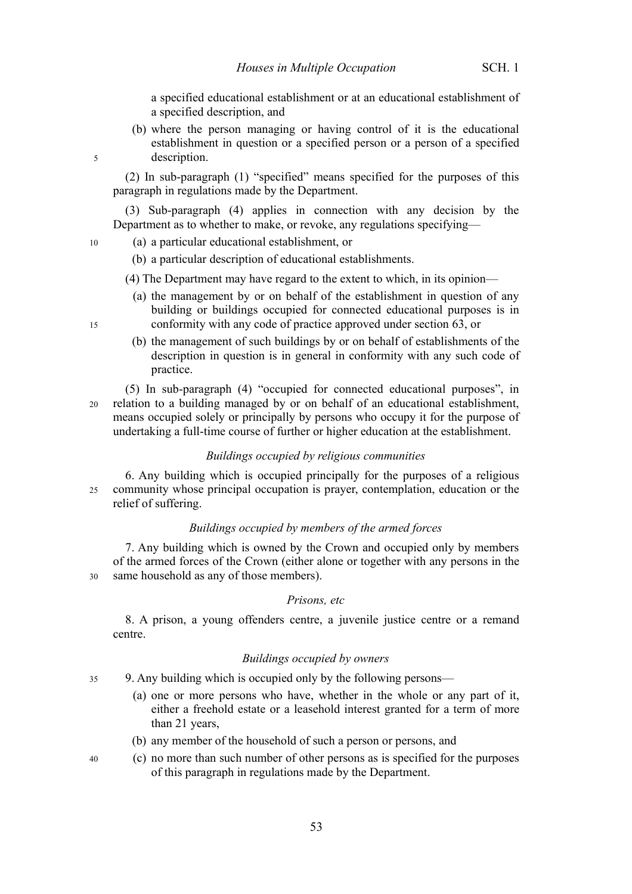a specified educational establishment or at an educational establishment of a specified description, and

(b) where the person managing or having control of it is the educational establishment in question or a specified person or a person of a specified description.

(2) In sub-paragraph (1) "specified" means specified for the purposes of this paragraph in regulations made by the Department.

(3) Sub-paragraph (4) applies in connection with any decision by the Department as to whether to make, or revoke, any regulations specifying—

(a) a particular educational establishment, or

(b) a particular description of educational establishments.

(4) The Department may have regard to the extent to which, in its opinion—

- (a) the management by or on behalf of the establishment in question of any building or buildings occupied for connected educational purposes is in conformity with any code of practice approved under section [63,](#page-37-0) or
- (b) the management of such buildings by or on behalf of establishments of the description in question is in general in conformity with any such code of practice.

(5) In sub-paragraph (4) "occupied for connected educational purposes", in relation to a building managed by or on behalf of an educational establishment, means occupied solely or principally by persons who occupy it for the purpose of undertaking a full-time course of further or higher education at the establishment. 20

## *Buildings occupied by religious communities*

6. Any building which is occupied principally for the purposes of a religious community whose principal occupation is prayer, contemplation, education or the relief of suffering. 25

# *Buildings occupied by members of the armed forces*

7. Any building which is owned by the Crown and occupied only by members of the armed forces of the Crown (either alone or together with any persons in the same household as any of those members). 30

### *Prisons, etc*

8. A prison, a young offenders centre, a juvenile justice centre or a remand centre.

## *Buildings occupied by owners*

9. Any building which is occupied only by the following persons— 35

- (a) one or more persons who have, whether in the whole or any part of it, either a freehold estate or a leasehold interest granted for a term of more than 21 years,
- (b) any member of the household of such a person or persons, and
- (c) no more than such number of other persons as is specified for the purposes of this paragraph in regulations made by the Department. 40

5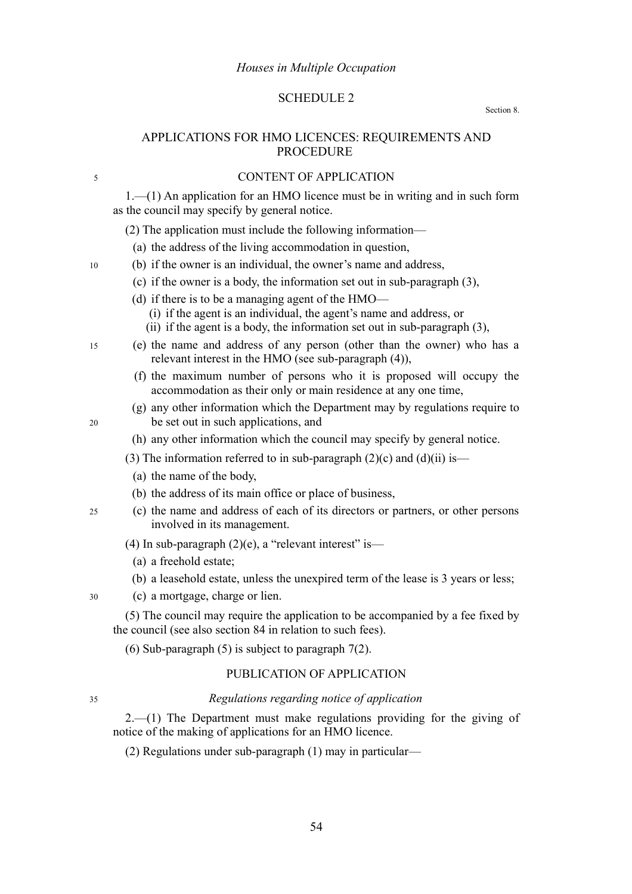# <span id="page-57-0"></span>SCHEDULE 2

Section [8.](#page-9-1)

# APPLICATIONS FOR HMO LICENCES: REQUIREMENTS AND PROCEDURE

# CONTENT OF APPLICATION

1.—(1) An application for an HMO licence must be in writing and in such form as the council may specify by general notice.

(2) The application must include the following information—

- (a) the address of the living accommodation in question,
- (b) if the owner is an individual, the owner's name and address,
	- (c) if the owner is a body, the information set out in sub-paragraph (3),
	- (d) if there is to be a managing agent of the HMO—
		- (i) if the agent is an individual, the agent's name and address, or
		- (ii) if the agent is a body, the information set out in sub-paragraph (3),
- (e) the name and address of any person (other than the owner) who has a relevant interest in the HMO (see sub-paragraph (4)), 15
	- (f) the maximum number of persons who it is proposed will occupy the accommodation as their only or main residence at any one time,
	- (g) any other information which the Department may by regulations require to be set out in such applications, and
	- (h) any other information which the council may specify by general notice.
	- (3) The information referred to in sub-paragraph  $(2)(c)$  and  $(d)(ii)$  is—
		- (a) the name of the body,
		- (b) the address of its main office or place of business,
- (c) the name and address of each of its directors or partners, or other persons involved in its management.  $25$ 
	- (4) In sub-paragraph  $(2)(e)$ , a "relevant interest" is—
		- (a) a freehold estate;
		- (b) a leasehold estate, unless the unexpired term of the lease is 3 years or less;
- (c) a mortgage, charge or lien. 30

(5) The council may require the application to be accompanied by a fee fixed by the council (see also section [84](#page-50-0) in relation to such fees).

(6) Sub-paragraph (5) is subject to paragraph [7\(](#page-59-0)2).

# PUBLICATION OF APPLICATION

# *Regulations regarding notice of application*

2.—(1) The Department must make regulations providing for the giving of notice of the making of applications for an HMO licence.

(2) Regulations under sub-paragraph (1) may in particular—

20

35

5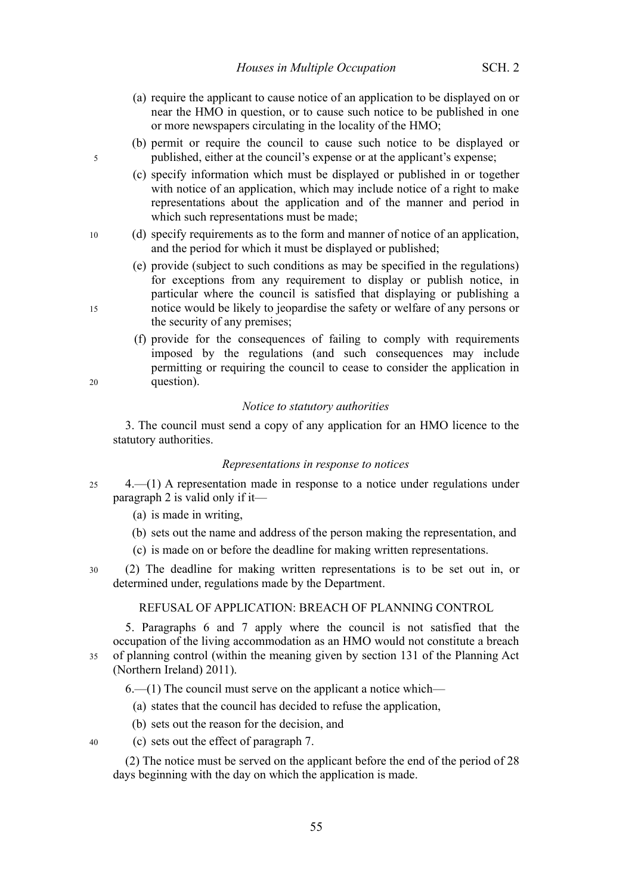- (a) require the applicant to cause notice of an application to be displayed on or near the HMO in question, or to cause such notice to be published in one or more newspapers circulating in the locality of the HMO;
- (b) permit or require the council to cause such notice to be displayed or published, either at the council's expense or at the applicant's expense;
- (c) specify information which must be displayed or published in or together with notice of an application, which may include notice of a right to make representations about the application and of the manner and period in which such representations must be made:
- (d) specify requirements as to the form and manner of notice of an application, and the period for which it must be displayed or published; 10
	- (e) provide (subject to such conditions as may be specified in the regulations) for exceptions from any requirement to display or publish notice, in particular where the council is satisfied that displaying or publishing a notice would be likely to jeopardise the safety or welfare of any persons or the security of any premises;
	- (f) provide for the consequences of failing to comply with requirements imposed by the regulations (and such consequences may include permitting or requiring the council to cease to consider the application in question).

## *Notice to statutory authorities*

3. The council must send a copy of any application for an HMO licence to the statutory authorities.

## *Representations in response to notices*

- 4.—(1) A representation made in response to a notice under regulations under paragraph 2 is valid only if it— 25
	- (a) is made in writing,

5

15

20

40

- (b) sets out the name and address of the person making the representation, and
- (c) is made on or before the deadline for making written representations.
- (2) The deadline for making written representations is to be set out in, or determined under, regulations made by the Department. 30

### REFUSAL OF APPLICATION: BREACH OF PLANNING CONTROL

5. Paragraphs 6 and 7 apply where the council is not satisfied that the occupation of the living accommodation as an HMO would not constitute a breach of planning control (within the meaning given by section 131 of the Planning Act (Northern Ireland) 2011). 35

6.—(1) The council must serve on the applicant a notice which—

- (a) states that the council has decided to refuse the application,
- (b) sets out the reason for the decision, and
- (c) sets out the effect of paragraph 7.

(2) The notice must be served on the applicant before the end of the period of 28 days beginning with the day on which the application is made.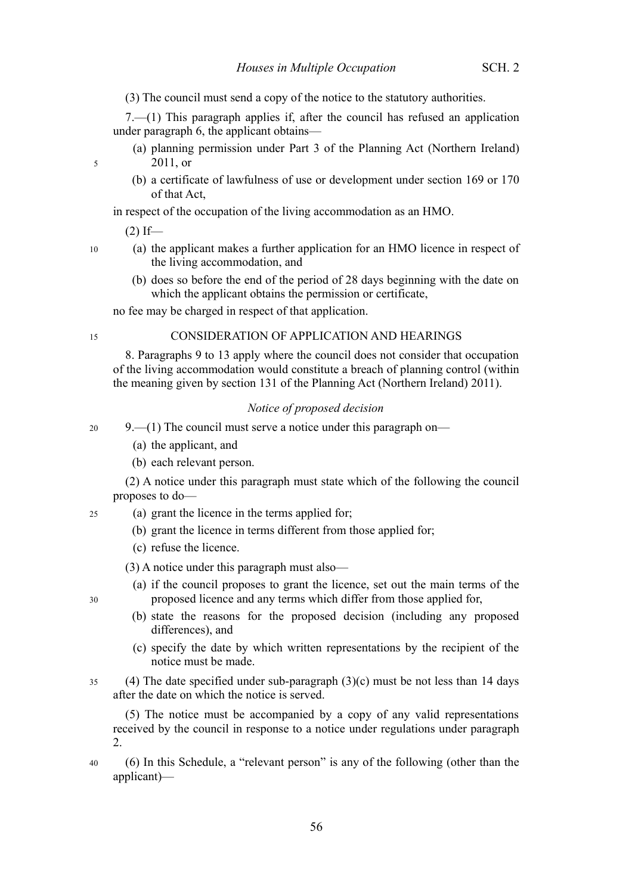(3) The council must send a copy of the notice to the statutory authorities.

<span id="page-59-0"></span>7.—(1) This paragraph applies if, after the council has refused an application under paragraph 6, the applicant obtains—

- (a) planning permission under Part 3 of the Planning Act (Northern Ireland) 2011, or
- (b) a certificate of lawfulness of use or development under section 169 or 170 of that Act,

in respect of the occupation of the living accommodation as an HMO.

 $(2)$  If—

- (a) the applicant makes a further application for an HMO licence in respect of the living accommodation, and
	- (b) does so before the end of the period of 28 days beginning with the date on which the applicant obtains the permission or certificate,

no fee may be charged in respect of that application.

15

10

5

# CONSIDERATION OF APPLICATION AND HEARINGS

8. Paragraphs 9 to 13 apply where the council does not consider that occupation of the living accommodation would constitute a breach of planning control (within the meaning given by section 131 of the Planning Act (Northern Ireland) 2011).

## *Notice of proposed decision*

9.—(1) The council must serve a notice under this paragraph on— 20

- (a) the applicant, and
- (b) each relevant person.

(2) A notice under this paragraph must state which of the following the council proposes to do—

- (a) grant the licence in the terms applied for; 25
	- (b) grant the licence in terms different from those applied for;
	- (c) refuse the licence.

(3) A notice under this paragraph must also—

- (a) if the council proposes to grant the licence, set out the main terms of the proposed licence and any terms which differ from those applied for,
- (b) state the reasons for the proposed decision (including any proposed differences), and
- (c) specify the date by which written representations by the recipient of the notice must be made.
- (4) The date specified under sub-paragraph  $(3)(c)$  must be not less than 14 days after the date on which the notice is served. 35

(5) The notice must be accompanied by a copy of any valid representations received by the council in response to a notice under regulations under paragraph 2.

(6) In this Schedule, a "relevant person" is any of the following (other than the applicant)— 40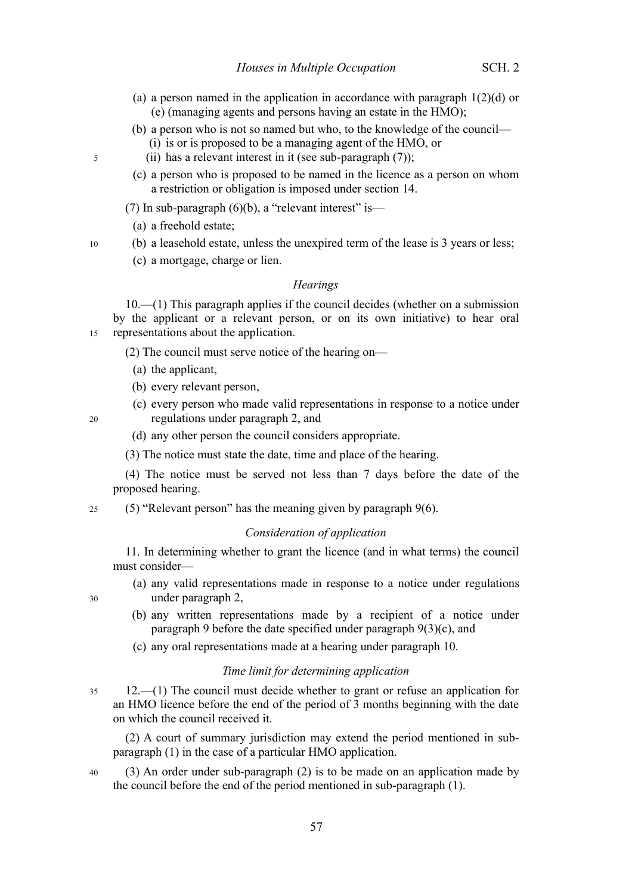- (a) a person named in the application in accordance with paragraph  $1(2)(d)$  or (e) (managing agents and persons having an estate in the HMO);
- (b) a person who is not so named but who, to the knowledge of the council— (i) is or is proposed to be a managing agent of the HMO, or
	- (ii) has a relevant interest in it (see sub-paragraph (7));
- (c) a person who is proposed to be named in the licence as a person on whom a restriction or obligation is imposed under section [14.](#page-13-0)

(7) In sub-paragraph  $(6)(b)$ , a "relevant interest" is—

- (a) a freehold estate;
- (b) a leasehold estate, unless the unexpired term of the lease is 3 years or less;
	- (c) a mortgage, charge or lien.

## *Hearings*

10.—(1) This paragraph applies if the council decides (whether on a submission by the applicant or a relevant person, or on its own initiative) to hear oral representations about the application. 15

(2) The council must serve notice of the hearing on—

- (a) the applicant,
- (b) every relevant person,
- (c) every person who made valid representations in response to a notice under regulations under paragraph 2, and

20

(d) any other person the council considers appropriate.

(3) The notice must state the date, time and place of the hearing.

(4) The notice must be served not less than 7 days before the date of the proposed hearing.

(5) "Relevant person" has the meaning given by paragraph 9(6).  $25$ 

# *Consideration of application*

11. In determining whether to grant the licence (and in what terms) the council must consider—

30

35

- (a) any valid representations made in response to a notice under regulations under paragraph 2,
- (b) any written representations made by a recipient of a notice under paragraph 9 before the date specified under paragraph 9(3)(c), and
- (c) any oral representations made at a hearing under paragraph 10.

# *Time limit for determining application*

12.—(1) The council must decide whether to grant or refuse an application for an HMO licence before the end of the period of 3 months beginning with the date on which the council received it.

(2) A court of summary jurisdiction may extend the period mentioned in subparagraph (1) in the case of a particular HMO application.

(3) An order under sub-paragraph (2) is to be made on an application made by the council before the end of the period mentioned in sub-paragraph (1). 40

5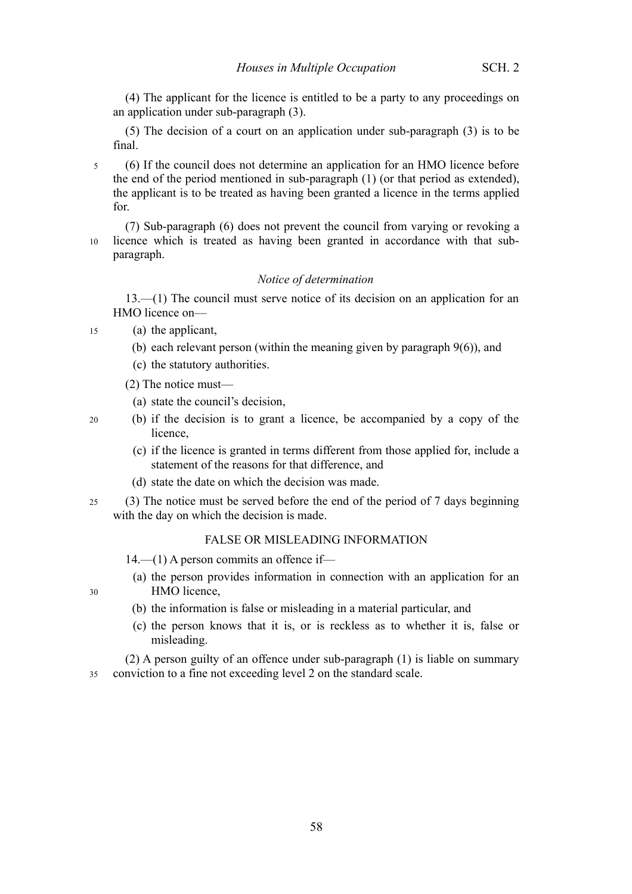(4) The applicant for the licence is entitled to be a party to any proceedings on an application under sub-paragraph (3).

(5) The decision of a court on an application under sub-paragraph (3) is to be final.

- (6) If the council does not determine an application for an HMO licence before the end of the period mentioned in sub-paragraph (1) (or that period as extended), the applicant is to be treated as having been granted a licence in the terms applied for. 5
- (7) Sub-paragraph (6) does not prevent the council from varying or revoking a licence which is treated as having been granted in accordance with that subparagraph. 10

## *Notice of determination*

13.—(1) The council must serve notice of its decision on an application for an HMO licence on—

- (a) the applicant, 15
	- (b) each relevant person (within the meaning given by paragraph 9(6)), and
	- (c) the statutory authorities.
	- (2) The notice must—
		- (a) state the council's decision,
	- (b) if the decision is to grant a licence, be accompanied by a copy of the licence,
		- (c) if the licence is granted in terms different from those applied for, include a statement of the reasons for that difference, and
		- (d) state the date on which the decision was made.
- (3) The notice must be served before the end of the period of 7 days beginning with the day on which the decision is made. 25

# FALSE OR MISLEADING INFORMATION

- 14.—(1) A person commits an offence if—
- (a) the person provides information in connection with an application for an HMO licence,
- (b) the information is false or misleading in a material particular, and
- (c) the person knows that it is, or is reckless as to whether it is, false or misleading.

(2) A person guilty of an offence under sub-paragraph (1) is liable on summary

conviction to a fine not exceeding level 2 on the standard scale. 35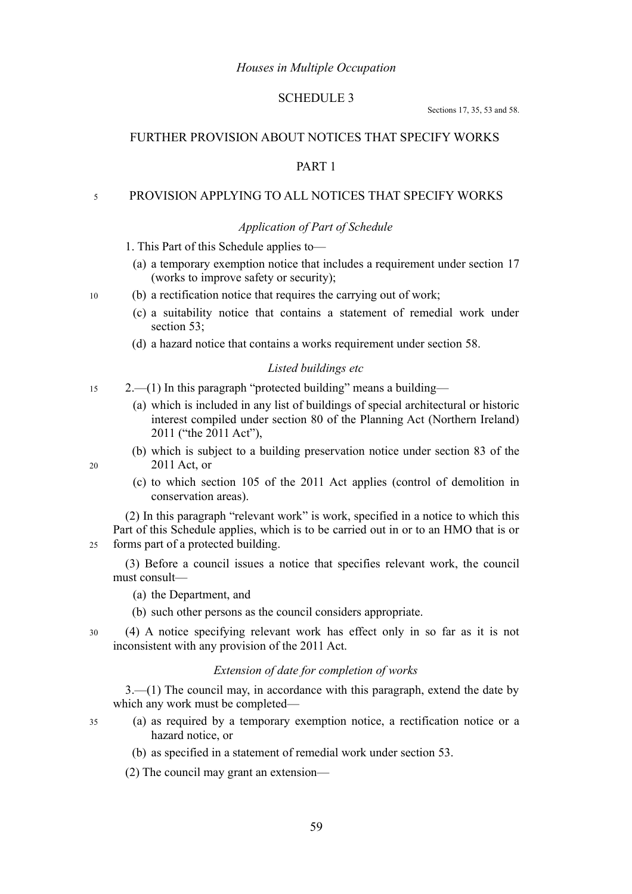# *Houses in Multiple Occupation*

# <span id="page-62-0"></span>SCHEDULE 3

# FURTHER PROVISION ABOUT NOTICES THAT SPECIFY WORKS

# PART 1

#### PROVISION APPLYING TO ALL NOTICES THAT SPECIFY WORKS 5

# *Application of Part of Schedule*

1. This Part of this Schedule applies to—

- (a) a temporary exemption notice that includes a requirement under section [17](#page-15-0) (works to improve safety or security);
- (b) a rectification notice that requires the carrying out of work; 10
	- (c) a suitability notice that contains a statement of remedial work under section [53;](#page-32-0)
	- (d) a hazard notice that contains a works requirement under section [58.](#page-34-0)

# *Listed buildings etc*

 $2-$ (1) In this paragraph "protected building" means a building— 15

- (a) which is included in any list of buildings of special architectural or historic interest compiled under section 80 of the Planning Act (Northern Ireland) 2011 ("the 2011 Act"),
- (b) which is subject to a building preservation notice under section 83 of the 2011 Act, or

20

 $25$ 

35

(c) to which section 105 of the 2011 Act applies (control of demolition in conservation areas).

(2) In this paragraph "relevant work" is work, specified in a notice to which this Part of this Schedule applies, which is to be carried out in or to an HMO that is or forms part of a protected building.

(3) Before a council issues a notice that specifies relevant work, the council must consult—

- (a) the Department, and
- (b) such other persons as the council considers appropriate.

(4) A notice specifying relevant work has effect only in so far as it is not inconsistent with any provision of the 2011 Act. 30

# *Extension of date for completion of works*

3.—(1) The council may, in accordance with this paragraph, extend the date by which any work must be completed—

- (a) as required by a temporary exemption notice, a rectification notice or a hazard notice, or
	- (b) as specified in a statement of remedial work under section [53.](#page-32-0)
	- (2) The council may grant an extension—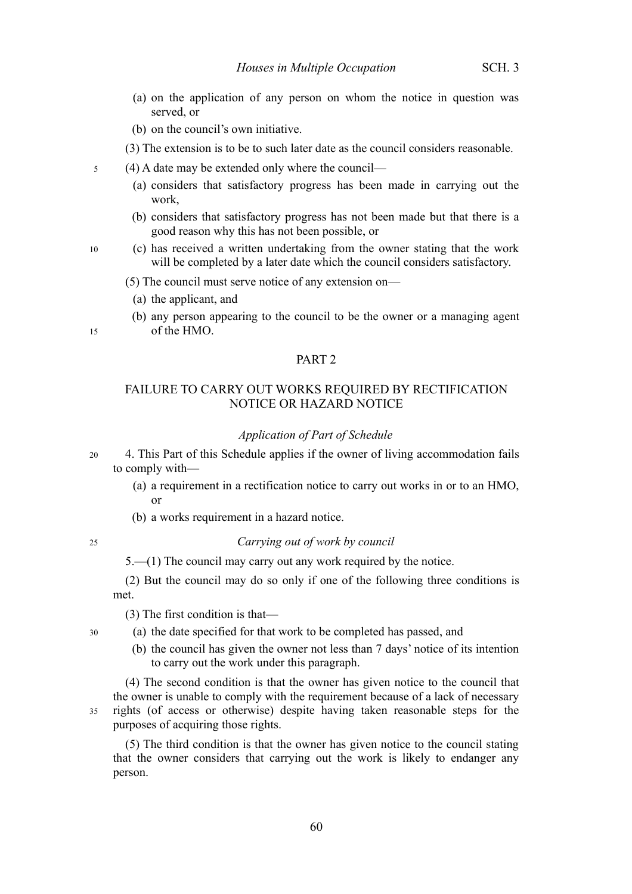- (a) on the application of any person on whom the notice in question was served, or
- (b) on the council's own initiative.
- (3) The extension is to be to such later date as the council considers reasonable.
- (4) A date may be extended only where the council— 5
	- (a) considers that satisfactory progress has been made in carrying out the work,
	- (b) considers that satisfactory progress has not been made but that there is a good reason why this has not been possible, or
- (c) has received a written undertaking from the owner stating that the work will be completed by a later date which the council considers satisfactory. 10
	- (5) The council must serve notice of any extension on—
		- (a) the applicant, and
		- (b) any person appearing to the council to be the owner or a managing agent of the HMO.

15

## PART 2

# FAILURE TO CARRY OUT WORKS REQUIRED BY RECTIFICATION NOTICE OR HAZARD NOTICE

# *Application of Part of Schedule*

4. This Part of this Schedule applies if the owner of living accommodation fails to comply with— 20

> (a) a requirement in a rectification notice to carry out works in or to an HMO, or

(b) a works requirement in a hazard notice.

25

## *Carrying out of work by council*

5.—(1) The council may carry out any work required by the notice.

(2) But the council may do so only if one of the following three conditions is met.

(3) The first condition is that—

30

- (a) the date specified for that work to be completed has passed, and
	- (b) the council has given the owner not less than 7 days' notice of its intention to carry out the work under this paragraph.

(4) The second condition is that the owner has given notice to the council that the owner is unable to comply with the requirement because of a lack of necessary rights (of access or otherwise) despite having taken reasonable steps for the purposes of acquiring those rights. 35

(5) The third condition is that the owner has given notice to the council stating that the owner considers that carrying out the work is likely to endanger any person.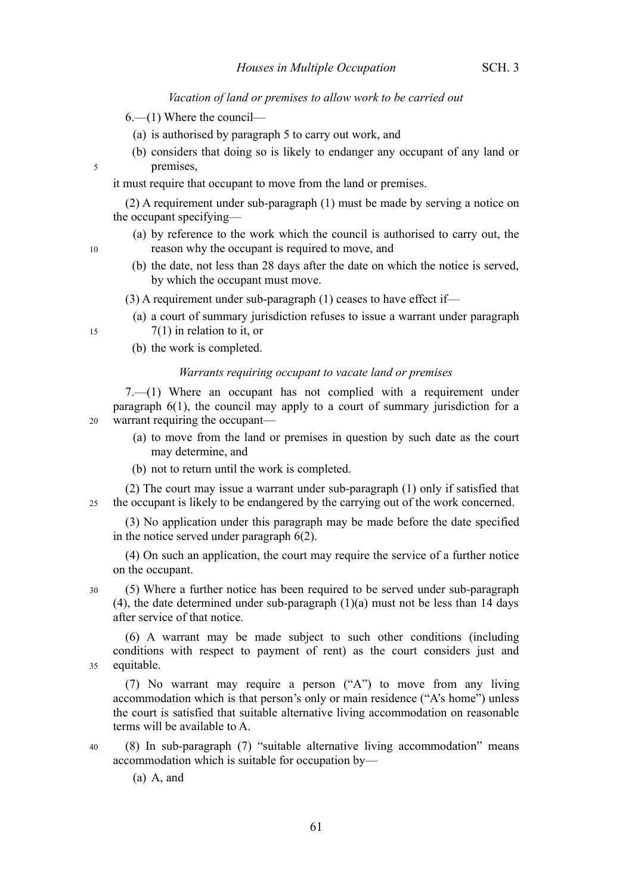*Vacation of land or premises to allow work to be carried out*

- 6.—(1) Where the council—
	- (a) is authorised by paragraph 5 to carry out work, and
- (b) considers that doing so is likely to endanger any occupant of any land or premises,

5

it must require that occupant to move from the land or premises.

(2) A requirement under sub-paragraph (1) must be made by serving a notice on the occupant specifying—

- (a) by reference to the work which the council is authorised to carry out, the reason why the occupant is required to move, and
- (b) the date, not less than 28 days after the date on which the notice is served, by which the occupant must move.

(3) A requirement under sub-paragraph (1) ceases to have effect if—

(a) a court of summary jurisdiction refuses to issue a warrant under paragraph 7(1) in relation to it, or

15

30

10

(b) the work is completed.

### *Warrants requiring occupant to vacate land or premises*

7.—(1) Where an occupant has not complied with a requirement under paragraph 6(1), the council may apply to a court of summary jurisdiction for a warrant requiring the occupant— 20

- (a) to move from the land or premises in question by such date as the court may determine, and
- (b) not to return until the work is completed.

(2) The court may issue a warrant under sub-paragraph (1) only if satisfied that the occupant is likely to be endangered by the carrying out of the work concerned. 25

(3) No application under this paragraph may be made before the date specified in the notice served under paragraph 6(2).

(4) On such an application, the court may require the service of a further notice on the occupant.

(5) Where a further notice has been required to be served under sub-paragraph (4), the date determined under sub-paragraph  $(1)(a)$  must not be less than 14 days after service of that notice.

(6) A warrant may be made subject to such other conditions (including conditions with respect to payment of rent) as the court considers just and equitable. 35

(7) No warrant may require a person ("A") to move from any living accommodation which is that person's only or main residence ("A's home") unless the court is satisfied that suitable alternative living accommodation on reasonable terms will be available to A.

- (8) In sub-paragraph (7) "suitable alternative living accommodation" means accommodation which is suitable for occupation by— 40
	- (a) A, and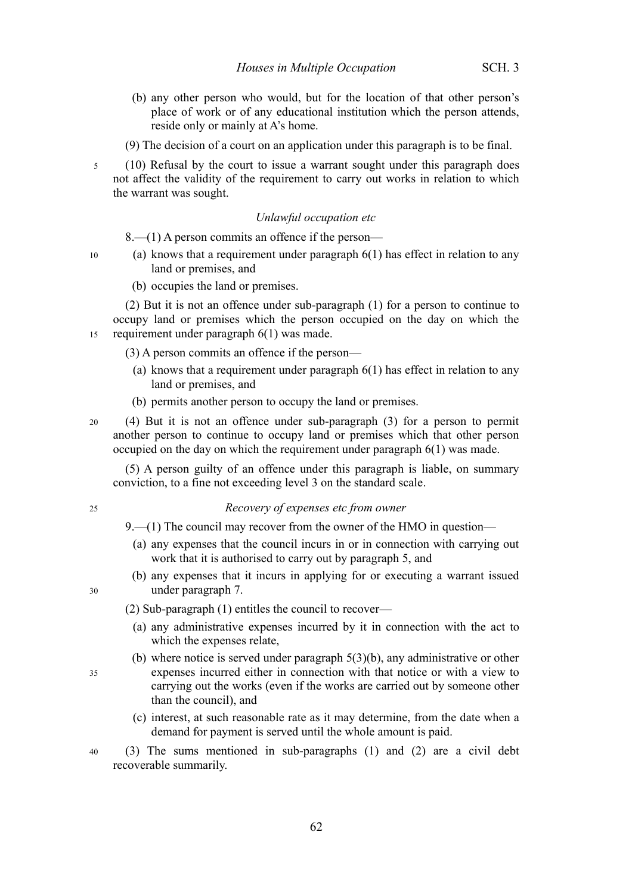- (b) any other person who would, but for the location of that other person's place of work or of any educational institution which the person attends, reside only or mainly at A's home.
- (9) The decision of a court on an application under this paragraph is to be final.
- (10) Refusal by the court to issue a warrant sought under this paragraph does not affect the validity of the requirement to carry out works in relation to which the warrant was sought. 5

# *Unlawful occupation etc*

8.—(1) A person commits an offence if the person—

- (a) knows that a requirement under paragraph 6(1) has effect in relation to any land or premises, and
	- (b) occupies the land or premises.

(2) But it is not an offence under sub-paragraph (1) for a person to continue to occupy land or premises which the person occupied on the day on which the requirement under paragraph 6(1) was made. 15

- (3) A person commits an offence if the person—
	- (a) knows that a requirement under paragraph 6(1) has effect in relation to any land or premises, and
	- (b) permits another person to occupy the land or premises.

(4) But it is not an offence under sub-paragraph (3) for a person to permit another person to continue to occupy land or premises which that other person occupied on the day on which the requirement under paragraph 6(1) was made. 20

(5) A person guilty of an offence under this paragraph is liable, on summary conviction, to a fine not exceeding level 3 on the standard scale.

 $25$ 

10

# *Recovery of expenses etc from owner*

9.—(1) The council may recover from the owner of the HMO in question—

- (a) any expenses that the council incurs in or in connection with carrying out work that it is authorised to carry out by paragraph 5, and
- (b) any expenses that it incurs in applying for or executing a warrant issued under paragraph 7.
- 30

- (2) Sub-paragraph (1) entitles the council to recover—
	- (a) any administrative expenses incurred by it in connection with the act to which the expenses relate,
- (b) where notice is served under paragraph 5(3)(b), any administrative or other expenses incurred either in connection with that notice or with a view to carrying out the works (even if the works are carried out by someone other than the council), and
- (c) interest, at such reasonable rate as it may determine, from the date when a demand for payment is served until the whole amount is paid.
- (3) The sums mentioned in sub-paragraphs (1) and (2) are a civil debt recoverable summarily. 40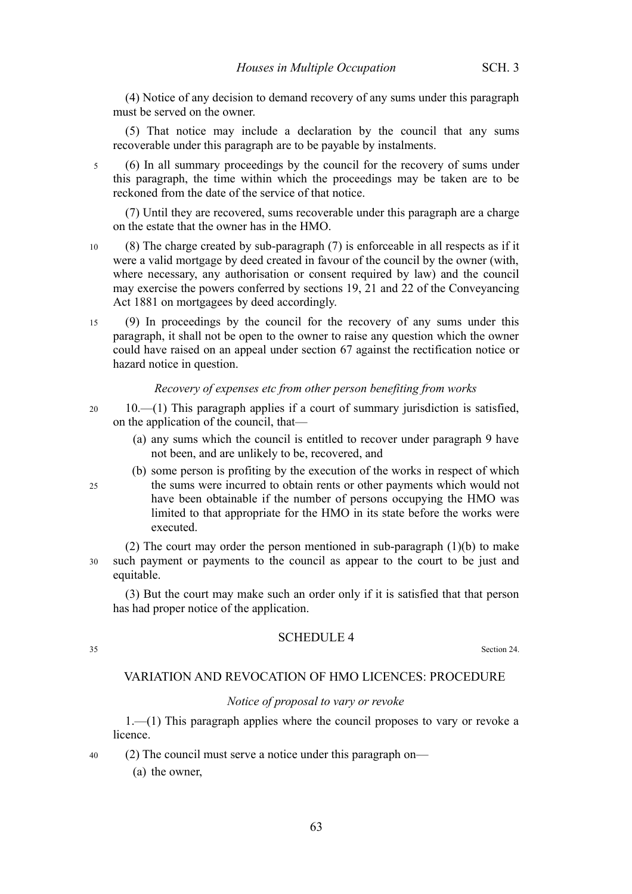(4) Notice of any decision to demand recovery of any sums under this paragraph must be served on the owner.

(5) That notice may include a declaration by the council that any sums recoverable under this paragraph are to be payable by instalments.

(6) In all summary proceedings by the council for the recovery of sums under this paragraph, the time within which the proceedings may be taken are to be reckoned from the date of the service of that notice. 5

(7) Until they are recovered, sums recoverable under this paragraph are a charge on the estate that the owner has in the HMO.

- (8) The charge created by sub-paragraph (7) is enforceable in all respects as if it were a valid mortgage by deed created in favour of the council by the owner (with, where necessary, any authorisation or consent required by law) and the council may exercise the powers conferred by sections 19, 21 and 22 of the Conveyancing Act 1881 on mortgagees by deed accordingly. 10
- (9) In proceedings by the council for the recovery of any sums under this paragraph, it shall not be open to the owner to raise any question which the owner could have raised on an appeal under section [67](#page-40-0) against the rectification notice or hazard notice in question. 15

# *Recovery of expenses etc from other person benefiting from works*

- 10.—(1) This paragraph applies if a court of summary jurisdiction is satisfied, on the application of the council, that—  $20$ 
	- (a) any sums which the council is entitled to recover under paragraph 9 have not been, and are unlikely to be, recovered, and
	- (b) some person is profiting by the execution of the works in respect of which the sums were incurred to obtain rents or other payments which would not have been obtainable if the number of persons occupying the HMO was limited to that appropriate for the HMO in its state before the works were executed.

(2) The court may order the person mentioned in sub-paragraph (1)(b) to make such payment or payments to the council as appear to the court to be just and equitable. 30

(3) But the court may make such an order only if it is satisfied that that person has had proper notice of the application.

## SCHEDULE 4

Section 24

# VARIATION AND REVOCATION OF HMO LICENCES: PROCEDURE

# *Notice of proposal to vary or revoke*

1.—(1) This paragraph applies where the council proposes to vary or revoke a licence.

(2) The council must serve a notice under this paragraph on— 40

(a) the owner,

 $25$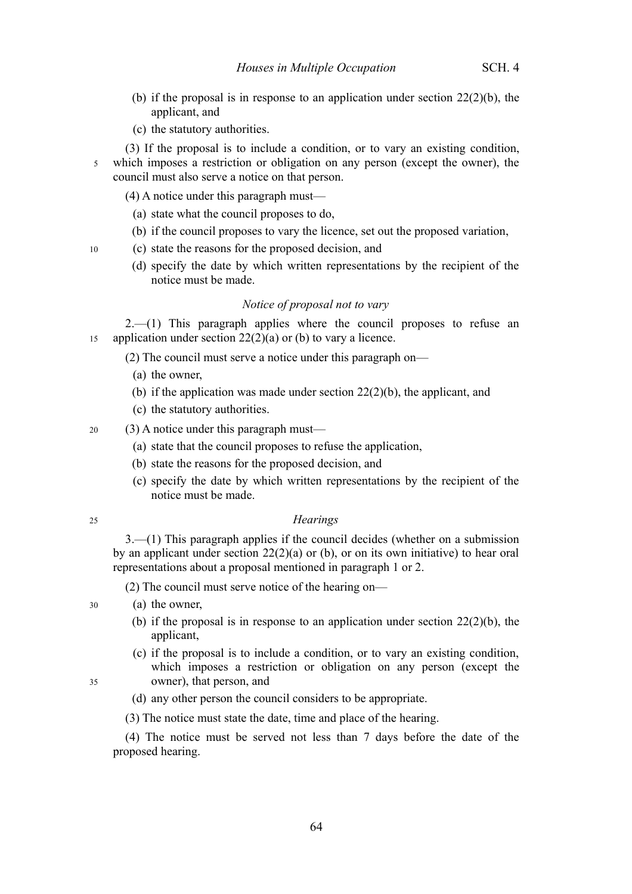- (b) if the proposal is in response to an application under section  $22(2)(b)$ , the applicant, and
- (c) the statutory authorities.
- (3) If the proposal is to include a condition, or to vary an existing condition, which imposes a restriction or obligation on any person (except the owner), the council must also serve a notice on that person. 5

(4) A notice under this paragraph must—

- (a) state what the council proposes to do,
- (b) if the council proposes to vary the licence, set out the proposed variation,
- (c) state the reasons for the proposed decision, and
	- (d) specify the date by which written representations by the recipient of the notice must be made.

### *Notice of proposal not to vary*

 $2$ —(1) This paragraph applies where the council proposes to refuse an application under section [22\(](#page-17-1)2)(a) or (b) to vary a licence. 15

(2) The council must serve a notice under this paragraph on—

- (a) the owner,
- (b) if the application was made under section [22\(](#page-17-1)2)(b), the applicant, and
- (c) the statutory authorities.
- (3) A notice under this paragraph must— 20
	- (a) state that the council proposes to refuse the application,
	- (b) state the reasons for the proposed decision, and
	- (c) specify the date by which written representations by the recipient of the notice must be made.

#### $25$

10

# *Hearings*

3.—(1) This paragraph applies if the council decides (whether on a submission by an applicant under section  $22(2)(a)$  or (b), or on its own initiative) to hear oral representations about a proposal mentioned in paragraph 1 or 2.

(2) The council must serve notice of the hearing on—

- (a) the owner, 30
	- (b) if the proposal is in response to an application under section [22\(](#page-17-1)2)(b), the applicant,
	- (c) if the proposal is to include a condition, or to vary an existing condition, which imposes a restriction or obligation on any person (except the owner), that person, and
- 35

(d) any other person the council considers to be appropriate.

(3) The notice must state the date, time and place of the hearing.

(4) The notice must be served not less than 7 days before the date of the proposed hearing.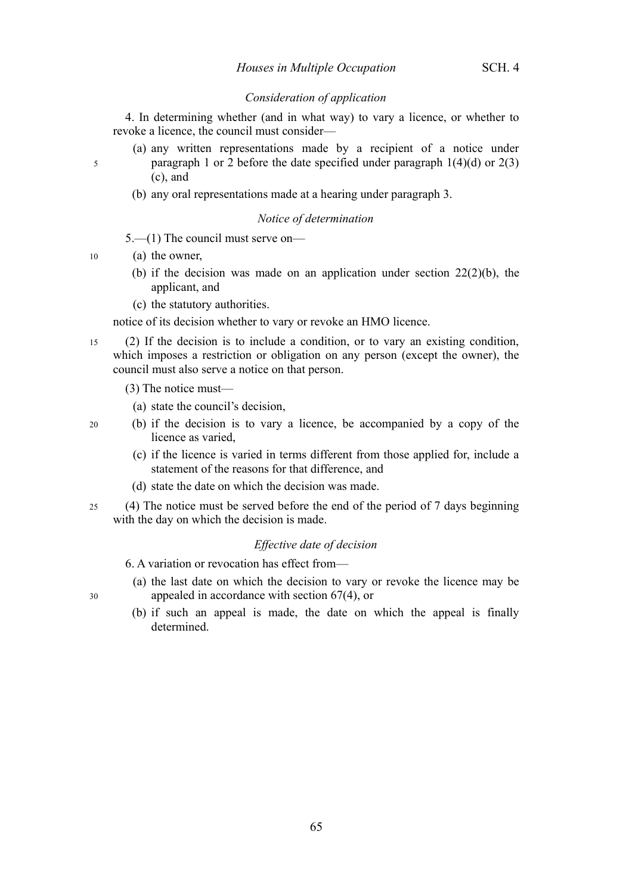# *Consideration of application*

4. In determining whether (and in what way) to vary a licence, or whether to revoke a licence, the council must consider—

- (a) any written representations made by a recipient of a notice under paragraph 1 or 2 before the date specified under paragraph  $1(4)(d)$  or  $2(3)$ (c), and
- (b) any oral representations made at a hearing under paragraph 3.

## *Notice of determination*

5.—(1) The council must serve on—

(a) the owner,

5

10

20

- (b) if the decision was made on an application under section  $22(2)(b)$ , the applicant, and
- (c) the statutory authorities.

notice of its decision whether to vary or revoke an HMO licence.

- (2) If the decision is to include a condition, or to vary an existing condition, which imposes a restriction or obligation on any person (except the owner), the council must also serve a notice on that person. 15
	- (3) The notice must—
		- (a) state the council's decision,
	- (b) if the decision is to vary a licence, be accompanied by a copy of the licence as varied,
		- (c) if the licence is varied in terms different from those applied for, include a statement of the reasons for that difference, and
		- (d) state the date on which the decision was made.
- (4) The notice must be served before the end of the period of 7 days beginning with the day on which the decision is made. 25

## *Effective date of decision*

6. A variation or revocation has effect from—

- (a) the last date on which the decision to vary or revoke the licence may be appealed in accordance with section 67(4), or
- (b) if such an appeal is made, the date on which the appeal is finally determined.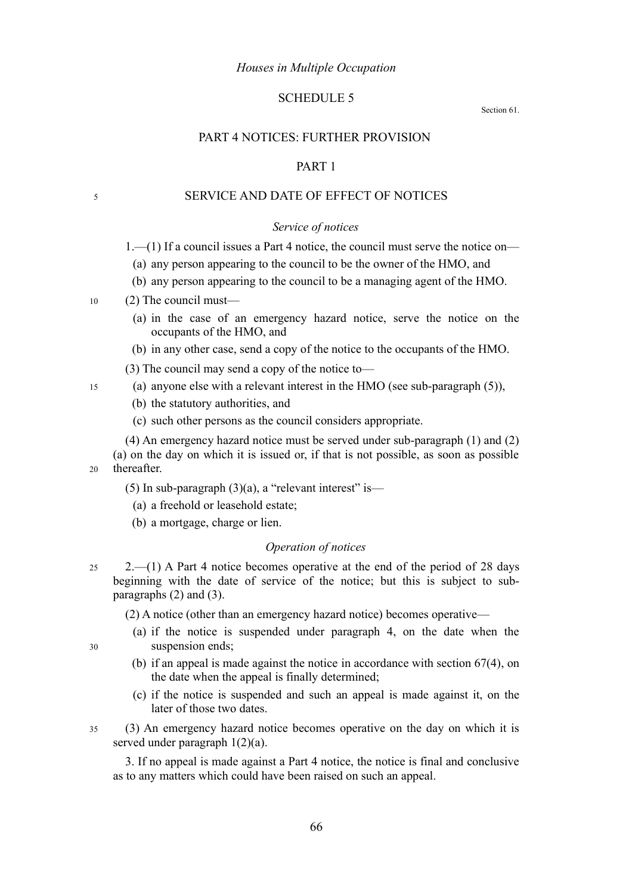# <span id="page-69-0"></span>SCHEDULE 5

Section [61.](#page-36-1)

# PART 4 NOTICES: FURTHER PROVISION

# PART 1

# SERVICE AND DATE OF EFFECT OF NOTICES

# *Service of notices*

1.—(1) If a council issues a Part 4 notice, the council must serve the notice on—

- (a) any person appearing to the council to be the owner of the HMO, and
- (b) any person appearing to the council to be a managing agent of the HMO.

#### (2) The council must— 10

- (a) in the case of an emergency hazard notice, serve the notice on the occupants of the HMO, and
- (b) in any other case, send a copy of the notice to the occupants of the HMO.
- (3) The council may send a copy of the notice to—
- (a) anyone else with a relevant interest in the HMO (see sub-paragraph (5)), 15
	- (b) the statutory authorities, and
	- (c) such other persons as the council considers appropriate.
- (4) An emergency hazard notice must be served under sub-paragraph (1) and (2) (a) on the day on which it is issued or, if that is not possible, as soon as possible thereafter. 20
	- (5) In sub-paragraph  $(3)(a)$ , a "relevant interest" is—
		- (a) a freehold or leasehold estate;
		- (b) a mortgage, charge or lien.

## *Operation of notices*

2.—(1) A Part 4 notice becomes operative at the end of the period of 28 days beginning with the date of service of the notice; but this is subject to subparagraphs (2) and (3).  $25$ 

(2) A notice (other than an emergency hazard notice) becomes operative—

30

suspension ends; (b) if an appeal is made against the notice in accordance with section 67(4), on the date when the appeal is finally determined;

(a) if the notice is suspended under paragraph 4, on the date when the

(c) if the notice is suspended and such an appeal is made against it, on the later of those two dates.

(3) An emergency hazard notice becomes operative on the day on which it is served under paragraph 1(2)(a). 35

3. If no appeal is made against a Part 4 notice, the notice is final and conclusive as to any matters which could have been raised on such an appeal.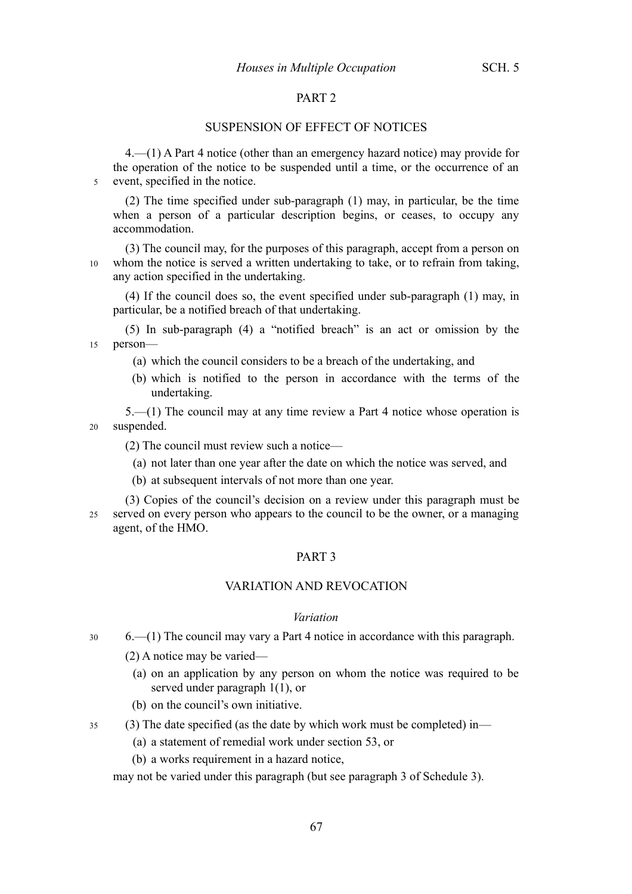# PART 2

# SUSPENSION OF EFFECT OF NOTICES

4.—(1) A Part 4 notice (other than an emergency hazard notice) may provide for the operation of the notice to be suspended until a time, or the occurrence of an event, specified in the notice. 5

(2) The time specified under sub-paragraph (1) may, in particular, be the time when a person of a particular description begins, or ceases, to occupy any accommodation.

(3) The council may, for the purposes of this paragraph, accept from a person on whom the notice is served a written undertaking to take, or to refrain from taking, any action specified in the undertaking. 10

(4) If the council does so, the event specified under sub-paragraph (1) may, in particular, be a notified breach of that undertaking.

(5) In sub-paragraph (4) a "notified breach" is an act or omission by the person— 15

- (a) which the council considers to be a breach of the undertaking, and
- (b) which is notified to the person in accordance with the terms of the undertaking.

5.—(1) The council may at any time review a Part 4 notice whose operation is suspended. 20

- (2) The council must review such a notice—
	- (a) not later than one year after the date on which the notice was served, and
	- (b) at subsequent intervals of not more than one year.

(3) Copies of the council's decision on a review under this paragraph must be served on every person who appears to the council to be the owner, or a managing agent, of the HMO. 25

# PART 3

# VARIATION AND REVOCATION

### *Variation*

6.—(1) The council may vary a Part 4 notice in accordance with this paragraph. 30

(2) A notice may be varied—

- (a) on an application by any person on whom the notice was required to be served under paragraph 1(1), or
- (b) on the council's own initiative.

(3) The date specified (as the date by which work must be completed) in— 35

- (a) a statement of remedial work under section [53,](#page-32-0) or
- (b) a works requirement in a hazard notice,

may not be varied under this paragraph (but see paragraph 3 of Schedule [3\)](#page-62-0).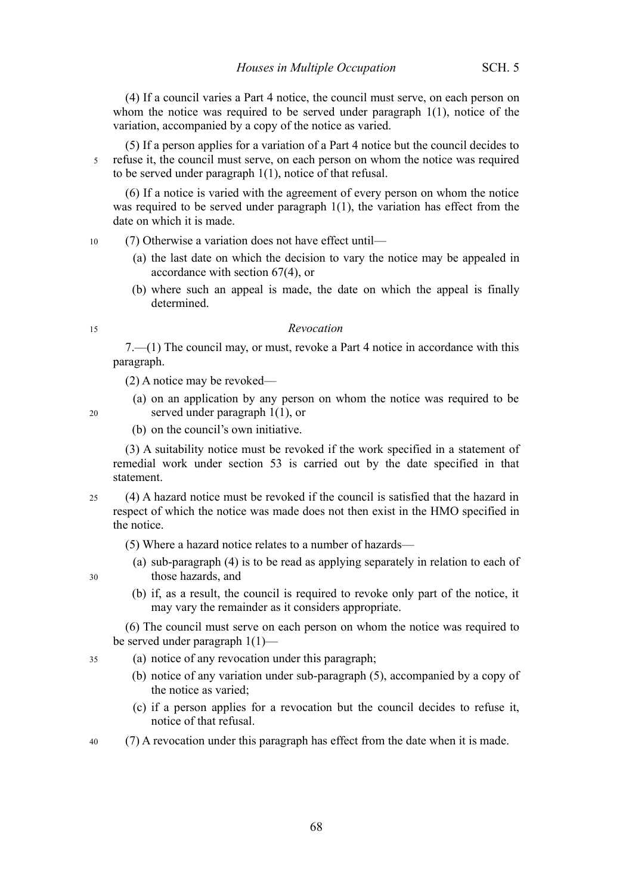(4) If a council varies a Part 4 notice, the council must serve, on each person on whom the notice was required to be served under paragraph 1(1), notice of the variation, accompanied by a copy of the notice as varied.

(5) If a person applies for a variation of a Part 4 notice but the council decides to refuse it, the council must serve, on each person on whom the notice was required 5 to be served under paragraph 1(1), notice of that refusal.

(6) If a notice is varied with the agreement of every person on whom the notice was required to be served under paragraph 1(1), the variation has effect from the date on which it is made.

(7) Otherwise a variation does not have effect until— 10

- (a) the last date on which the decision to vary the notice may be appealed in accordance with section 67(4), or
- (b) where such an appeal is made, the date on which the appeal is finally determined.

### *Revocation*

7.—(1) The council may, or must, revoke a Part 4 notice in accordance with this paragraph.

(2) A notice may be revoked—

(a) on an application by any person on whom the notice was required to be served under paragraph 1(1), or

20

15

(b) on the council's own initiative.

(3) A suitability notice must be revoked if the work specified in a statement of remedial work under section [53](#page-32-0) is carried out by the date specified in that statement.

(4) A hazard notice must be revoked if the council is satisfied that the hazard in respect of which the notice was made does not then exist in the HMO specified in the notice.  $25$ 

(5) Where a hazard notice relates to a number of hazards—

(a) sub-paragraph (4) is to be read as applying separately in relation to each of those hazards, and

30

(b) if, as a result, the council is required to revoke only part of the notice, it may vary the remainder as it considers appropriate.

(6) The council must serve on each person on whom the notice was required to be served under paragraph 1(1)—

- (a) notice of any revocation under this paragraph; 35
	- (b) notice of any variation under sub-paragraph (5), accompanied by a copy of the notice as varied;
	- (c) if a person applies for a revocation but the council decides to refuse it, notice of that refusal.
- (7) A revocation under this paragraph has effect from the date when it is made. 40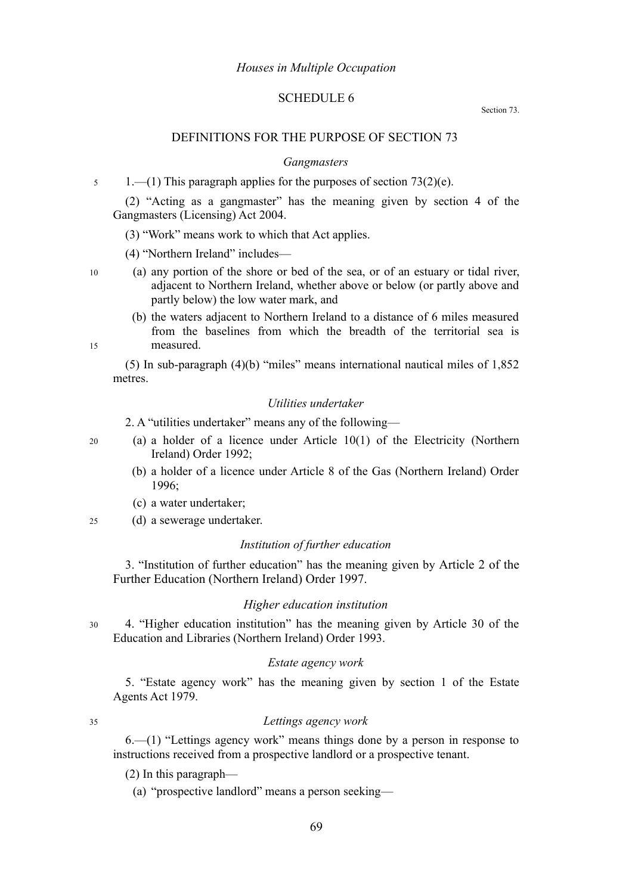## SCHEDULE 6

Section [73.](#page-44-0)

# DEFINITIONS FOR THE PURPOSE OF SECTION [73](#page-44-0)

#### *Gangmasters*

 $1,-(1)$  This paragraph applies for the purposes of section [73\(](#page-44-0)2)(e). 5

(2) "Acting as a gangmaster" has the meaning given by section 4 of the Gangmasters (Licensing) Act 2004.

(3) "Work" means work to which that Act applies.

(4) "Northern Ireland" includes—

(a) any portion of the shore or bed of the sea, or of an estuary or tidal river, adjacent to Northern Ireland, whether above or below (or partly above and partly below) the low water mark, and

(b) the waters adjacent to Northern Ireland to a distance of 6 miles measured from the baselines from which the breadth of the territorial sea is measured.

15

20

10

(5) In sub-paragraph (4)(b) "miles" means international nautical miles of 1,852 metres.

# *Utilities undertaker*

2. A "utilities undertaker" means any of the following—

- (a) a holder of a licence under Article 10(1) of the Electricity (Northern Ireland) Order 1992;
	- (b) a holder of a licence under Article 8 of the Gas (Northern Ireland) Order 1996;
	- (c) a water undertaker;
- (d) a sewerage undertaker.  $25$

#### *Institution of further education*

3. "Institution of further education" has the meaning given by Article 2 of the Further Education (Northern Ireland) Order 1997.

### *Higher education institution*

4. "Higher education institution" has the meaning given by Article 30 of the Education and Libraries (Northern Ireland) Order 1993. 30

#### *Estate agency work*

5. "Estate agency work" has the meaning given by section 1 of the Estate Agents Act 1979.

35

## *Lettings agency work*

6.—(1) "Lettings agency work" means things done by a person in response to instructions received from a prospective landlord or a prospective tenant.

(2) In this paragraph—

(a) "prospective landlord" means a person seeking—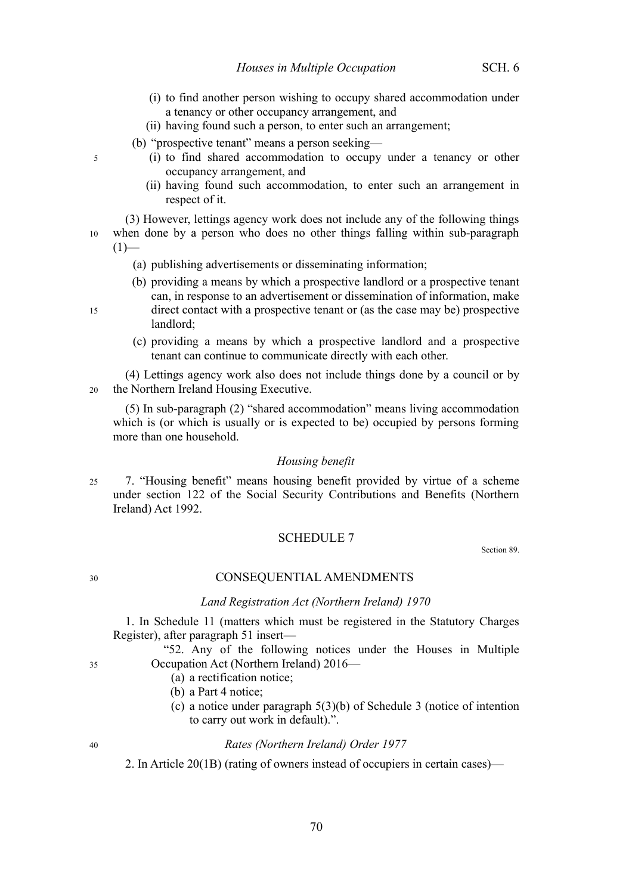- (i) to find another person wishing to occupy shared accommodation under a tenancy or other occupancy arrangement, and
- (ii) having found such a person, to enter such an arrangement;
- (b) "prospective tenant" means a person seeking—
	- (i) to find shared accommodation to occupy under a tenancy or other occupancy arrangement, and
	- (ii) having found such accommodation, to enter such an arrangement in respect of it.
- (3) However, lettings agency work does not include any of the following things when done by a person who does no other things falling within sub-paragraph  $(1)$ — 10
	- (a) publishing advertisements or disseminating information;
	- (b) providing a means by which a prospective landlord or a prospective tenant can, in response to an advertisement or dissemination of information, make direct contact with a prospective tenant or (as the case may be) prospective landlord;
	- (c) providing a means by which a prospective landlord and a prospective tenant can continue to communicate directly with each other.
- (4) Lettings agency work also does not include things done by a council or by the Northern Ireland Housing Executive. 20
	- (5) In sub-paragraph (2) "shared accommodation" means living accommodation which is (or which is usually or is expected to be) occupied by persons forming more than one household.

### *Housing benefit*

7. "Housing benefit" means housing benefit provided by virtue of a scheme under section 122 of the Social Security Contributions and Benefits (Northern Ireland) Act 1992. 25

#### SCHEDULE 7

Section 89

#### 30

5

15

### CONSEQUENTIAL AMENDMENTS

#### *Land Registration Act (Northern Ireland) 1970*

1. In Schedule 11 (matters which must be registered in the Statutory Charges Register), after paragraph 51 insert—

"52. Any of the following notices under the Houses in Multiple Occupation Act (Northern Ireland) 2016—

### (a) a rectification notice;

- (b) a Part 4 notice:
- (c) a notice under paragraph 5(3)(b) of Schedule [3](#page-62-0) (notice of intention to carry out work in default).".

40

35

*Rates (Northern Ireland) Order 1977*

2. In Article 20(1B) (rating of owners instead of occupiers in certain cases)—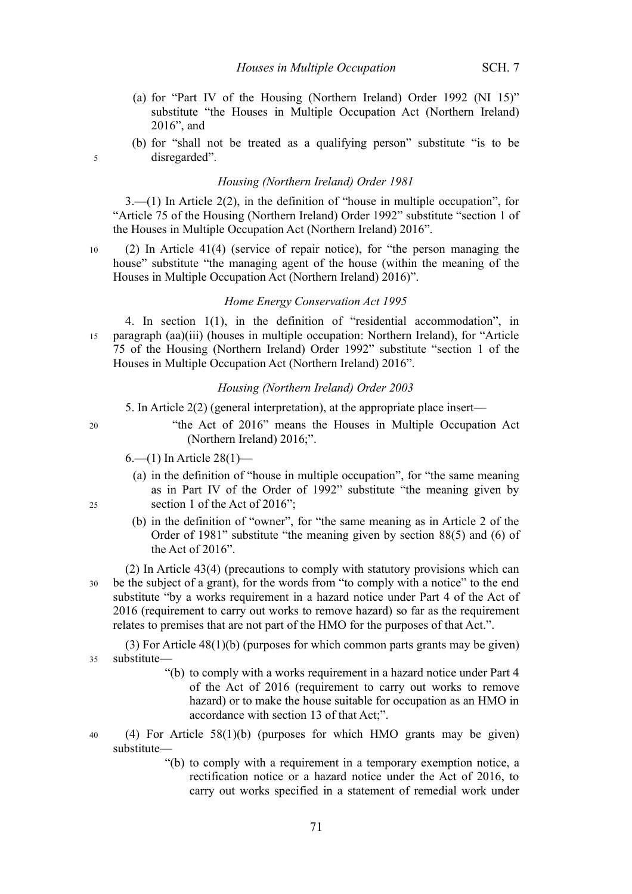- (a) for "Part IV of the Housing (Northern Ireland) Order 1992 (NI 15)" substitute "the Houses in Multiple Occupation Act (Northern Ireland) 2016", and
- (b) for "shall not be treated as a qualifying person" substitute "is to be disregarded".

## *Housing (Northern Ireland) Order 1981*

3.—(1) In Article 2(2), in the definition of "house in multiple occupation", for "Article 75 of the Housing (Northern Ireland) Order 1992" substitute "section 1 of the Houses in Multiple Occupation Act (Northern Ireland) 2016".

(2) In Article 41(4) (service of repair notice), for "the person managing the house" substitute "the managing agent of the house (within the meaning of the Houses in Multiple Occupation Act (Northern Ireland) 2016)". 10

# *Home Energy Conservation Act 1995*

4. In section 1(1), in the definition of "residential accommodation", in paragraph (aa)(iii) (houses in multiple occupation: Northern Ireland), for "Article 75 of the Housing (Northern Ireland) Order 1992" substitute "section [1](#page-4-0) of the Houses in Multiple Occupation Act (Northern Ireland) 2016". 15

# *Housing (Northern Ireland) Order 2003*

- 5. In Article 2(2) (general interpretation), at the appropriate place insert—
	- "the Act of 2016" means the Houses in Multiple Occupation Act (Northern Ireland) 2016;".
- 6.—(1) In Article 28(1)—
	- (a) in the definition of "house in multiple occupation", for "the same meaning as in Part IV of the Order of 1992" substitute "the meaning given by section [1](#page-4-0) of the Act of 2016":
	- (b) in the definition of "owner", for "the same meaning as in Article 2 of the Order of 1981" substitute "the meaning given by section [88\(](#page-52-0)5) and (6) of the Act of 2016".

(2) In Article 43(4) (precautions to comply with statutory provisions which can be the subject of a grant), for the words from "to comply with a notice" to the end substitute "by a works requirement in a hazard notice under Part 4 of the Act of 2016 (requirement to carry out works to remove hazard) so far as the requirement relates to premises that are not part of the HMO for the purposes of that Act.". 30

(3) For Article 48(1)(b) (purposes for which common parts grants may be given) substitute— 35

- "(b) to comply with a works requirement in a hazard notice under Part 4 of the Act of 2016 (requirement to carry out works to remove hazard) or to make the house suitable for occupation as an HMO in accordance with section [13](#page-12-0) of that Act;".
- (4) For Article 58(1)(b) (purposes for which HMO grants may be given) substitute— 40
	- "(b) to comply with a requirement in a temporary exemption notice, a rectification notice or a hazard notice under the Act of 2016, to carry out works specified in a statement of remedial work under

 $25$ 

20

5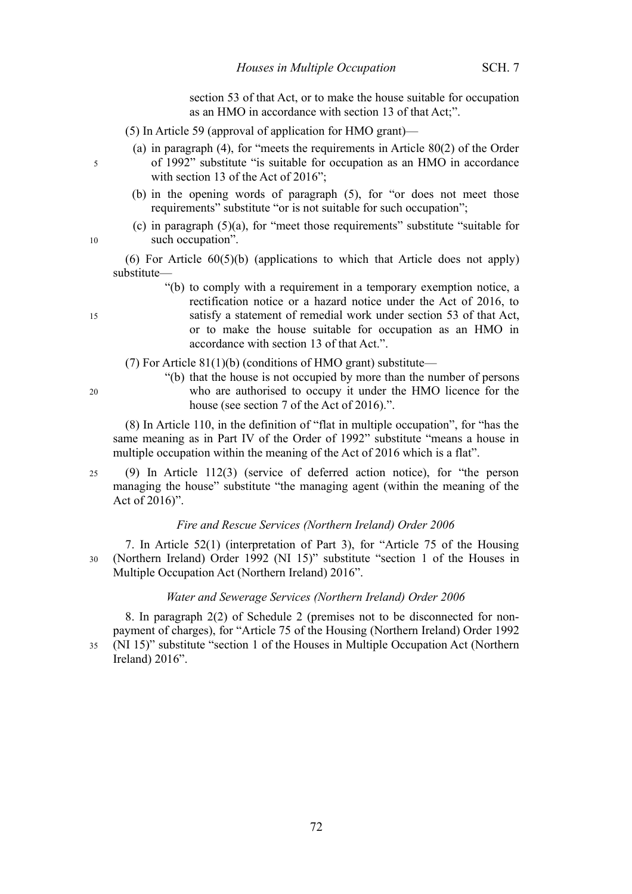section [53](#page-32-0) of that Act, or to make the house suitable for occupation as an HMO in accordance with section [13](#page-12-0) of that Act;".

(5) In Article 59 (approval of application for HMO grant)—

- (a) in paragraph (4), for "meets the requirements in Article 80(2) of the Order of 1992" substitute "is suitable for occupation as an HMO in accordance with section [13](#page-12-0) of the Act of 2016":
- (b) in the opening words of paragraph (5), for "or does not meet those requirements" substitute "or is not suitable for such occupation";
- (c) in paragraph (5)(a), for "meet those requirements" substitute "suitable for such occupation".

(6) For Article  $60(5)(b)$  (applications to which that Article does not apply) substitute—

> "(b) to comply with a requirement in a temporary exemption notice, a rectification notice or a hazard notice under the Act of 2016, to satisfy a statement of remedial work under section [53](#page-32-0) of that Act, or to make the house suitable for occupation as an HMO in accordance with section [13](#page-12-0) of that Act.".

(7) For Article  $81(1)(b)$  (conditions of HMO grant) substitute—

"(b) that the house is not occupied by more than the number of persons who are authorised to occupy it under the HMO licence for the house (see section [7](#page-9-0) of the Act of 2016).".

(8) In Article 110, in the definition of "flat in multiple occupation", for "has the same meaning as in Part IV of the Order of 1992" substitute "means a house in multiple occupation within the meaning of the Act of 2016 which is a flat".

(9) In Article 112(3) (service of deferred action notice), for "the person managing the house" substitute "the managing agent (within the meaning of the Act of 2016)". 25

# *Fire and Rescue Services (Northern Ireland) Order 2006*

7. In Article 52(1) (interpretation of Part 3), for "Article 75 of the Housing (Northern Ireland) Order 1992 (NI 15)" substitute "section [1](#page-4-0) of the Houses in Multiple Occupation Act (Northern Ireland) 2016". 30

## *Water and Sewerage Services (Northern Ireland) Order 2006*

8. In paragraph 2(2) of Schedule 2 (premises not to be disconnected for nonpayment of charges), for "Article 75 of the Housing (Northern Ireland) Order 1992

(NI 15)" substitute "section [1](#page-4-0) of the Houses in Multiple Occupation Act (Northern Ireland) 2016". 35

 $20$ 

5

10

15